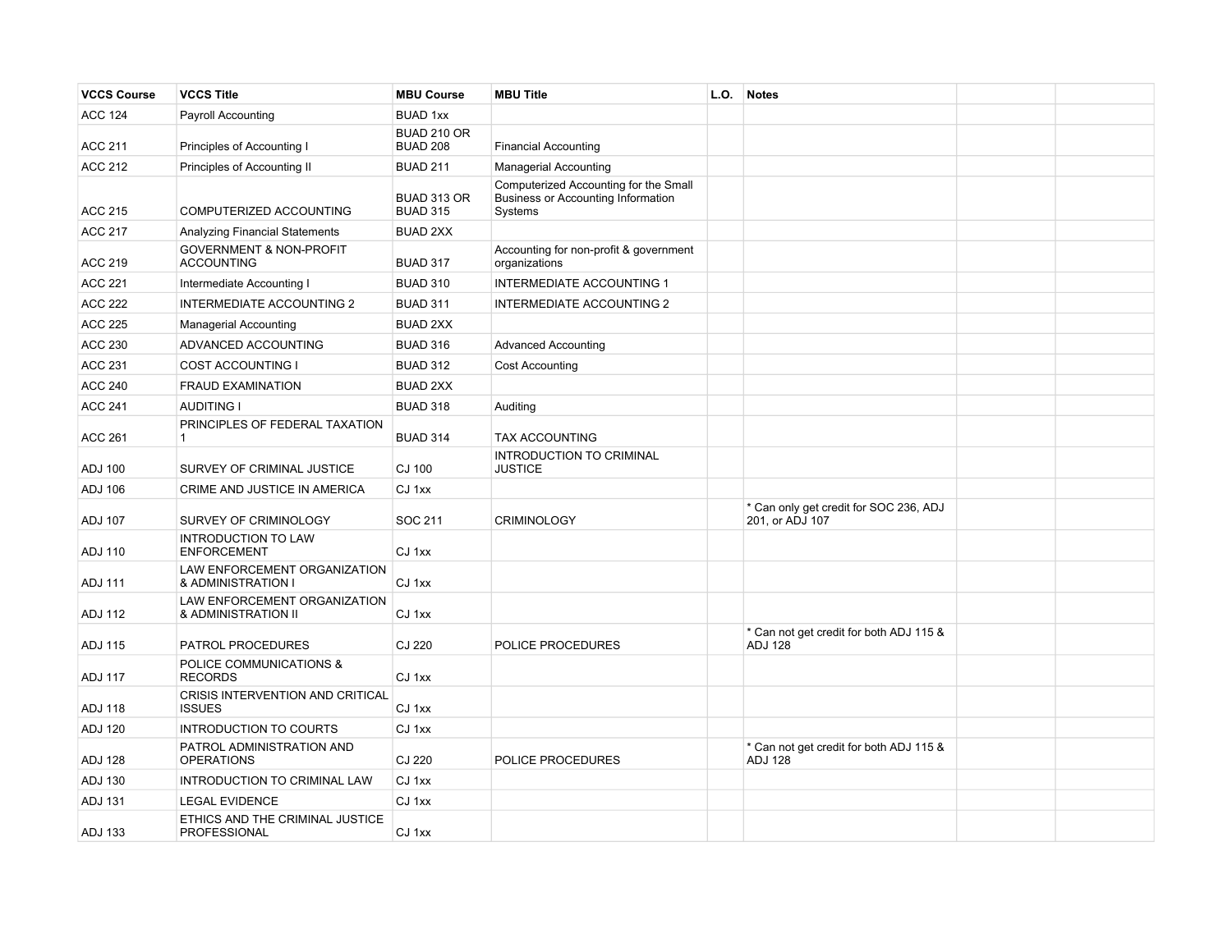| <b>VCCS Course</b> | <b>VCCS Title</b>                                       | <b>MBU Course</b>                     | <b>MBU Title</b>                                                                              | L.O. | <b>Notes</b>                                              |  |
|--------------------|---------------------------------------------------------|---------------------------------------|-----------------------------------------------------------------------------------------------|------|-----------------------------------------------------------|--|
| <b>ACC 124</b>     | <b>Payroll Accounting</b>                               | <b>BUAD 1xx</b>                       |                                                                                               |      |                                                           |  |
| <b>ACC 211</b>     | Principles of Accounting I                              | <b>BUAD 210 OR</b><br><b>BUAD 208</b> | <b>Financial Accounting</b>                                                                   |      |                                                           |  |
| <b>ACC 212</b>     | Principles of Accounting II                             | <b>BUAD 211</b>                       | <b>Managerial Accounting</b>                                                                  |      |                                                           |  |
| <b>ACC 215</b>     | COMPUTERIZED ACCOUNTING                                 | <b>BUAD 313 OR</b><br><b>BUAD 315</b> | Computerized Accounting for the Small<br><b>Business or Accounting Information</b><br>Systems |      |                                                           |  |
| <b>ACC 217</b>     | <b>Analyzing Financial Statements</b>                   | <b>BUAD 2XX</b>                       |                                                                                               |      |                                                           |  |
| <b>ACC 219</b>     | <b>GOVERNMENT &amp; NON-PROFIT</b><br><b>ACCOUNTING</b> | <b>BUAD 317</b>                       | Accounting for non-profit & government<br>organizations                                       |      |                                                           |  |
| <b>ACC 221</b>     | Intermediate Accounting I                               | <b>BUAD 310</b>                       | <b>INTERMEDIATE ACCOUNTING 1</b>                                                              |      |                                                           |  |
| <b>ACC 222</b>     | <b>INTERMEDIATE ACCOUNTING 2</b>                        | <b>BUAD 311</b>                       | <b>INTERMEDIATE ACCOUNTING 2</b>                                                              |      |                                                           |  |
| <b>ACC 225</b>     | <b>Managerial Accounting</b>                            | <b>BUAD 2XX</b>                       |                                                                                               |      |                                                           |  |
| <b>ACC 230</b>     | ADVANCED ACCOUNTING                                     | <b>BUAD 316</b>                       | <b>Advanced Accounting</b>                                                                    |      |                                                           |  |
| <b>ACC 231</b>     | <b>COST ACCOUNTING I</b>                                | <b>BUAD 312</b>                       | <b>Cost Accounting</b>                                                                        |      |                                                           |  |
| <b>ACC 240</b>     | <b>FRAUD EXAMINATION</b>                                | <b>BUAD 2XX</b>                       |                                                                                               |      |                                                           |  |
| <b>ACC 241</b>     | <b>AUDITING I</b>                                       | <b>BUAD 318</b>                       | Auditing                                                                                      |      |                                                           |  |
| <b>ACC 261</b>     | PRINCIPLES OF FEDERAL TAXATION<br>$\mathbf{1}$          | <b>BUAD 314</b>                       | <b>TAX ACCOUNTING</b>                                                                         |      |                                                           |  |
| <b>ADJ 100</b>     | SURVEY OF CRIMINAL JUSTICE                              | CJ 100                                | INTRODUCTION TO CRIMINAL<br><b>JUSTICE</b>                                                    |      |                                                           |  |
| <b>ADJ 106</b>     | CRIME AND JUSTICE IN AMERICA                            | CJ 1xx                                |                                                                                               |      |                                                           |  |
| <b>ADJ 107</b>     | SURVEY OF CRIMINOLOGY                                   | SOC 211                               | <b>CRIMINOLOGY</b>                                                                            |      | * Can only get credit for SOC 236, ADJ<br>201, or ADJ 107 |  |
| <b>ADJ 110</b>     | <b>INTRODUCTION TO LAW</b><br><b>ENFORCEMENT</b>        | CJ 1xx                                |                                                                                               |      |                                                           |  |
| <b>ADJ 111</b>     | LAW ENFORCEMENT ORGANIZATION<br>& ADMINISTRATION I      | CJ 1xx                                |                                                                                               |      |                                                           |  |
| <b>ADJ 112</b>     | LAW ENFORCEMENT ORGANIZATION<br>& ADMINISTRATION II     | CJ 1xx                                |                                                                                               |      |                                                           |  |
| <b>ADJ 115</b>     | PATROL PROCEDURES                                       | CJ 220                                | POLICE PROCEDURES                                                                             |      | * Can not get credit for both ADJ 115 &<br><b>ADJ 128</b> |  |
| <b>ADJ 117</b>     | POLICE COMMUNICATIONS &<br><b>RECORDS</b>               | CJ 1xx                                |                                                                                               |      |                                                           |  |
| <b>ADJ 118</b>     | CRISIS INTERVENTION AND CRITICAL<br><b>ISSUES</b>       | CJ 1xx                                |                                                                                               |      |                                                           |  |
| <b>ADJ 120</b>     | <b>INTRODUCTION TO COURTS</b>                           | CJ 1xx                                |                                                                                               |      |                                                           |  |
| <b>ADJ 128</b>     | PATROL ADMINISTRATION AND<br><b>OPERATIONS</b>          | CJ 220                                | POLICE PROCEDURES                                                                             |      | * Can not get credit for both ADJ 115 &<br><b>ADJ 128</b> |  |
| <b>ADJ 130</b>     | INTRODUCTION TO CRIMINAL LAW                            | CJ 1xx                                |                                                                                               |      |                                                           |  |
| <b>ADJ 131</b>     | <b>LEGAL EVIDENCE</b>                                   | CJ 1xx                                |                                                                                               |      |                                                           |  |
| ADJ 133            | ETHICS AND THE CRIMINAL JUSTICE<br>PROFESSIONAL         | CJ 1xx                                |                                                                                               |      |                                                           |  |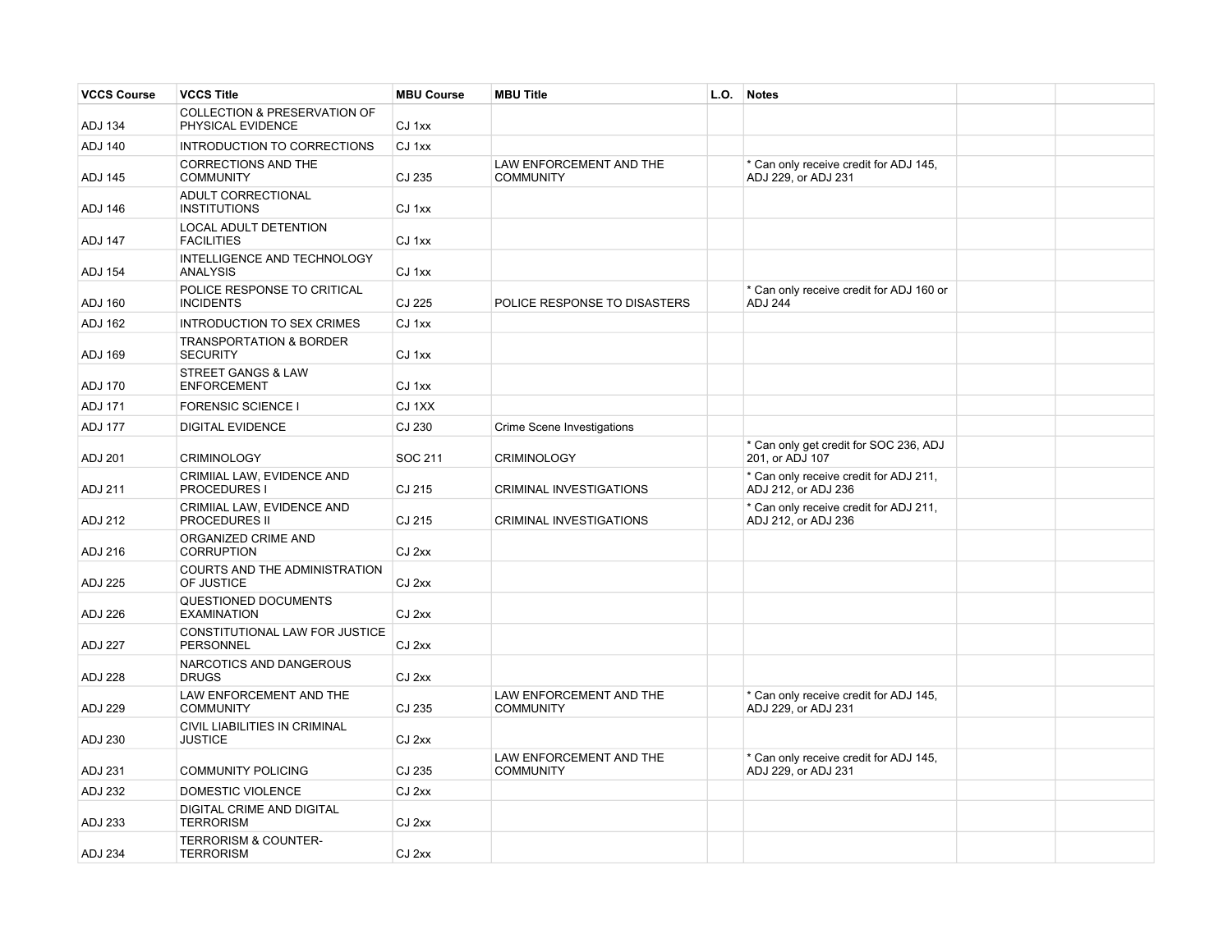| <b>VCCS Course</b> | <b>VCCS Title</b>                                            | <b>MBU Course</b> | <b>MBU Title</b>                                   | L.O. | <b>Notes</b>                                                  |  |
|--------------------|--------------------------------------------------------------|-------------------|----------------------------------------------------|------|---------------------------------------------------------------|--|
| <b>ADJ 134</b>     | <b>COLLECTION &amp; PRESERVATION OF</b><br>PHYSICAL EVIDENCE | CJ 1xx            |                                                    |      |                                                               |  |
| <b>ADJ 140</b>     | INTRODUCTION TO CORRECTIONS                                  | CJ 1xx            |                                                    |      |                                                               |  |
| ADJ 145            | <b>CORRECTIONS AND THE</b><br><b>COMMUNITY</b>               | CJ 235            | LAW ENFORCEMENT AND THE<br><b>COMMUNITY</b>        |      | * Can only receive credit for ADJ 145,<br>ADJ 229. or ADJ 231 |  |
| ADJ 146            | ADULT CORRECTIONAL<br><b>INSTITUTIONS</b>                    | CJ 1xx            |                                                    |      |                                                               |  |
| <b>ADJ 147</b>     | LOCAL ADULT DETENTION<br><b>FACILITIES</b>                   | CJ 1xx            |                                                    |      |                                                               |  |
| <b>ADJ 154</b>     | INTELLIGENCE AND TECHNOLOGY<br>ANALYSIS                      | CJ 1xx            |                                                    |      |                                                               |  |
| <b>ADJ 160</b>     | POLICE RESPONSE TO CRITICAL<br><b>INCIDENTS</b>              | CJ 225            | POLICE RESPONSE TO DISASTERS                       |      | * Can only receive credit for ADJ 160 or<br><b>ADJ 244</b>    |  |
| <b>ADJ 162</b>     | INTRODUCTION TO SEX CRIMES                                   | CJ 1xx            |                                                    |      |                                                               |  |
| ADJ 169            | <b>TRANSPORTATION &amp; BORDER</b><br><b>SECURITY</b>        | CJ 1xx            |                                                    |      |                                                               |  |
| <b>ADJ 170</b>     | <b>STREET GANGS &amp; LAW</b><br><b>ENFORCEMENT</b>          | CJ 1xx            |                                                    |      |                                                               |  |
| <b>ADJ 171</b>     | <b>FORENSIC SCIENCE I</b>                                    | CJ 1XX            |                                                    |      |                                                               |  |
| <b>ADJ 177</b>     | <b>DIGITAL EVIDENCE</b>                                      | CJ 230            | Crime Scene Investigations                         |      |                                                               |  |
| ADJ 201            | <b>CRIMINOLOGY</b>                                           | SOC 211           | <b>CRIMINOLOGY</b>                                 |      | * Can only get credit for SOC 236, ADJ<br>201, or ADJ 107     |  |
| ADJ 211            | CRIMIIAL LAW, EVIDENCE AND<br>PROCEDURES I                   | CJ 215            | CRIMINAL INVESTIGATIONS                            |      | * Can only receive credit for ADJ 211,<br>ADJ 212, or ADJ 236 |  |
| ADJ 212            | CRIMIIAL LAW, EVIDENCE AND<br><b>PROCEDURES II</b>           | CJ 215            | CRIMINAL INVESTIGATIONS                            |      | * Can only receive credit for ADJ 211,<br>ADJ 212, or ADJ 236 |  |
| ADJ 216            | ORGANIZED CRIME AND<br><b>CORRUPTION</b>                     | CJ 2xx            |                                                    |      |                                                               |  |
| <b>ADJ 225</b>     | COURTS AND THE ADMINISTRATION<br>OF JUSTICE                  | CJ 2xx            |                                                    |      |                                                               |  |
| <b>ADJ 226</b>     | QUESTIONED DOCUMENTS<br><b>EXAMINATION</b>                   | CJ 2xx            |                                                    |      |                                                               |  |
| <b>ADJ 227</b>     | CONSTITUTIONAL LAW FOR JUSTICE<br><b>PERSONNEL</b>           | CJ 2xx            |                                                    |      |                                                               |  |
| <b>ADJ 228</b>     | NARCOTICS AND DANGEROUS<br><b>DRUGS</b>                      | CJ 2xx            |                                                    |      |                                                               |  |
| <b>ADJ 229</b>     | LAW ENFORCEMENT AND THE<br><b>COMMUNITY</b>                  | CJ 235            | LAW ENFORCEMENT AND THE<br><b>COMMUNITY</b>        |      | * Can only receive credit for ADJ 145,<br>ADJ 229, or ADJ 231 |  |
| ADJ 230            | CIVIL LIABILITIES IN CRIMINAL<br><b>JUSTICE</b>              | CJ 2xx            |                                                    |      |                                                               |  |
| ADJ 231            | <b>COMMUNITY POLICING</b>                                    | CJ 235            | <b>LAW ENFORCEMENT AND THE</b><br><b>COMMUNITY</b> |      | * Can only receive credit for ADJ 145,<br>ADJ 229, or ADJ 231 |  |
| <b>ADJ 232</b>     | <b>DOMESTIC VIOLENCE</b>                                     | CJ 2xx            |                                                    |      |                                                               |  |
| ADJ 233            | DIGITAL CRIME AND DIGITAL<br><b>TERRORISM</b>                | CJ 2xx            |                                                    |      |                                                               |  |
| <b>ADJ 234</b>     | <b>TERRORISM &amp; COUNTER-</b><br><b>TERRORISM</b>          | CJ 2xx            |                                                    |      |                                                               |  |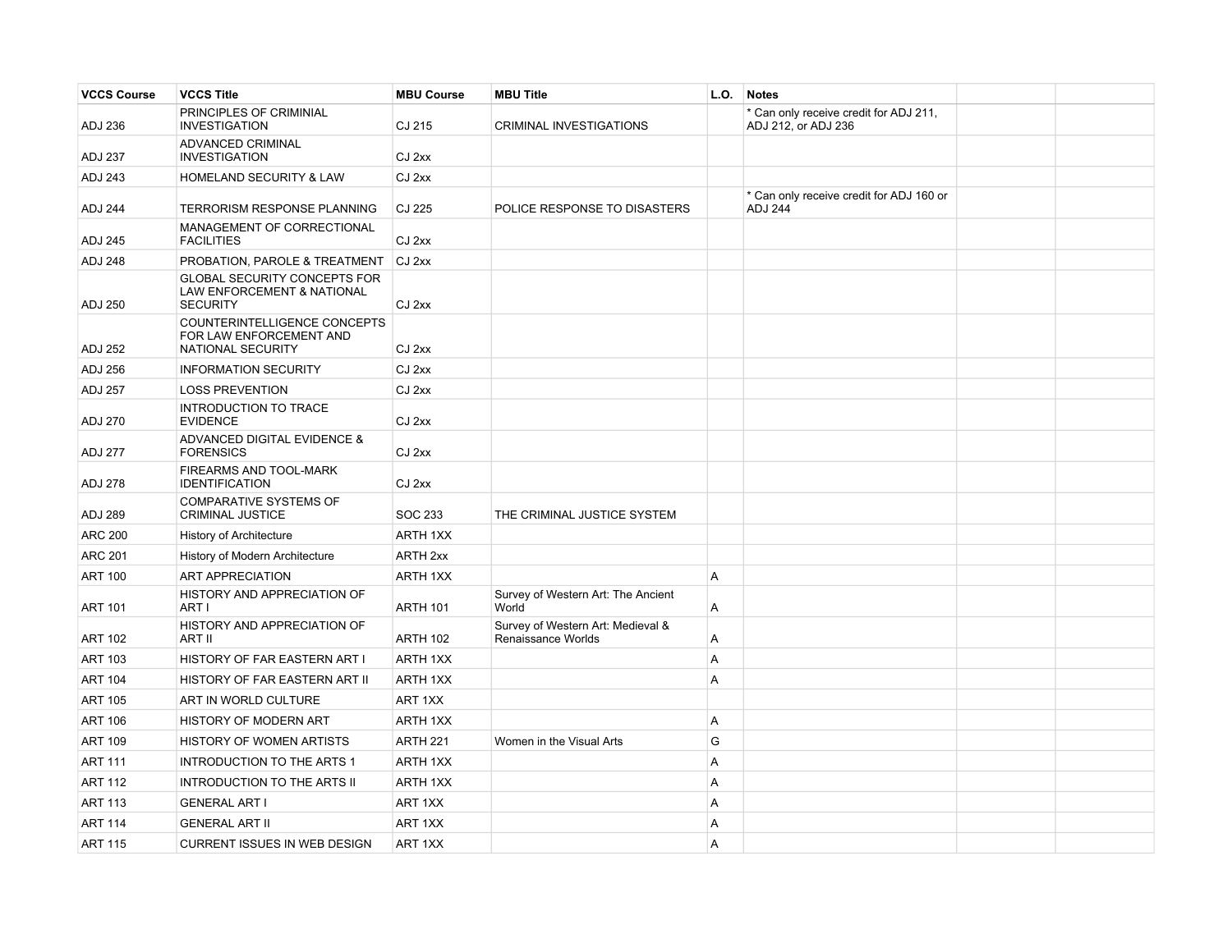| <b>VCCS Course</b> | <b>VCCS Title</b>                                                                               | <b>MBU Course</b> | <b>MBU Title</b>                                        | L.O.           | <b>Notes</b>                                                  |  |
|--------------------|-------------------------------------------------------------------------------------------------|-------------------|---------------------------------------------------------|----------------|---------------------------------------------------------------|--|
| ADJ 236            | PRINCIPLES OF CRIMINIAL<br><b>INVESTIGATION</b>                                                 | CJ 215            | CRIMINAL INVESTIGATIONS                                 |                | * Can only receive credit for ADJ 211,<br>ADJ 212, or ADJ 236 |  |
| ADJ 237            | ADVANCED CRIMINAL<br><b>INVESTIGATION</b>                                                       | CJ 2xx            |                                                         |                |                                                               |  |
| ADJ 243            | <b>HOMELAND SECURITY &amp; LAW</b>                                                              | CJ 2xx            |                                                         |                |                                                               |  |
| <b>ADJ 244</b>     | TERRORISM RESPONSE PLANNING                                                                     | CJ 225            | POLICE RESPONSE TO DISASTERS                            |                | * Can only receive credit for ADJ 160 or<br><b>ADJ 244</b>    |  |
| <b>ADJ 245</b>     | MANAGEMENT OF CORRECTIONAL<br><b>FACILITIES</b>                                                 | CJ 2xx            |                                                         |                |                                                               |  |
| <b>ADJ 248</b>     | PROBATION, PAROLE & TREATMENT                                                                   | CJ 2xx            |                                                         |                |                                                               |  |
| <b>ADJ 250</b>     | <b>GLOBAL SECURITY CONCEPTS FOR</b><br><b>LAW ENFORCEMENT &amp; NATIONAL</b><br><b>SECURITY</b> | CJ 2xx            |                                                         |                |                                                               |  |
| <b>ADJ 252</b>     | COUNTERINTELLIGENCE CONCEPTS<br>FOR LAW ENFORCEMENT AND<br>NATIONAL SECURITY                    | CJ 2xx            |                                                         |                |                                                               |  |
| ADJ 256            | <b>INFORMATION SECURITY</b>                                                                     | CJ 2xx            |                                                         |                |                                                               |  |
| <b>ADJ 257</b>     | <b>LOSS PREVENTION</b>                                                                          | CJ 2xx            |                                                         |                |                                                               |  |
| ADJ 270            | INTRODUCTION TO TRACE<br><b>EVIDENCE</b>                                                        | CJ 2xx            |                                                         |                |                                                               |  |
| <b>ADJ 277</b>     | ADVANCED DIGITAL EVIDENCE &<br><b>FORENSICS</b>                                                 | CJ 2xx            |                                                         |                |                                                               |  |
| <b>ADJ 278</b>     | FIREARMS AND TOOL-MARK<br><b>IDENTIFICATION</b>                                                 | CJ 2xx            |                                                         |                |                                                               |  |
| <b>ADJ 289</b>     | <b>COMPARATIVE SYSTEMS OF</b><br><b>CRIMINAL JUSTICE</b>                                        | SOC 233           | THE CRIMINAL JUSTICE SYSTEM                             |                |                                                               |  |
| <b>ARC 200</b>     | <b>History of Architecture</b>                                                                  | ARTH 1XX          |                                                         |                |                                                               |  |
| <b>ARC 201</b>     | History of Modern Architecture                                                                  | ARTH 2xx          |                                                         |                |                                                               |  |
| <b>ART 100</b>     | ART APPRECIATION                                                                                | ARTH 1XX          |                                                         | $\overline{A}$ |                                                               |  |
| <b>ART 101</b>     | HISTORY AND APPRECIATION OF<br>ART I                                                            | <b>ARTH 101</b>   | Survey of Western Art: The Ancient<br>World             | A              |                                                               |  |
| <b>ART 102</b>     | HISTORY AND APPRECIATION OF<br>ART II                                                           | <b>ARTH 102</b>   | Survey of Western Art: Medieval &<br>Renaissance Worlds | A              |                                                               |  |
| <b>ART 103</b>     | HISTORY OF FAR EASTERN ART I                                                                    | ARTH 1XX          |                                                         | Α              |                                                               |  |
| <b>ART 104</b>     | HISTORY OF FAR EASTERN ART II                                                                   | ARTH 1XX          |                                                         | Α              |                                                               |  |
| <b>ART 105</b>     | ART IN WORLD CULTURE                                                                            | ART 1XX           |                                                         |                |                                                               |  |
| <b>ART 106</b>     | HISTORY OF MODERN ART                                                                           | ARTH 1XX          |                                                         | A              |                                                               |  |
| <b>ART 109</b>     | HISTORY OF WOMEN ARTISTS                                                                        | <b>ARTH 221</b>   | Women in the Visual Arts                                | G              |                                                               |  |
| <b>ART 111</b>     | INTRODUCTION TO THE ARTS 1                                                                      | ARTH 1XX          |                                                         | $\overline{A}$ |                                                               |  |
| <b>ART 112</b>     | <b>INTRODUCTION TO THE ARTS II</b>                                                              | ARTH 1XX          |                                                         | A              |                                                               |  |
| <b>ART 113</b>     | <b>GENERAL ART I</b>                                                                            | ART 1XX           |                                                         | A              |                                                               |  |
| <b>ART 114</b>     | <b>GENERAL ART II</b>                                                                           | ART 1XX           |                                                         | Α              |                                                               |  |
| <b>ART 115</b>     | <b>CURRENT ISSUES IN WEB DESIGN</b>                                                             | ART 1XX           |                                                         | Α              |                                                               |  |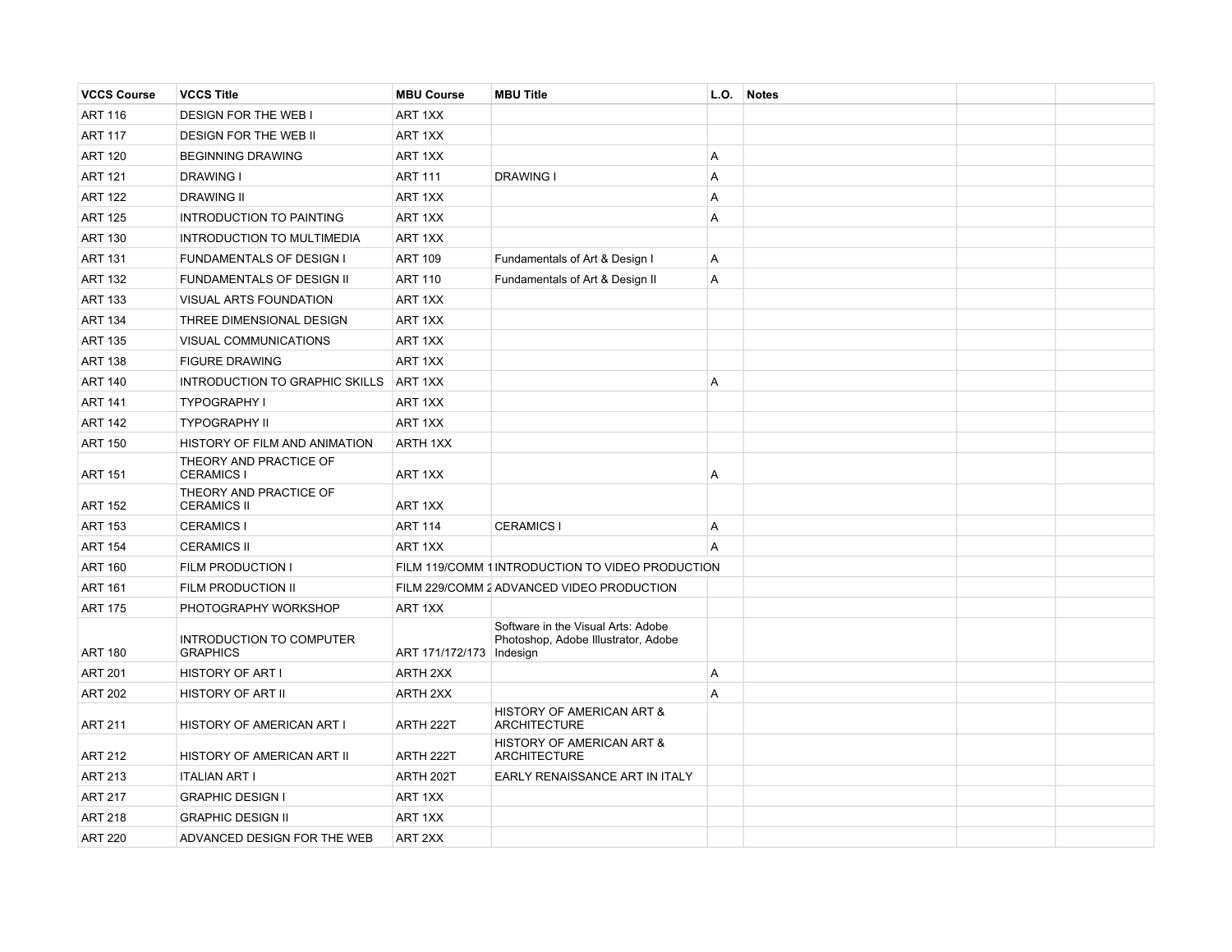| <b>VCCS Course</b> | <b>VCCS Title</b>                            | <b>MBU Course</b>          | <b>MBU Title</b>                                                          | L.O. | <b>Notes</b> |  |
|--------------------|----------------------------------------------|----------------------------|---------------------------------------------------------------------------|------|--------------|--|
| <b>ART 116</b>     | <b>DESIGN FOR THE WEB I</b>                  | ART 1XX                    |                                                                           |      |              |  |
| <b>ART 117</b>     | <b>DESIGN FOR THE WEB II</b>                 | ART 1XX                    |                                                                           |      |              |  |
| <b>ART 120</b>     | <b>BEGINNING DRAWING</b>                     | ART 1XX                    |                                                                           | A    |              |  |
| <b>ART 121</b>     | <b>DRAWING I</b>                             | <b>ART 111</b>             | <b>DRAWING I</b>                                                          | A    |              |  |
| <b>ART 122</b>     | <b>DRAWING II</b>                            | ART 1XX                    |                                                                           | A    |              |  |
| <b>ART 125</b>     | INTRODUCTION TO PAINTING                     | ART 1XX                    |                                                                           | Α    |              |  |
| <b>ART 130</b>     | INTRODUCTION TO MULTIMEDIA                   | ART 1XX                    |                                                                           |      |              |  |
| <b>ART 131</b>     | <b>FUNDAMENTALS OF DESIGN I</b>              | <b>ART 109</b>             | Fundamentals of Art & Design I                                            | A    |              |  |
| <b>ART 132</b>     | FUNDAMENTALS OF DESIGN II                    | <b>ART 110</b>             | Fundamentals of Art & Design II                                           | A    |              |  |
| <b>ART 133</b>     | VISUAL ARTS FOUNDATION                       | ART 1XX                    |                                                                           |      |              |  |
| <b>ART 134</b>     | THREE DIMENSIONAL DESIGN                     | ART 1XX                    |                                                                           |      |              |  |
| <b>ART 135</b>     | VISUAL COMMUNICATIONS                        | ART 1XX                    |                                                                           |      |              |  |
| <b>ART 138</b>     | <b>FIGURE DRAWING</b>                        | ART 1XX                    |                                                                           |      |              |  |
| <b>ART 140</b>     | <b>INTRODUCTION TO GRAPHIC SKILLS</b>        | ART 1XX                    |                                                                           | A    |              |  |
| <b>ART 141</b>     | <b>TYPOGRAPHY I</b>                          | ART 1XX                    |                                                                           |      |              |  |
| <b>ART 142</b>     | <b>TYPOGRAPHY II</b>                         | ART 1XX                    |                                                                           |      |              |  |
| <b>ART 150</b>     | HISTORY OF FILM AND ANIMATION                | ARTH 1XX                   |                                                                           |      |              |  |
| <b>ART 151</b>     | THEORY AND PRACTICE OF<br><b>CERAMICS I</b>  | ART 1XX                    |                                                                           | A    |              |  |
| <b>ART 152</b>     | THEORY AND PRACTICE OF<br><b>CERAMICS II</b> | ART 1XX                    |                                                                           |      |              |  |
| <b>ART 153</b>     | <b>CERAMICS I</b>                            | <b>ART 114</b>             | <b>CERAMICS I</b>                                                         | Α    |              |  |
| <b>ART 154</b>     | <b>CERAMICS II</b>                           | ART 1XX                    |                                                                           | A    |              |  |
| <b>ART 160</b>     | FILM PRODUCTION I                            |                            | FILM 119/COMM 1 INTRODUCTION TO VIDEO PRODUCTION                          |      |              |  |
| <b>ART 161</b>     | FILM PRODUCTION II                           |                            | FILM 229/COMM 2 ADVANCED VIDEO PRODUCTION                                 |      |              |  |
| <b>ART 175</b>     | PHOTOGRAPHY WORKSHOP                         | ART 1XX                    |                                                                           |      |              |  |
| <b>ART 180</b>     | INTRODUCTION TO COMPUTER<br><b>GRAPHICS</b>  | ART 171/172/173   Indesign | Software in the Visual Arts: Adobe<br>Photoshop, Adobe Illustrator, Adobe |      |              |  |
| <b>ART 201</b>     | HISTORY OF ART I                             | ARTH 2XX                   |                                                                           | A    |              |  |
| <b>ART 202</b>     | HISTORY OF ART II                            | ARTH 2XX                   |                                                                           | A    |              |  |
| <b>ART 211</b>     | HISTORY OF AMERICAN ART I                    | ARTH 222T                  | HISTORY OF AMERICAN ART &<br><b>ARCHITECTURE</b>                          |      |              |  |
| <b>ART 212</b>     | HISTORY OF AMERICAN ART II                   | ARTH 222T                  | HISTORY OF AMERICAN ART &<br><b>ARCHITECTURE</b>                          |      |              |  |
| <b>ART 213</b>     | <b>ITALIAN ART I</b>                         | ARTH 202T                  | EARLY RENAISSANCE ART IN ITALY                                            |      |              |  |
| <b>ART 217</b>     | <b>GRAPHIC DESIGN I</b>                      | ART 1XX                    |                                                                           |      |              |  |
| <b>ART 218</b>     | <b>GRAPHIC DESIGN II</b>                     | ART 1XX                    |                                                                           |      |              |  |
| <b>ART 220</b>     | ADVANCED DESIGN FOR THE WEB                  | ART 2XX                    |                                                                           |      |              |  |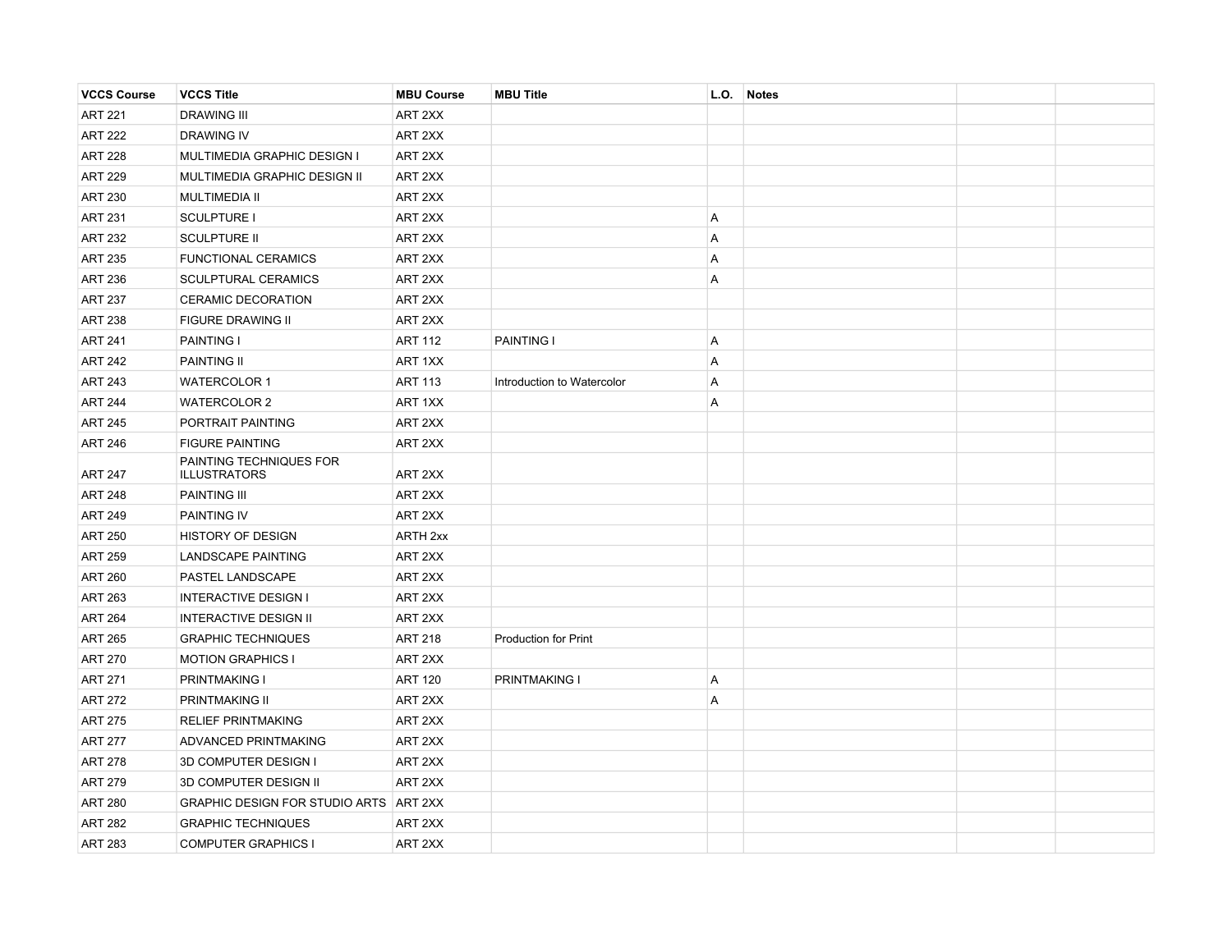| <b>VCCS Course</b> | <b>VCCS Title</b>                              | <b>MBU Course</b> | <b>MBU Title</b>           | L.O.           | <b>Notes</b> |  |
|--------------------|------------------------------------------------|-------------------|----------------------------|----------------|--------------|--|
| <b>ART 221</b>     | <b>DRAWING III</b>                             | ART 2XX           |                            |                |              |  |
| <b>ART 222</b>     | <b>DRAWING IV</b>                              | ART 2XX           |                            |                |              |  |
| <b>ART 228</b>     | MULTIMEDIA GRAPHIC DESIGN I                    | ART 2XX           |                            |                |              |  |
| <b>ART 229</b>     | MULTIMEDIA GRAPHIC DESIGN II                   | ART 2XX           |                            |                |              |  |
| <b>ART 230</b>     | <b>MULTIMEDIA II</b>                           | ART 2XX           |                            |                |              |  |
| <b>ART 231</b>     | <b>SCULPTURE I</b>                             | ART 2XX           |                            | A              |              |  |
| <b>ART 232</b>     | <b>SCULPTURE II</b>                            | ART 2XX           |                            | $\overline{A}$ |              |  |
| <b>ART 235</b>     | <b>FUNCTIONAL CERAMICS</b>                     | ART 2XX           |                            | A              |              |  |
| <b>ART 236</b>     | <b>SCULPTURAL CERAMICS</b>                     | ART 2XX           |                            | Α              |              |  |
| <b>ART 237</b>     | <b>CERAMIC DECORATION</b>                      | ART 2XX           |                            |                |              |  |
| <b>ART 238</b>     | FIGURE DRAWING II                              | ART 2XX           |                            |                |              |  |
| <b>ART 241</b>     | <b>PAINTING I</b>                              | <b>ART 112</b>    | PAINTING I                 | A              |              |  |
| <b>ART 242</b>     | <b>PAINTING II</b>                             | ART 1XX           |                            | A              |              |  |
| <b>ART 243</b>     | <b>WATERCOLOR 1</b>                            | <b>ART 113</b>    | Introduction to Watercolor | $\overline{A}$ |              |  |
| <b>ART 244</b>     | <b>WATERCOLOR 2</b>                            | ART 1XX           |                            | Α              |              |  |
| <b>ART 245</b>     | PORTRAIT PAINTING                              | ART 2XX           |                            |                |              |  |
| <b>ART 246</b>     | <b>FIGURE PAINTING</b>                         | ART 2XX           |                            |                |              |  |
| <b>ART 247</b>     | PAINTING TECHNIQUES FOR<br><b>ILLUSTRATORS</b> | ART 2XX           |                            |                |              |  |
| <b>ART 248</b>     | <b>PAINTING III</b>                            | ART 2XX           |                            |                |              |  |
| <b>ART 249</b>     | <b>PAINTING IV</b>                             | ART 2XX           |                            |                |              |  |
| <b>ART 250</b>     | <b>HISTORY OF DESIGN</b>                       | <b>ARTH 2xx</b>   |                            |                |              |  |
| <b>ART 259</b>     | LANDSCAPE PAINTING                             | ART 2XX           |                            |                |              |  |
| <b>ART 260</b>     | PASTEL LANDSCAPE                               | ART 2XX           |                            |                |              |  |
| <b>ART 263</b>     | <b>INTERACTIVE DESIGN I</b>                    | ART 2XX           |                            |                |              |  |
| <b>ART 264</b>     | <b>INTERACTIVE DESIGN II</b>                   | ART 2XX           |                            |                |              |  |
| <b>ART 265</b>     | <b>GRAPHIC TECHNIQUES</b>                      | <b>ART 218</b>    | Production for Print       |                |              |  |
| <b>ART 270</b>     | <b>MOTION GRAPHICS I</b>                       | ART 2XX           |                            |                |              |  |
| <b>ART 271</b>     | <b>PRINTMAKING I</b>                           | <b>ART 120</b>    | <b>PRINTMAKING I</b>       | A              |              |  |
| <b>ART 272</b>     | PRINTMAKING II                                 | ART 2XX           |                            | $\overline{A}$ |              |  |
| <b>ART 275</b>     | <b>RELIEF PRINTMAKING</b>                      | ART 2XX           |                            |                |              |  |
| <b>ART 277</b>     | ADVANCED PRINTMAKING                           | ART 2XX           |                            |                |              |  |
| <b>ART 278</b>     | 3D COMPUTER DESIGN I                           | ART 2XX           |                            |                |              |  |
| <b>ART 279</b>     | 3D COMPUTER DESIGN II                          | ART 2XX           |                            |                |              |  |
| <b>ART 280</b>     | GRAPHIC DESIGN FOR STUDIO ARTS ART 2XX         |                   |                            |                |              |  |
| <b>ART 282</b>     | <b>GRAPHIC TECHNIQUES</b>                      | ART 2XX           |                            |                |              |  |
| <b>ART 283</b>     | <b>COMPUTER GRAPHICS I</b>                     | ART 2XX           |                            |                |              |  |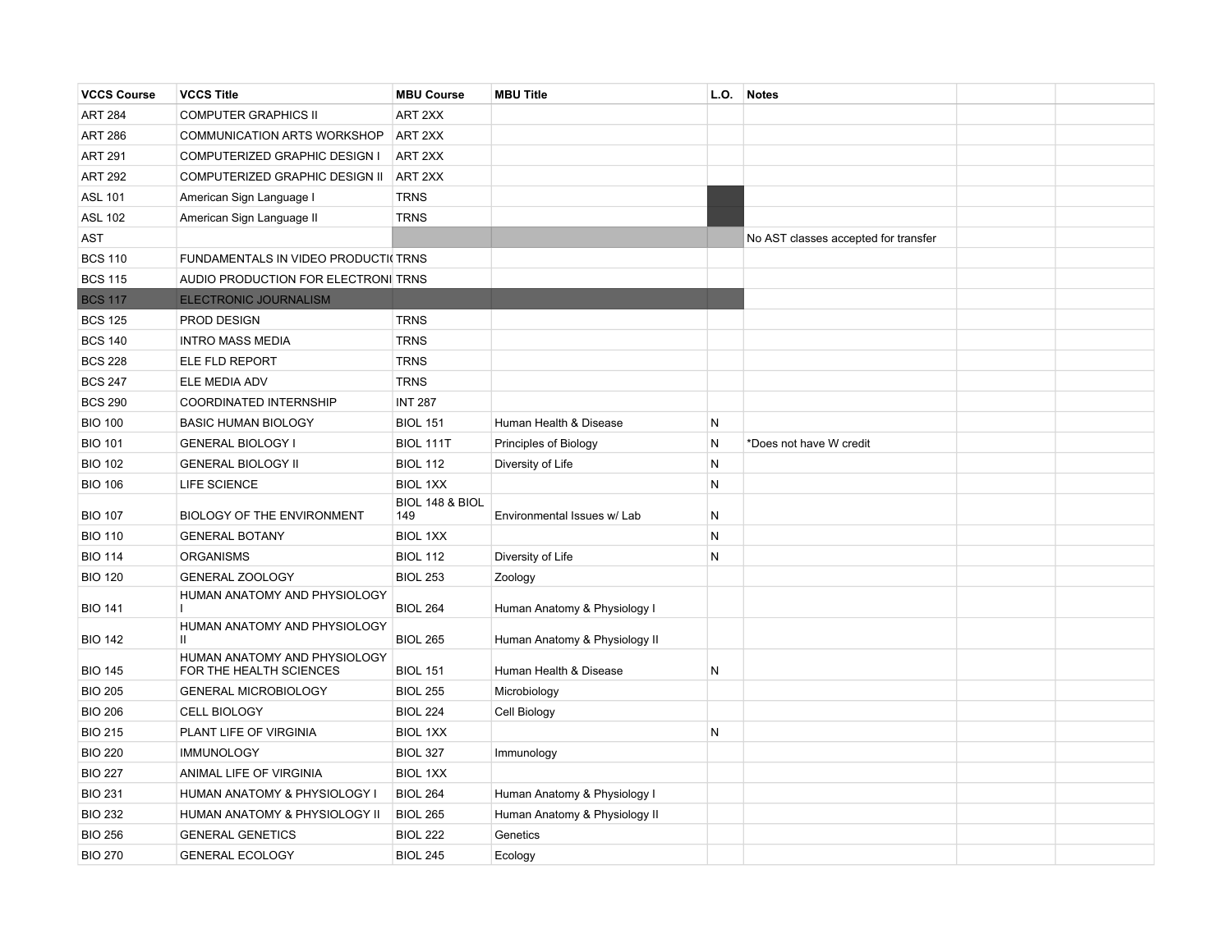| <b>VCCS Course</b> | <b>VCCS Title</b>                                       | <b>MBU Course</b>      | <b>MBU Title</b>              | L.O.      | <b>Notes</b>                         |  |
|--------------------|---------------------------------------------------------|------------------------|-------------------------------|-----------|--------------------------------------|--|
| <b>ART 284</b>     | <b>COMPUTER GRAPHICS II</b>                             | ART 2XX                |                               |           |                                      |  |
| <b>ART 286</b>     | COMMUNICATION ARTS WORKSHOP                             | ART 2XX                |                               |           |                                      |  |
| <b>ART 291</b>     | COMPUTERIZED GRAPHIC DESIGN I                           | ART 2XX                |                               |           |                                      |  |
| <b>ART 292</b>     | COMPUTERIZED GRAPHIC DESIGN II                          | ART 2XX                |                               |           |                                      |  |
| <b>ASL 101</b>     | American Sign Language I                                | <b>TRNS</b>            |                               |           |                                      |  |
| <b>ASL 102</b>     | American Sign Language II                               | <b>TRNS</b>            |                               |           |                                      |  |
| <b>AST</b>         |                                                         |                        |                               |           | No AST classes accepted for transfer |  |
| <b>BCS 110</b>     | FUNDAMENTALS IN VIDEO PRODUCTI(TRNS                     |                        |                               |           |                                      |  |
| <b>BCS 115</b>     | AUDIO PRODUCTION FOR ELECTRONI TRNS                     |                        |                               |           |                                      |  |
| <b>BCS 117</b>     | ELECTRONIC JOURNALISM                                   |                        |                               |           |                                      |  |
| <b>BCS 125</b>     | PROD DESIGN                                             | <b>TRNS</b>            |                               |           |                                      |  |
| <b>BCS 140</b>     | <b>INTRO MASS MEDIA</b>                                 | <b>TRNS</b>            |                               |           |                                      |  |
| <b>BCS 228</b>     | <b>ELE FLD REPORT</b>                                   | <b>TRNS</b>            |                               |           |                                      |  |
| <b>BCS 247</b>     | ELE MEDIA ADV                                           | <b>TRNS</b>            |                               |           |                                      |  |
| <b>BCS 290</b>     | <b>COORDINATED INTERNSHIP</b>                           | <b>INT 287</b>         |                               |           |                                      |  |
| <b>BIO 100</b>     | <b>BASIC HUMAN BIOLOGY</b>                              | <b>BIOL 151</b>        | Human Health & Disease        | N         |                                      |  |
| <b>BIO 101</b>     | <b>GENERAL BIOLOGY I</b>                                | BIOL 111T              | Principles of Biology         | N         | *Does not have W credit              |  |
| <b>BIO 102</b>     | <b>GENERAL BIOLOGY II</b>                               | <b>BIOL 112</b>        | Diversity of Life             | N         |                                      |  |
| <b>BIO 106</b>     | LIFE SCIENCE                                            | <b>BIOL 1XX</b>        |                               | N         |                                      |  |
| <b>BIO 107</b>     | <b>BIOLOGY OF THE ENVIRONMENT</b>                       | BIOL 148 & BIOL<br>149 | Environmental Issues w/ Lab   | N         |                                      |  |
| <b>BIO 110</b>     | <b>GENERAL BOTANY</b>                                   | <b>BIOL 1XX</b>        |                               | N         |                                      |  |
| <b>BIO 114</b>     | <b>ORGANISMS</b>                                        | <b>BIOL 112</b>        | Diversity of Life             | N         |                                      |  |
| <b>BIO 120</b>     | <b>GENERAL ZOOLOGY</b>                                  | <b>BIOL 253</b>        | Zoology                       |           |                                      |  |
| <b>BIO 141</b>     | HUMAN ANATOMY AND PHYSIOLOGY                            | <b>BIOL 264</b>        | Human Anatomy & Physiology I  |           |                                      |  |
| <b>BIO 142</b>     | HUMAN ANATOMY AND PHYSIOLOGY<br>$\mathbf{II}$           | <b>BIOL 265</b>        | Human Anatomy & Physiology II |           |                                      |  |
| <b>BIO 145</b>     | HUMAN ANATOMY AND PHYSIOLOGY<br>FOR THE HEALTH SCIENCES | <b>BIOL 151</b>        | Human Health & Disease        | ${\sf N}$ |                                      |  |
| <b>BIO 205</b>     | <b>GENERAL MICROBIOLOGY</b>                             | <b>BIOL 255</b>        | Microbiology                  |           |                                      |  |
| <b>BIO 206</b>     | <b>CELL BIOLOGY</b>                                     | <b>BIOL 224</b>        | Cell Biology                  |           |                                      |  |
| <b>BIO 215</b>     | PLANT LIFE OF VIRGINIA                                  | <b>BIOL 1XX</b>        |                               | N         |                                      |  |
| <b>BIO 220</b>     | <b>IMMUNOLOGY</b>                                       | <b>BIOL 327</b>        | Immunology                    |           |                                      |  |
| <b>BIO 227</b>     | ANIMAL LIFE OF VIRGINIA                                 | <b>BIOL 1XX</b>        |                               |           |                                      |  |
| <b>BIO 231</b>     | HUMAN ANATOMY & PHYSIOLOGY I                            | <b>BIOL 264</b>        | Human Anatomy & Physiology I  |           |                                      |  |
| <b>BIO 232</b>     | HUMAN ANATOMY & PHYSIOLOGY II                           | <b>BIOL 265</b>        | Human Anatomy & Physiology II |           |                                      |  |
| <b>BIO 256</b>     | <b>GENERAL GENETICS</b>                                 | <b>BIOL 222</b>        | Genetics                      |           |                                      |  |
| <b>BIO 270</b>     | <b>GENERAL ECOLOGY</b>                                  | <b>BIOL 245</b>        | Ecology                       |           |                                      |  |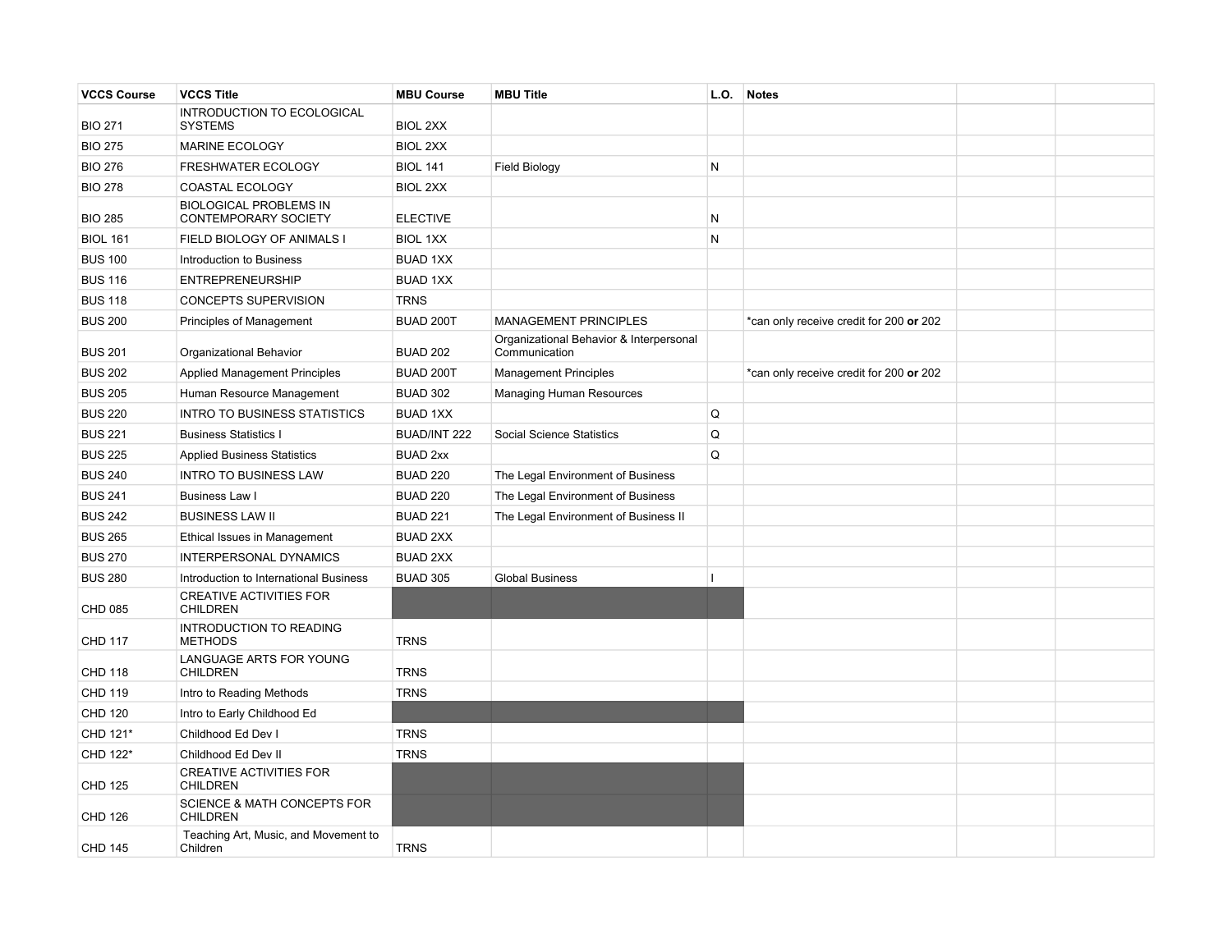| <b>VCCS Course</b> | <b>VCCS Title</b>                                            | <b>MBU Course</b> | <b>MBU Title</b>                                         | L.O. | Notes                                   |  |
|--------------------|--------------------------------------------------------------|-------------------|----------------------------------------------------------|------|-----------------------------------------|--|
| <b>BIO 271</b>     | INTRODUCTION TO ECOLOGICAL<br><b>SYSTEMS</b>                 | <b>BIOL 2XX</b>   |                                                          |      |                                         |  |
| <b>BIO 275</b>     | MARINE ECOLOGY                                               | <b>BIOL 2XX</b>   |                                                          |      |                                         |  |
| <b>BIO 276</b>     | FRESHWATER ECOLOGY                                           | <b>BIOL 141</b>   | <b>Field Biology</b>                                     | N    |                                         |  |
| <b>BIO 278</b>     | COASTAL ECOLOGY                                              | <b>BIOL 2XX</b>   |                                                          |      |                                         |  |
| <b>BIO 285</b>     | <b>BIOLOGICAL PROBLEMS IN</b><br><b>CONTEMPORARY SOCIETY</b> | <b>ELECTIVE</b>   |                                                          | N    |                                         |  |
| <b>BIOL 161</b>    | FIELD BIOLOGY OF ANIMALS I                                   | <b>BIOL 1XX</b>   |                                                          | N    |                                         |  |
| <b>BUS 100</b>     | Introduction to Business                                     | <b>BUAD 1XX</b>   |                                                          |      |                                         |  |
| <b>BUS 116</b>     | <b>ENTREPRENEURSHIP</b>                                      | <b>BUAD 1XX</b>   |                                                          |      |                                         |  |
| <b>BUS 118</b>     | CONCEPTS SUPERVISION                                         | <b>TRNS</b>       |                                                          |      |                                         |  |
| <b>BUS 200</b>     | Principles of Management                                     | BUAD 200T         | <b>MANAGEMENT PRINCIPLES</b>                             |      | *can only receive credit for 200 or 202 |  |
| <b>BUS 201</b>     | Organizational Behavior                                      | <b>BUAD 202</b>   | Organizational Behavior & Interpersonal<br>Communication |      |                                         |  |
| <b>BUS 202</b>     | <b>Applied Management Principles</b>                         | BUAD 200T         | <b>Management Principles</b>                             |      | *can only receive credit for 200 or 202 |  |
| <b>BUS 205</b>     | Human Resource Management                                    | <b>BUAD 302</b>   | <b>Managing Human Resources</b>                          |      |                                         |  |
| <b>BUS 220</b>     | <b>INTRO TO BUSINESS STATISTICS</b>                          | <b>BUAD 1XX</b>   |                                                          | Q    |                                         |  |
| <b>BUS 221</b>     | <b>Business Statistics I</b>                                 | BUAD/INT 222      | Social Science Statistics                                | Q    |                                         |  |
| <b>BUS 225</b>     | <b>Applied Business Statistics</b>                           | <b>BUAD 2xx</b>   |                                                          | Q    |                                         |  |
| <b>BUS 240</b>     | <b>INTRO TO BUSINESS LAW</b>                                 | <b>BUAD 220</b>   | The Legal Environment of Business                        |      |                                         |  |
| <b>BUS 241</b>     | Business Law I                                               | <b>BUAD 220</b>   | The Legal Environment of Business                        |      |                                         |  |
| <b>BUS 242</b>     | <b>BUSINESS LAW II</b>                                       | <b>BUAD 221</b>   | The Legal Environment of Business II                     |      |                                         |  |
| <b>BUS 265</b>     | Ethical Issues in Management                                 | <b>BUAD 2XX</b>   |                                                          |      |                                         |  |
| <b>BUS 270</b>     | <b>INTERPERSONAL DYNAMICS</b>                                | <b>BUAD 2XX</b>   |                                                          |      |                                         |  |
| <b>BUS 280</b>     | Introduction to International Business                       | <b>BUAD 305</b>   | <b>Global Business</b>                                   | ı    |                                         |  |
| <b>CHD 085</b>     | <b>CREATIVE ACTIVITIES FOR</b><br><b>CHILDREN</b>            |                   |                                                          |      |                                         |  |
| <b>CHD 117</b>     | INTRODUCTION TO READING<br><b>METHODS</b>                    | <b>TRNS</b>       |                                                          |      |                                         |  |
| <b>CHD 118</b>     | LANGUAGE ARTS FOR YOUNG<br><b>CHILDREN</b>                   | <b>TRNS</b>       |                                                          |      |                                         |  |
| <b>CHD 119</b>     | Intro to Reading Methods                                     | <b>TRNS</b>       |                                                          |      |                                         |  |
| <b>CHD 120</b>     | Intro to Early Childhood Ed                                  |                   |                                                          |      |                                         |  |
| CHD 121*           | Childhood Ed Dev I                                           | <b>TRNS</b>       |                                                          |      |                                         |  |
| CHD 122*           | Childhood Ed Dev II                                          | <b>TRNS</b>       |                                                          |      |                                         |  |
| <b>CHD 125</b>     | <b>CREATIVE ACTIVITIES FOR</b><br><b>CHILDREN</b>            |                   |                                                          |      |                                         |  |
| <b>CHD 126</b>     | <b>SCIENCE &amp; MATH CONCEPTS FOR</b><br><b>CHILDREN</b>    |                   |                                                          |      |                                         |  |
| <b>CHD 145</b>     | Teaching Art, Music, and Movement to<br>Children             | <b>TRNS</b>       |                                                          |      |                                         |  |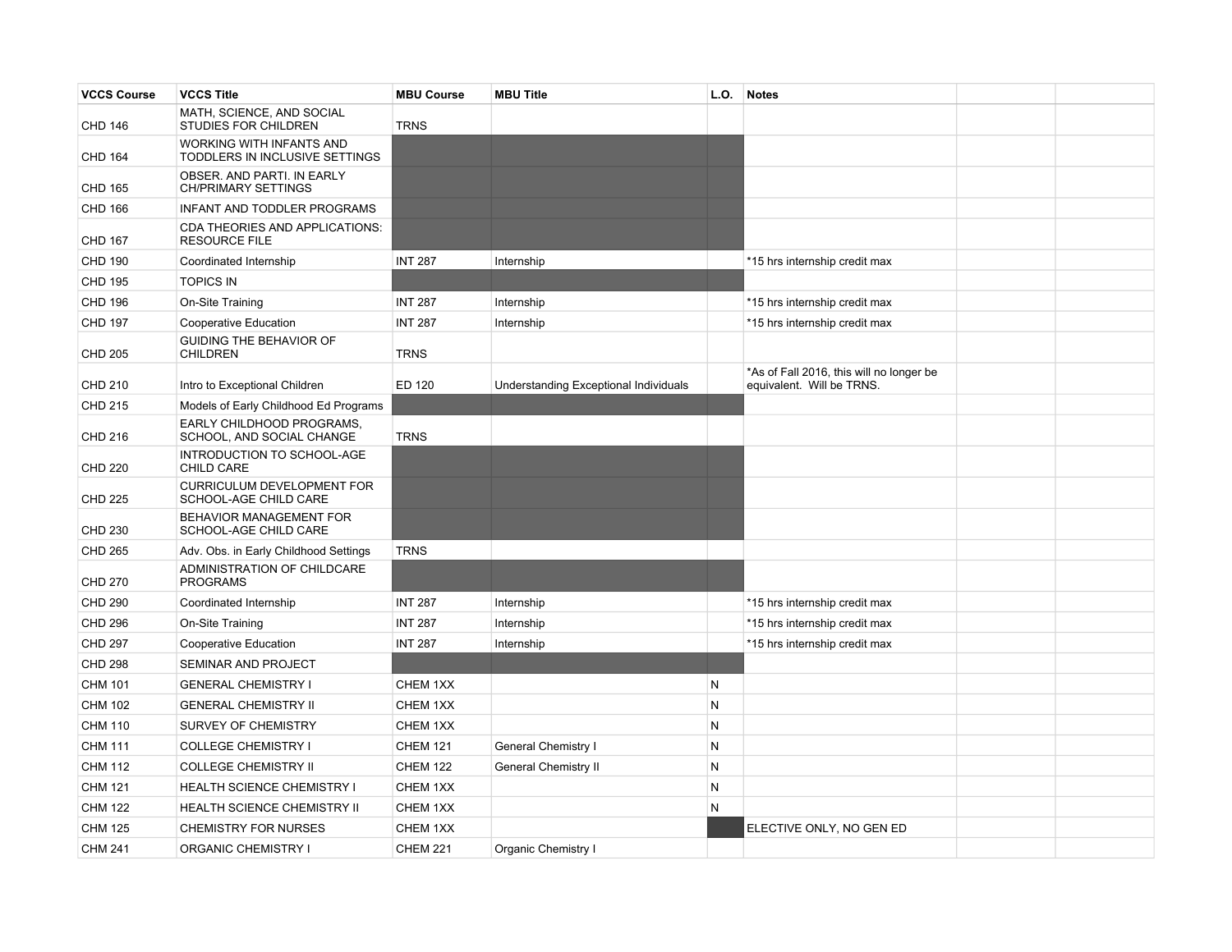| <b>VCCS Course</b> | <b>VCCS Title</b>                                          | <b>MBU Course</b> | <b>MBU Title</b>                      | L.O. | <b>Notes</b>                                                          |  |
|--------------------|------------------------------------------------------------|-------------------|---------------------------------------|------|-----------------------------------------------------------------------|--|
| <b>CHD 146</b>     | MATH, SCIENCE, AND SOCIAL<br>STUDIES FOR CHILDREN          | <b>TRNS</b>       |                                       |      |                                                                       |  |
| <b>CHD 164</b>     | WORKING WITH INFANTS AND<br>TODDLERS IN INCLUSIVE SETTINGS |                   |                                       |      |                                                                       |  |
| <b>CHD 165</b>     | OBSER. AND PARTI. IN EARLY<br><b>CH/PRIMARY SETTINGS</b>   |                   |                                       |      |                                                                       |  |
| <b>CHD 166</b>     | INFANT AND TODDLER PROGRAMS                                |                   |                                       |      |                                                                       |  |
| <b>CHD 167</b>     | CDA THEORIES AND APPLICATIONS:<br><b>RESOURCE FILE</b>     |                   |                                       |      |                                                                       |  |
| <b>CHD 190</b>     | Coordinated Internship                                     | <b>INT 287</b>    | Internship                            |      | *15 hrs internship credit max                                         |  |
| <b>CHD 195</b>     | <b>TOPICS IN</b>                                           |                   |                                       |      |                                                                       |  |
| <b>CHD 196</b>     | On-Site Training                                           | <b>INT 287</b>    | Internship                            |      | *15 hrs internship credit max                                         |  |
| <b>CHD 197</b>     | Cooperative Education                                      | <b>INT 287</b>    | Internship                            |      | *15 hrs internship credit max                                         |  |
| <b>CHD 205</b>     | GUIDING THE BEHAVIOR OF<br><b>CHILDREN</b>                 | <b>TRNS</b>       |                                       |      |                                                                       |  |
| <b>CHD 210</b>     | Intro to Exceptional Children                              | ED 120            | Understanding Exceptional Individuals |      | *As of Fall 2016, this will no longer be<br>equivalent. Will be TRNS. |  |
| <b>CHD 215</b>     | Models of Early Childhood Ed Programs                      |                   |                                       |      |                                                                       |  |
| <b>CHD 216</b>     | EARLY CHILDHOOD PROGRAMS,<br>SCHOOL, AND SOCIAL CHANGE     | <b>TRNS</b>       |                                       |      |                                                                       |  |
| <b>CHD 220</b>     | INTRODUCTION TO SCHOOL-AGE<br>CHILD CARE                   |                   |                                       |      |                                                                       |  |
| <b>CHD 225</b>     | <b>CURRICULUM DEVELOPMENT FOR</b><br>SCHOOL-AGE CHILD CARE |                   |                                       |      |                                                                       |  |
| <b>CHD 230</b>     | BEHAVIOR MANAGEMENT FOR<br>SCHOOL-AGE CHILD CARE           |                   |                                       |      |                                                                       |  |
| <b>CHD 265</b>     | Adv. Obs. in Early Childhood Settings                      | <b>TRNS</b>       |                                       |      |                                                                       |  |
| <b>CHD 270</b>     | ADMINISTRATION OF CHILDCARE<br><b>PROGRAMS</b>             |                   |                                       |      |                                                                       |  |
| <b>CHD 290</b>     | Coordinated Internship                                     | <b>INT 287</b>    | Internship                            |      | *15 hrs internship credit max                                         |  |
| <b>CHD 296</b>     | On-Site Training                                           | <b>INT 287</b>    | Internship                            |      | *15 hrs internship credit max                                         |  |
| <b>CHD 297</b>     | Cooperative Education                                      | <b>INT 287</b>    | Internship                            |      | *15 hrs internship credit max                                         |  |
| <b>CHD 298</b>     | SEMINAR AND PROJECT                                        |                   |                                       |      |                                                                       |  |
| <b>CHM 101</b>     | <b>GENERAL CHEMISTRY I</b>                                 | CHEM 1XX          |                                       | N    |                                                                       |  |
| <b>CHM 102</b>     | <b>GENERAL CHEMISTRY II</b>                                | CHEM 1XX          |                                       | N    |                                                                       |  |
| <b>CHM 110</b>     | SURVEY OF CHEMISTRY                                        | CHEM 1XX          |                                       | N    |                                                                       |  |
| <b>CHM 111</b>     | <b>COLLEGE CHEMISTRY I</b>                                 | <b>CHEM 121</b>   | <b>General Chemistry I</b>            | N    |                                                                       |  |
| <b>CHM 112</b>     | <b>COLLEGE CHEMISTRY II</b>                                | <b>CHEM 122</b>   | <b>General Chemistry II</b>           | N    |                                                                       |  |
| <b>CHM 121</b>     | <b>HEALTH SCIENCE CHEMISTRY I</b>                          | CHEM 1XX          |                                       | N    |                                                                       |  |
| <b>CHM 122</b>     | HEALTH SCIENCE CHEMISTRY II                                | CHEM 1XX          |                                       | N    |                                                                       |  |
| <b>CHM 125</b>     | <b>CHEMISTRY FOR NURSES</b>                                | CHEM 1XX          |                                       |      | ELECTIVE ONLY, NO GEN ED                                              |  |
| <b>CHM 241</b>     | <b>ORGANIC CHEMISTRY I</b>                                 | <b>CHEM 221</b>   | Organic Chemistry I                   |      |                                                                       |  |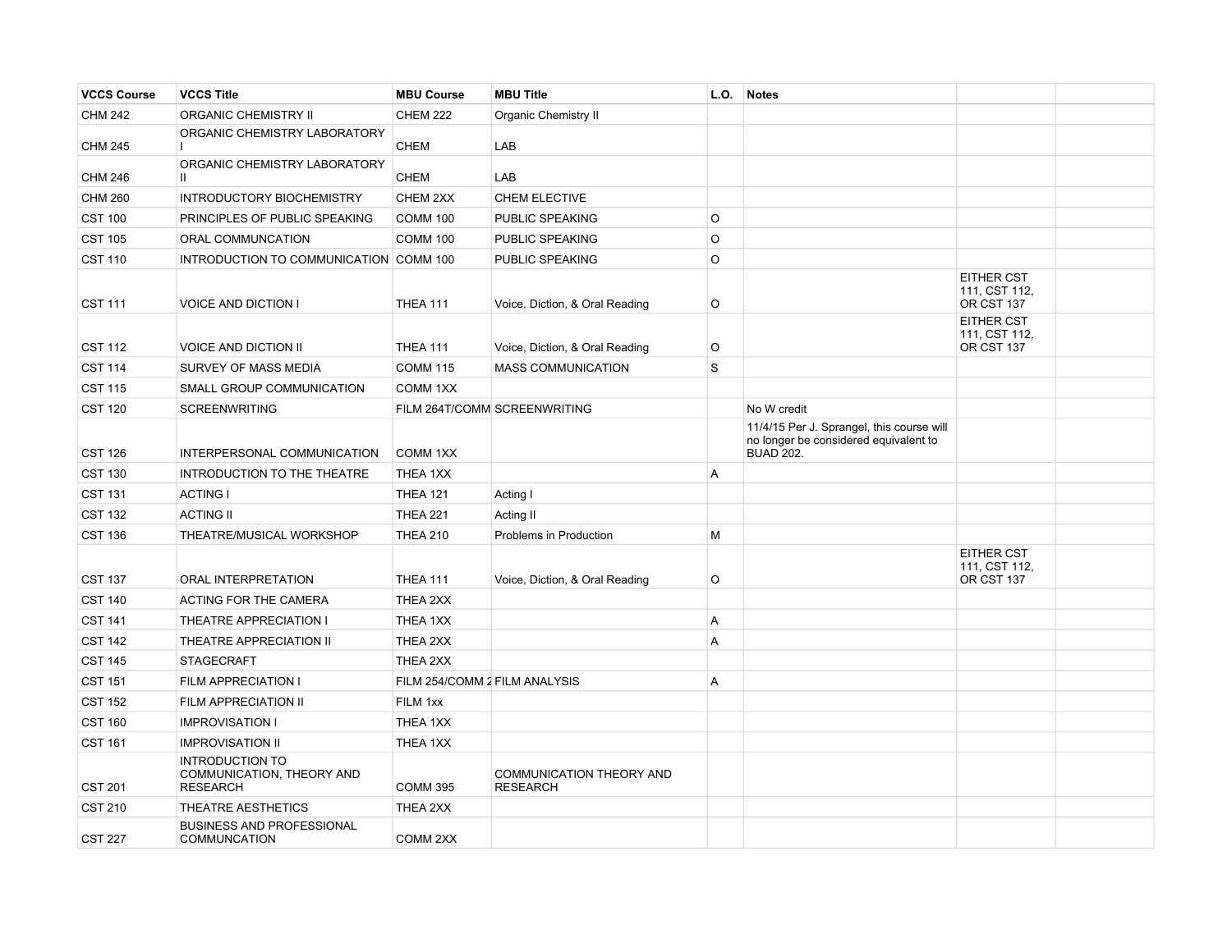| <b>VCCS Course</b> | <b>VCCS Title</b>                                                      | <b>MBU Course</b>             | <b>MBU Title</b>                            | L.O.    | <b>Notes</b>                                                                                           |                                                  |  |
|--------------------|------------------------------------------------------------------------|-------------------------------|---------------------------------------------|---------|--------------------------------------------------------------------------------------------------------|--------------------------------------------------|--|
| <b>CHM 242</b>     | <b>ORGANIC CHEMISTRY II</b>                                            | <b>CHEM 222</b>               | <b>Organic Chemistry II</b>                 |         |                                                                                                        |                                                  |  |
| <b>CHM 245</b>     | ORGANIC CHEMISTRY LABORATORY                                           | <b>CHEM</b>                   | LAB                                         |         |                                                                                                        |                                                  |  |
| <b>CHM 246</b>     | ORGANIC CHEMISTRY LABORATORY<br>$\mathbf{H}$                           | <b>CHEM</b>                   | LAB                                         |         |                                                                                                        |                                                  |  |
| <b>CHM 260</b>     | <b>INTRODUCTORY BIOCHEMISTRY</b>                                       | CHEM 2XX                      | <b>CHEM ELECTIVE</b>                        |         |                                                                                                        |                                                  |  |
| <b>CST 100</b>     | PRINCIPLES OF PUBLIC SPEAKING                                          | <b>COMM 100</b>               | PUBLIC SPEAKING                             | $\circ$ |                                                                                                        |                                                  |  |
| <b>CST 105</b>     | ORAL COMMUNCATION                                                      | <b>COMM 100</b>               | PUBLIC SPEAKING                             | O       |                                                                                                        |                                                  |  |
| <b>CST 110</b>     | INTRODUCTION TO COMMUNICATION COMM 100                                 |                               | PUBLIC SPEAKING                             | O       |                                                                                                        |                                                  |  |
| <b>CST 111</b>     | <b>VOICE AND DICTION I</b>                                             | <b>THEA 111</b>               | Voice, Diction, & Oral Reading              | O       |                                                                                                        | EITHER CST<br>111, CST 112,<br>OR CST 137        |  |
| <b>CST 112</b>     | <b>VOICE AND DICTION II</b>                                            | <b>THEA 111</b>               | Voice, Diction, & Oral Reading              | O       |                                                                                                        | <b>EITHER CST</b><br>111, CST 112,<br>OR CST 137 |  |
| <b>CST 114</b>     | SURVEY OF MASS MEDIA                                                   | <b>COMM 115</b>               | <b>MASS COMMUNICATION</b>                   | S       |                                                                                                        |                                                  |  |
| <b>CST 115</b>     | SMALL GROUP COMMUNICATION                                              | COMM 1XX                      |                                             |         |                                                                                                        |                                                  |  |
| <b>CST 120</b>     | <b>SCREENWRITING</b>                                                   |                               | FILM 264T/COMM SCREENWRITING                |         | No W credit                                                                                            |                                                  |  |
| <b>CST 126</b>     | INTERPERSONAL COMMUNICATION                                            | COMM 1XX                      |                                             |         | 11/4/15 Per J. Sprangel, this course will<br>no longer be considered equivalent to<br><b>BUAD 202.</b> |                                                  |  |
| <b>CST 130</b>     | INTRODUCTION TO THE THEATRE                                            | THEA 1XX                      |                                             | A       |                                                                                                        |                                                  |  |
| <b>CST 131</b>     | <b>ACTING I</b>                                                        | <b>THEA 121</b>               | Acting I                                    |         |                                                                                                        |                                                  |  |
| <b>CST 132</b>     | <b>ACTING II</b>                                                       | <b>THEA 221</b>               | Acting II                                   |         |                                                                                                        |                                                  |  |
| <b>CST 136</b>     | THEATRE/MUSICAL WORKSHOP                                               | <b>THEA 210</b>               | Problems in Production                      | М       |                                                                                                        |                                                  |  |
| <b>CST 137</b>     | ORAL INTERPRETATION                                                    | <b>THEA 111</b>               | Voice, Diction, & Oral Reading              | O       |                                                                                                        | EITHER CST<br>111, CST 112,<br>OR CST 137        |  |
| <b>CST 140</b>     | ACTING FOR THE CAMERA                                                  | THEA 2XX                      |                                             |         |                                                                                                        |                                                  |  |
| <b>CST 141</b>     | THEATRE APPRECIATION I                                                 | THEA 1XX                      |                                             | A       |                                                                                                        |                                                  |  |
| <b>CST 142</b>     | THEATRE APPRECIATION II                                                | THEA 2XX                      |                                             | Α       |                                                                                                        |                                                  |  |
| <b>CST 145</b>     | <b>STAGECRAFT</b>                                                      | THEA 2XX                      |                                             |         |                                                                                                        |                                                  |  |
| <b>CST 151</b>     | FILM APPRECIATION I                                                    | FILM 254/COMM 2 FILM ANALYSIS |                                             | A       |                                                                                                        |                                                  |  |
| <b>CST 152</b>     | FILM APPRECIATION II                                                   | FILM 1xx                      |                                             |         |                                                                                                        |                                                  |  |
| <b>CST 160</b>     | <b>IMPROVISATION I</b>                                                 | THEA 1XX                      |                                             |         |                                                                                                        |                                                  |  |
| <b>CST 161</b>     | <b>IMPROVISATION II</b>                                                | THEA 1XX                      |                                             |         |                                                                                                        |                                                  |  |
| <b>CST 201</b>     | <b>INTRODUCTION TO</b><br>COMMUNICATION, THEORY AND<br><b>RESEARCH</b> | <b>COMM 395</b>               | COMMUNICATION THEORY AND<br><b>RESEARCH</b> |         |                                                                                                        |                                                  |  |
| <b>CST 210</b>     | THEATRE AESTHETICS                                                     | THEA 2XX                      |                                             |         |                                                                                                        |                                                  |  |
| <b>CST 227</b>     | <b>BUSINESS AND PROFESSIONAL</b><br><b>COMMUNCATION</b>                | COMM <sub>2XX</sub>           |                                             |         |                                                                                                        |                                                  |  |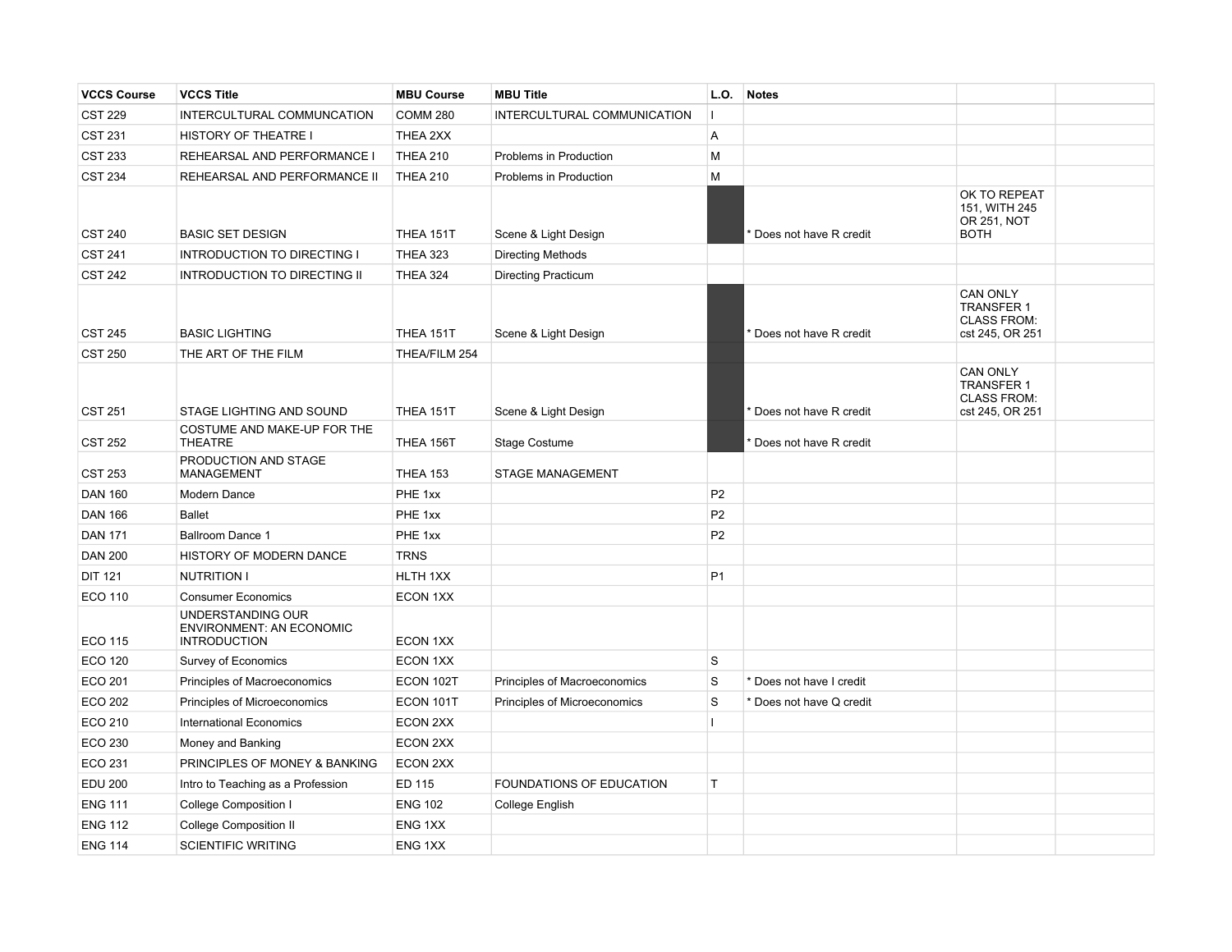| <b>VCCS Course</b> | <b>VCCS Title</b>                                                           | <b>MBU Course</b> | <b>MBU Title</b>             | L.O.           | <b>Notes</b>             |                                                                               |  |
|--------------------|-----------------------------------------------------------------------------|-------------------|------------------------------|----------------|--------------------------|-------------------------------------------------------------------------------|--|
| <b>CST 229</b>     | INTERCULTURAL COMMUNCATION                                                  | <b>COMM 280</b>   | INTERCULTURAL COMMUNICATION  | Ш              |                          |                                                                               |  |
| <b>CST 231</b>     | HISTORY OF THEATRE I                                                        | THEA 2XX          |                              | A              |                          |                                                                               |  |
| <b>CST 233</b>     | REHEARSAL AND PERFORMANCE I                                                 | <b>THEA 210</b>   | Problems in Production       | M              |                          |                                                                               |  |
| <b>CST 234</b>     | REHEARSAL AND PERFORMANCE II                                                | <b>THEA 210</b>   | Problems in Production       | M              |                          |                                                                               |  |
| <b>CST 240</b>     | <b>BASIC SET DESIGN</b>                                                     | THEA 151T         | Scene & Light Design         |                | Does not have R credit   | OK TO REPEAT<br>151, WITH 245<br>OR 251, NOT<br><b>BOTH</b>                   |  |
| <b>CST 241</b>     | <b>INTRODUCTION TO DIRECTING I</b>                                          | <b>THEA 323</b>   | <b>Directing Methods</b>     |                |                          |                                                                               |  |
| <b>CST 242</b>     | <b>INTRODUCTION TO DIRECTING II</b>                                         | <b>THEA 324</b>   | <b>Directing Practicum</b>   |                |                          |                                                                               |  |
| <b>CST 245</b>     | <b>BASIC LIGHTING</b>                                                       | THEA 151T         | Scene & Light Design         |                | Does not have R credit   | <b>CAN ONLY</b><br><b>TRANSFER 1</b><br><b>CLASS FROM:</b><br>cst 245, OR 251 |  |
| <b>CST 250</b>     | THE ART OF THE FILM                                                         | THEA/FILM 254     |                              |                |                          |                                                                               |  |
| <b>CST 251</b>     | STAGE LIGHTING AND SOUND                                                    | THEA 151T         | Scene & Light Design         |                | Does not have R credit   | <b>CAN ONLY</b><br><b>TRANSFER 1</b><br><b>CLASS FROM:</b><br>cst 245, OR 251 |  |
|                    | COSTUME AND MAKE-UP FOR THE                                                 |                   |                              |                |                          |                                                                               |  |
| <b>CST 252</b>     | <b>THEATRE</b>                                                              | THEA 156T         | <b>Stage Costume</b>         |                | Does not have R credit   |                                                                               |  |
| <b>CST 253</b>     | PRODUCTION AND STAGE<br><b>MANAGEMENT</b>                                   | <b>THEA 153</b>   | <b>STAGE MANAGEMENT</b>      |                |                          |                                                                               |  |
| <b>DAN 160</b>     | Modern Dance                                                                | PHE 1xx           |                              | P <sub>2</sub> |                          |                                                                               |  |
| <b>DAN 166</b>     | <b>Ballet</b>                                                               | PHE 1xx           |                              | P <sub>2</sub> |                          |                                                                               |  |
| <b>DAN 171</b>     | <b>Ballroom Dance 1</b>                                                     | PHE 1xx           |                              | P <sub>2</sub> |                          |                                                                               |  |
| <b>DAN 200</b>     | HISTORY OF MODERN DANCE                                                     | <b>TRNS</b>       |                              |                |                          |                                                                               |  |
| <b>DIT 121</b>     | <b>NUTRITION I</b>                                                          | HLTH 1XX          |                              | P <sub>1</sub> |                          |                                                                               |  |
| <b>ECO 110</b>     | <b>Consumer Economics</b>                                                   | ECON 1XX          |                              |                |                          |                                                                               |  |
| <b>ECO 115</b>     | UNDERSTANDING OUR<br><b>ENVIRONMENT: AN ECONOMIC</b><br><b>INTRODUCTION</b> | ECON 1XX          |                              |                |                          |                                                                               |  |
| <b>ECO 120</b>     | Survey of Economics                                                         | ECON 1XX          |                              | <b>S</b>       |                          |                                                                               |  |
| <b>ECO 201</b>     | Principles of Macroeconomics                                                | ECON 102T         | Principles of Macroeconomics | S              | * Does not have I credit |                                                                               |  |
| <b>ECO 202</b>     | Principles of Microeconomics                                                | ECON 101T         | Principles of Microeconomics | $\mathbf S$    | * Does not have Q credit |                                                                               |  |
| ECO 210            | <b>International Economics</b>                                              | ECON 2XX          |                              | Ш              |                          |                                                                               |  |
| <b>ECO 230</b>     | Money and Banking                                                           | ECON 2XX          |                              |                |                          |                                                                               |  |
| ECO 231            | PRINCIPLES OF MONEY & BANKING                                               | ECON 2XX          |                              |                |                          |                                                                               |  |
| <b>EDU 200</b>     | Intro to Teaching as a Profession                                           | ED 115            | FOUNDATIONS OF EDUCATION     | $\top$         |                          |                                                                               |  |
| <b>ENG 111</b>     | College Composition I                                                       | <b>ENG 102</b>    | College English              |                |                          |                                                                               |  |
| <b>ENG 112</b>     | <b>College Composition II</b>                                               | ENG 1XX           |                              |                |                          |                                                                               |  |
| <b>ENG 114</b>     | <b>SCIENTIFIC WRITING</b>                                                   | ENG 1XX           |                              |                |                          |                                                                               |  |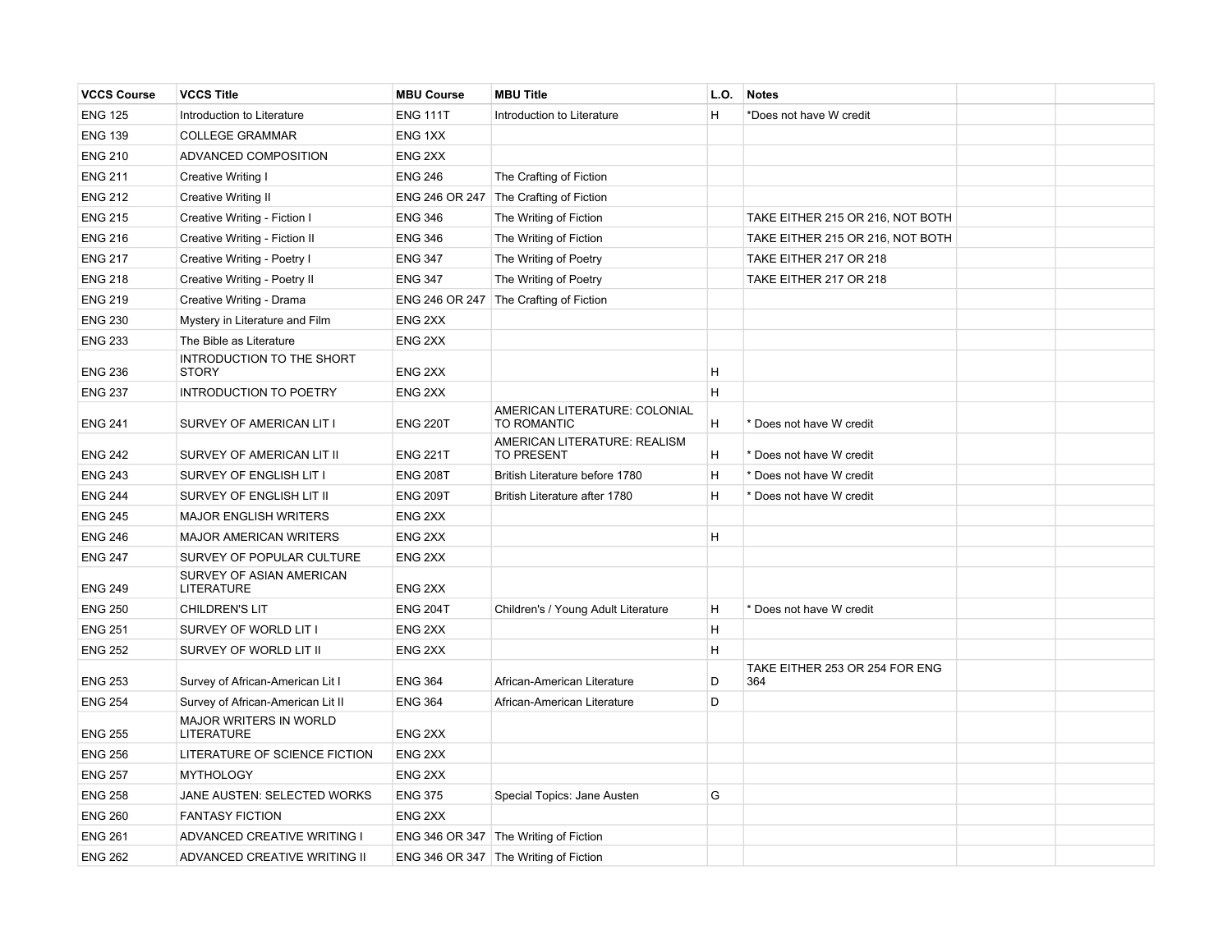| <b>VCCS Course</b> | <b>VCCS Title</b>                             | <b>MBU Course</b>  | <b>MBU Title</b>                                  | L.O. | <b>Notes</b>                          |  |
|--------------------|-----------------------------------------------|--------------------|---------------------------------------------------|------|---------------------------------------|--|
| <b>ENG 125</b>     | Introduction to Literature                    | <b>ENG 111T</b>    | Introduction to Literature                        | H    | *Does not have W credit               |  |
| <b>ENG 139</b>     | <b>COLLEGE GRAMMAR</b>                        | ENG 1XX            |                                                   |      |                                       |  |
| <b>ENG 210</b>     | ADVANCED COMPOSITION                          | ENG <sub>2XX</sub> |                                                   |      |                                       |  |
| <b>ENG 211</b>     | Creative Writing I                            | <b>ENG 246</b>     | The Crafting of Fiction                           |      |                                       |  |
| <b>ENG 212</b>     | <b>Creative Writing II</b>                    |                    | ENG 246 OR 247 The Crafting of Fiction            |      |                                       |  |
| <b>ENG 215</b>     | Creative Writing - Fiction I                  | <b>ENG 346</b>     | The Writing of Fiction                            |      | TAKE EITHER 215 OR 216, NOT BOTH      |  |
| <b>ENG 216</b>     | Creative Writing - Fiction II                 | <b>ENG 346</b>     | The Writing of Fiction                            |      | TAKE EITHER 215 OR 216, NOT BOTH      |  |
| <b>ENG 217</b>     | Creative Writing - Poetry I                   | <b>ENG 347</b>     | The Writing of Poetry                             |      | TAKE EITHER 217 OR 218                |  |
| <b>ENG 218</b>     | Creative Writing - Poetry II                  | <b>ENG 347</b>     | The Writing of Poetry                             |      | TAKE EITHER 217 OR 218                |  |
| <b>ENG 219</b>     | Creative Writing - Drama                      |                    | ENG 246 OR 247 The Crafting of Fiction            |      |                                       |  |
| <b>ENG 230</b>     | Mystery in Literature and Film                | ENG <sub>2XX</sub> |                                                   |      |                                       |  |
| <b>ENG 233</b>     | The Bible as Literature                       | ENG <sub>2XX</sub> |                                                   |      |                                       |  |
| <b>ENG 236</b>     | INTRODUCTION TO THE SHORT<br><b>STORY</b>     | ENG <sub>2XX</sub> |                                                   | H    |                                       |  |
| <b>ENG 237</b>     | <b>INTRODUCTION TO POETRY</b>                 | ENG <sub>2XX</sub> |                                                   | H    |                                       |  |
| <b>ENG 241</b>     | SURVEY OF AMERICAN LIT I                      | <b>ENG 220T</b>    | AMERICAN LITERATURE: COLONIAL<br>TO ROMANTIC      | H    | * Does not have W credit              |  |
| <b>ENG 242</b>     | SURVEY OF AMERICAN LIT II                     | <b>ENG 221T</b>    | AMERICAN LITERATURE: REALISM<br><b>TO PRESENT</b> | H    | * Does not have W credit              |  |
| <b>ENG 243</b>     | SURVEY OF ENGLISH LIT I                       | <b>ENG 208T</b>    | British Literature before 1780                    | H    | * Does not have W credit              |  |
| <b>ENG 244</b>     | SURVEY OF ENGLISH LIT II                      | <b>ENG 209T</b>    | British Literature after 1780                     | H    | * Does not have W credit              |  |
| <b>ENG 245</b>     | <b>MAJOR ENGLISH WRITERS</b>                  | ENG <sub>2XX</sub> |                                                   |      |                                       |  |
| <b>ENG 246</b>     | <b>MAJOR AMERICAN WRITERS</b>                 | ENG <sub>2XX</sub> |                                                   | H    |                                       |  |
| <b>ENG 247</b>     | SURVEY OF POPULAR CULTURE                     | ENG <sub>2XX</sub> |                                                   |      |                                       |  |
| <b>ENG 249</b>     | SURVEY OF ASIAN AMERICAN<br><b>LITERATURE</b> | ENG <sub>2XX</sub> |                                                   |      |                                       |  |
| <b>ENG 250</b>     | <b>CHILDREN'S LIT</b>                         | <b>ENG 204T</b>    | Children's / Young Adult Literature               | H    | * Does not have W credit              |  |
| <b>ENG 251</b>     | SURVEY OF WORLD LIT I                         | ENG <sub>2XX</sub> |                                                   | H    |                                       |  |
| <b>ENG 252</b>     | SURVEY OF WORLD LIT II                        | ENG <sub>2XX</sub> |                                                   | H    |                                       |  |
| <b>ENG 253</b>     | Survey of African-American Lit I              | <b>ENG 364</b>     | African-American Literature                       | D    | TAKE EITHER 253 OR 254 FOR ENG<br>364 |  |
| <b>ENG 254</b>     | Survey of African-American Lit II             | <b>ENG 364</b>     | African-American Literature                       | D    |                                       |  |
| <b>ENG 255</b>     | <b>MAJOR WRITERS IN WORLD</b><br>LITERATURE   | ENG 2XX            |                                                   |      |                                       |  |
| <b>ENG 256</b>     | LITERATURE OF SCIENCE FICTION                 | ENG <sub>2XX</sub> |                                                   |      |                                       |  |
| <b>ENG 257</b>     | <b>MYTHOLOGY</b>                              | ENG <sub>2XX</sub> |                                                   |      |                                       |  |
| <b>ENG 258</b>     | JANE AUSTEN: SELECTED WORKS                   | <b>ENG 375</b>     | Special Topics: Jane Austen                       | G    |                                       |  |
| <b>ENG 260</b>     | <b>FANTASY FICTION</b>                        | ENG <sub>2XX</sub> |                                                   |      |                                       |  |
| <b>ENG 261</b>     | ADVANCED CREATIVE WRITING I                   |                    | ENG 346 OR 347 The Writing of Fiction             |      |                                       |  |
| <b>ENG 262</b>     | ADVANCED CREATIVE WRITING II                  |                    | ENG 346 OR 347 The Writing of Fiction             |      |                                       |  |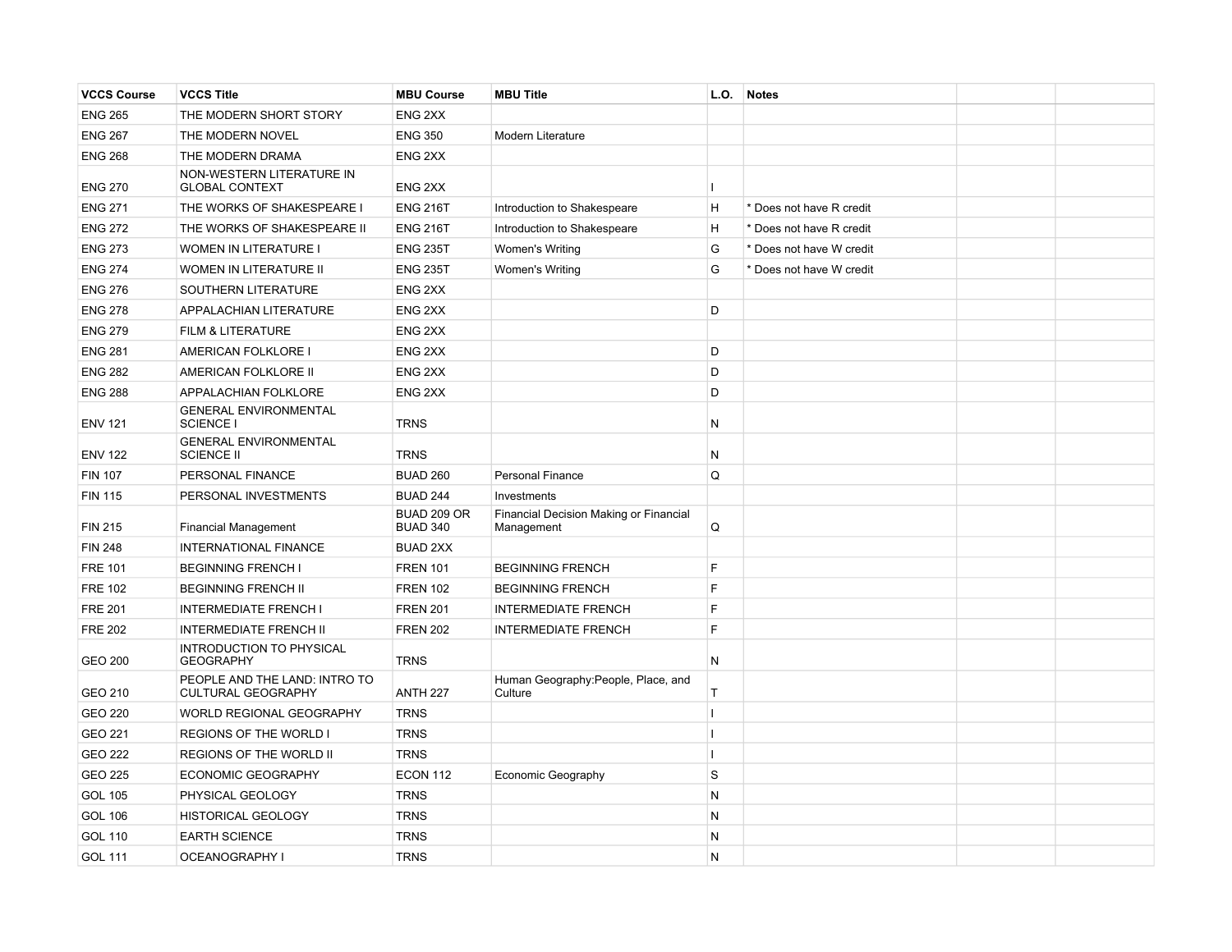| <b>VCCS Course</b> | <b>VCCS Title</b>                                          | <b>MBU Course</b>              | <b>MBU Title</b>                                     | L.O.         | <b>Notes</b>             |  |
|--------------------|------------------------------------------------------------|--------------------------------|------------------------------------------------------|--------------|--------------------------|--|
| <b>ENG 265</b>     | THE MODERN SHORT STORY                                     | ENG <sub>2XX</sub>             |                                                      |              |                          |  |
| <b>ENG 267</b>     | THE MODERN NOVEL                                           | <b>ENG 350</b>                 | Modern Literature                                    |              |                          |  |
| <b>ENG 268</b>     | THE MODERN DRAMA                                           | ENG <sub>2XX</sub>             |                                                      |              |                          |  |
| <b>ENG 270</b>     | NON-WESTERN LITERATURE IN<br><b>GLOBAL CONTEXT</b>         | ENG <sub>2XX</sub>             |                                                      | н.           |                          |  |
| <b>ENG 271</b>     | THE WORKS OF SHAKESPEARE I                                 | <b>ENG 216T</b>                | Introduction to Shakespeare                          | Η            | * Does not have R credit |  |
| <b>ENG 272</b>     | THE WORKS OF SHAKESPEARE II                                | <b>ENG 216T</b>                | Introduction to Shakespeare                          | Η            | * Does not have R credit |  |
| <b>ENG 273</b>     | <b>WOMEN IN LITERATURE I</b>                               | <b>ENG 235T</b>                | Women's Writing                                      | G            | * Does not have W credit |  |
| <b>ENG 274</b>     | WOMEN IN LITERATURE II                                     | <b>ENG 235T</b>                | <b>Women's Writing</b>                               | G            | * Does not have W credit |  |
| <b>ENG 276</b>     | SOUTHERN LITERATURE                                        | ENG <sub>2XX</sub>             |                                                      |              |                          |  |
| <b>ENG 278</b>     | APPALACHIAN LITERATURE                                     | ENG <sub>2XX</sub>             |                                                      | D            |                          |  |
| <b>ENG 279</b>     | FILM & LITERATURE                                          | ENG <sub>2XX</sub>             |                                                      |              |                          |  |
| <b>ENG 281</b>     | AMERICAN FOLKLORE I                                        | ENG <sub>2XX</sub>             |                                                      | D            |                          |  |
| <b>ENG 282</b>     | AMERICAN FOLKLORE II                                       | ENG <sub>2XX</sub>             |                                                      | D            |                          |  |
| <b>ENG 288</b>     | APPALACHIAN FOLKLORE                                       | ENG <sub>2XX</sub>             |                                                      | D            |                          |  |
| <b>ENV 121</b>     | <b>GENERAL ENVIRONMENTAL</b><br>SCIENCE I                  | <b>TRNS</b>                    |                                                      | N            |                          |  |
| <b>ENV 122</b>     | <b>GENERAL ENVIRONMENTAL</b><br><b>SCIENCE II</b>          | <b>TRNS</b>                    |                                                      | N            |                          |  |
| <b>FIN 107</b>     | PERSONAL FINANCE                                           | <b>BUAD 260</b>                | Personal Finance                                     | Q            |                          |  |
| <b>FIN 115</b>     | PERSONAL INVESTMENTS                                       | <b>BUAD 244</b>                | Investments                                          |              |                          |  |
| <b>FIN 215</b>     | <b>Financial Management</b>                                | BUAD 209 OR<br><b>BUAD 340</b> | Financial Decision Making or Financial<br>Management | Q            |                          |  |
| <b>FIN 248</b>     | INTERNATIONAL FINANCE                                      | <b>BUAD 2XX</b>                |                                                      |              |                          |  |
| <b>FRE 101</b>     | <b>BEGINNING FRENCH I</b>                                  | <b>FREN 101</b>                | <b>BEGINNING FRENCH</b>                              | F            |                          |  |
| <b>FRE 102</b>     | <b>BEGINNING FRENCH II</b>                                 | <b>FREN 102</b>                | <b>BEGINNING FRENCH</b>                              | F            |                          |  |
| <b>FRE 201</b>     | <b>INTERMEDIATE FRENCH I</b>                               | <b>FREN 201</b>                | <b>INTERMEDIATE FRENCH</b>                           | F            |                          |  |
| <b>FRE 202</b>     | <b>INTERMEDIATE FRENCH II</b>                              | <b>FREN 202</b>                | <b>INTERMEDIATE FRENCH</b>                           | F            |                          |  |
| <b>GEO 200</b>     | INTRODUCTION TO PHYSICAL<br><b>GEOGRAPHY</b>               | <b>TRNS</b>                    |                                                      | N            |                          |  |
| GEO 210            | PEOPLE AND THE LAND: INTRO TO<br><b>CULTURAL GEOGRAPHY</b> | <b>ANTH 227</b>                | Human Geography:People, Place, and<br>Culture        | T            |                          |  |
| <b>GEO 220</b>     | WORLD REGIONAL GEOGRAPHY                                   | <b>TRNS</b>                    |                                                      | $\mathbf{I}$ |                          |  |
| GEO 221            | REGIONS OF THE WORLD I                                     | <b>TRNS</b>                    |                                                      | Т.           |                          |  |
| <b>GEO 222</b>     | REGIONS OF THE WORLD II                                    | <b>TRNS</b>                    |                                                      | Т.           |                          |  |
| <b>GEO 225</b>     | <b>ECONOMIC GEOGRAPHY</b>                                  | <b>ECON 112</b>                | Economic Geography                                   | <b>S</b>     |                          |  |
| <b>GOL 105</b>     | PHYSICAL GEOLOGY                                           | <b>TRNS</b>                    |                                                      | N            |                          |  |
| <b>GOL 106</b>     | <b>HISTORICAL GEOLOGY</b>                                  | <b>TRNS</b>                    |                                                      | N            |                          |  |
| <b>GOL 110</b>     | <b>EARTH SCIENCE</b>                                       | <b>TRNS</b>                    |                                                      | N            |                          |  |
| GOL 111            | <b>OCEANOGRAPHY I</b>                                      | <b>TRNS</b>                    |                                                      | N            |                          |  |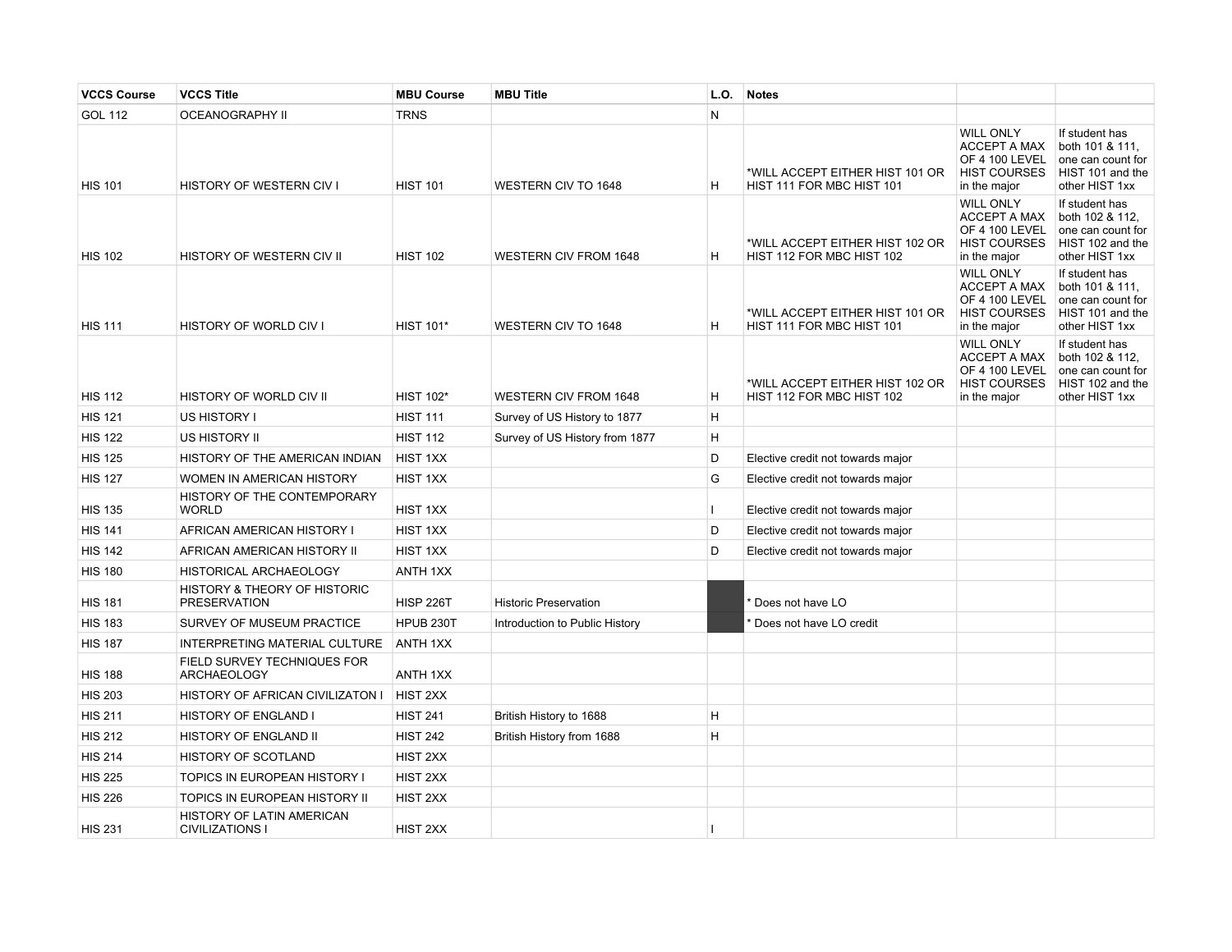| <b>VCCS Course</b> | <b>VCCS Title</b>                                   | <b>MBU Course</b> | <b>MBU Title</b>               | L.O.         | <b>Notes</b>                                                 |                                                                                                  |                                                                                              |
|--------------------|-----------------------------------------------------|-------------------|--------------------------------|--------------|--------------------------------------------------------------|--------------------------------------------------------------------------------------------------|----------------------------------------------------------------------------------------------|
| <b>GOL 112</b>     | <b>OCEANOGRAPHY II</b>                              | <b>TRNS</b>       |                                | N            |                                                              |                                                                                                  |                                                                                              |
| <b>HIS 101</b>     | <b>HISTORY OF WESTERN CIV I</b>                     | <b>HIST 101</b>   | <b>WESTERN CIV TO 1648</b>     | H            | *WILL ACCEPT EITHER HIST 101 OR<br>HIST 111 FOR MBC HIST 101 | <b>WILL ONLY</b><br><b>ACCEPT A MAX</b><br>OF 4 100 LEVEL<br><b>HIST COURSES</b><br>in the major | If student has<br>both 101 & 111,<br>one can count for<br>HIST 101 and the<br>other HIST 1xx |
| <b>HIS 102</b>     | HISTORY OF WESTERN CIV II                           | <b>HIST 102</b>   | <b>WESTERN CIV FROM 1648</b>   | H            | *WILL ACCEPT EITHER HIST 102 OR<br>HIST 112 FOR MBC HIST 102 | <b>WILL ONLY</b><br><b>ACCEPT A MAX</b><br>OF 4 100 LEVEL<br><b>HIST COURSES</b><br>in the major | If student has<br>both 102 & 112,<br>one can count for<br>HIST 102 and the<br>other HIST 1xx |
| <b>HIS 111</b>     | HISTORY OF WORLD CIV I                              | <b>HIST 101*</b>  | <b>WESTERN CIV TO 1648</b>     | H            | *WILL ACCEPT EITHER HIST 101 OR<br>HIST 111 FOR MBC HIST 101 | <b>WILL ONLY</b><br><b>ACCEPT A MAX</b><br>OF 4 100 LEVEL<br><b>HIST COURSES</b><br>in the major | If student has<br>both 101 & 111,<br>one can count for<br>HIST 101 and the<br>other HIST 1xx |
| <b>HIS 112</b>     | HISTORY OF WORLD CIV II                             | <b>HIST 102*</b>  | <b>WESTERN CIV FROM 1648</b>   | H            | *WILL ACCEPT EITHER HIST 102 OR<br>HIST 112 FOR MBC HIST 102 | <b>WILL ONLY</b><br><b>ACCEPT A MAX</b><br>OF 4 100 LEVEL<br><b>HIST COURSES</b><br>in the major | If student has<br>both 102 & 112,<br>one can count for<br>HIST 102 and the<br>other HIST 1xx |
| <b>HIS 121</b>     | US HISTORY I                                        | <b>HIST 111</b>   | Survey of US History to 1877   | H            |                                                              |                                                                                                  |                                                                                              |
| <b>HIS 122</b>     | US HISTORY II                                       | <b>HIST 112</b>   | Survey of US History from 1877 | H            |                                                              |                                                                                                  |                                                                                              |
| <b>HIS 125</b>     | HISTORY OF THE AMERICAN INDIAN                      | HIST 1XX          |                                | D            | Elective credit not towards major                            |                                                                                                  |                                                                                              |
| <b>HIS 127</b>     | WOMEN IN AMERICAN HISTORY                           | HIST 1XX          |                                | G            | Elective credit not towards major                            |                                                                                                  |                                                                                              |
| <b>HIS 135</b>     | HISTORY OF THE CONTEMPORARY<br><b>WORLD</b>         | HIST 1XX          |                                | $\mathbf{I}$ | Elective credit not towards major                            |                                                                                                  |                                                                                              |
| <b>HIS 141</b>     | AFRICAN AMERICAN HISTORY I                          | HIST 1XX          |                                | D            | Elective credit not towards major                            |                                                                                                  |                                                                                              |
| <b>HIS 142</b>     | AFRICAN AMERICAN HISTORY II                         | HIST 1XX          |                                | D            | Elective credit not towards major                            |                                                                                                  |                                                                                              |
| <b>HIS 180</b>     | HISTORICAL ARCHAEOLOGY                              | ANTH 1XX          |                                |              |                                                              |                                                                                                  |                                                                                              |
| <b>HIS 181</b>     | HISTORY & THEORY OF HISTORIC<br><b>PRESERVATION</b> | <b>HISP 226T</b>  | <b>Historic Preservation</b>   |              | Does not have LO                                             |                                                                                                  |                                                                                              |
| <b>HIS 183</b>     | SURVEY OF MUSEUM PRACTICE                           | HPUB 230T         | Introduction to Public History |              | Does not have LO credit                                      |                                                                                                  |                                                                                              |
| <b>HIS 187</b>     | INTERPRETING MATERIAL CULTURE                       | <b>ANTH 1XX</b>   |                                |              |                                                              |                                                                                                  |                                                                                              |
| <b>HIS 188</b>     | FIELD SURVEY TECHNIQUES FOR<br><b>ARCHAEOLOGY</b>   | <b>ANTH 1XX</b>   |                                |              |                                                              |                                                                                                  |                                                                                              |
| <b>HIS 203</b>     | HISTORY OF AFRICAN CIVILIZATON I                    | HIST 2XX          |                                |              |                                                              |                                                                                                  |                                                                                              |
| <b>HIS 211</b>     | HISTORY OF ENGLAND I                                | <b>HIST 241</b>   | British History to 1688        | H            |                                                              |                                                                                                  |                                                                                              |
| <b>HIS 212</b>     | HISTORY OF ENGLAND II                               | <b>HIST 242</b>   | British History from 1688      | H            |                                                              |                                                                                                  |                                                                                              |
| <b>HIS 214</b>     | HISTORY OF SCOTLAND                                 | HIST 2XX          |                                |              |                                                              |                                                                                                  |                                                                                              |
| <b>HIS 225</b>     | TOPICS IN EUROPEAN HISTORY I                        | HIST 2XX          |                                |              |                                                              |                                                                                                  |                                                                                              |
| <b>HIS 226</b>     | TOPICS IN EUROPEAN HISTORY II                       | HIST 2XX          |                                |              |                                                              |                                                                                                  |                                                                                              |
| <b>HIS 231</b>     | HISTORY OF LATIN AMERICAN<br><b>CIVILIZATIONS I</b> | HIST 2XX          |                                | ш            |                                                              |                                                                                                  |                                                                                              |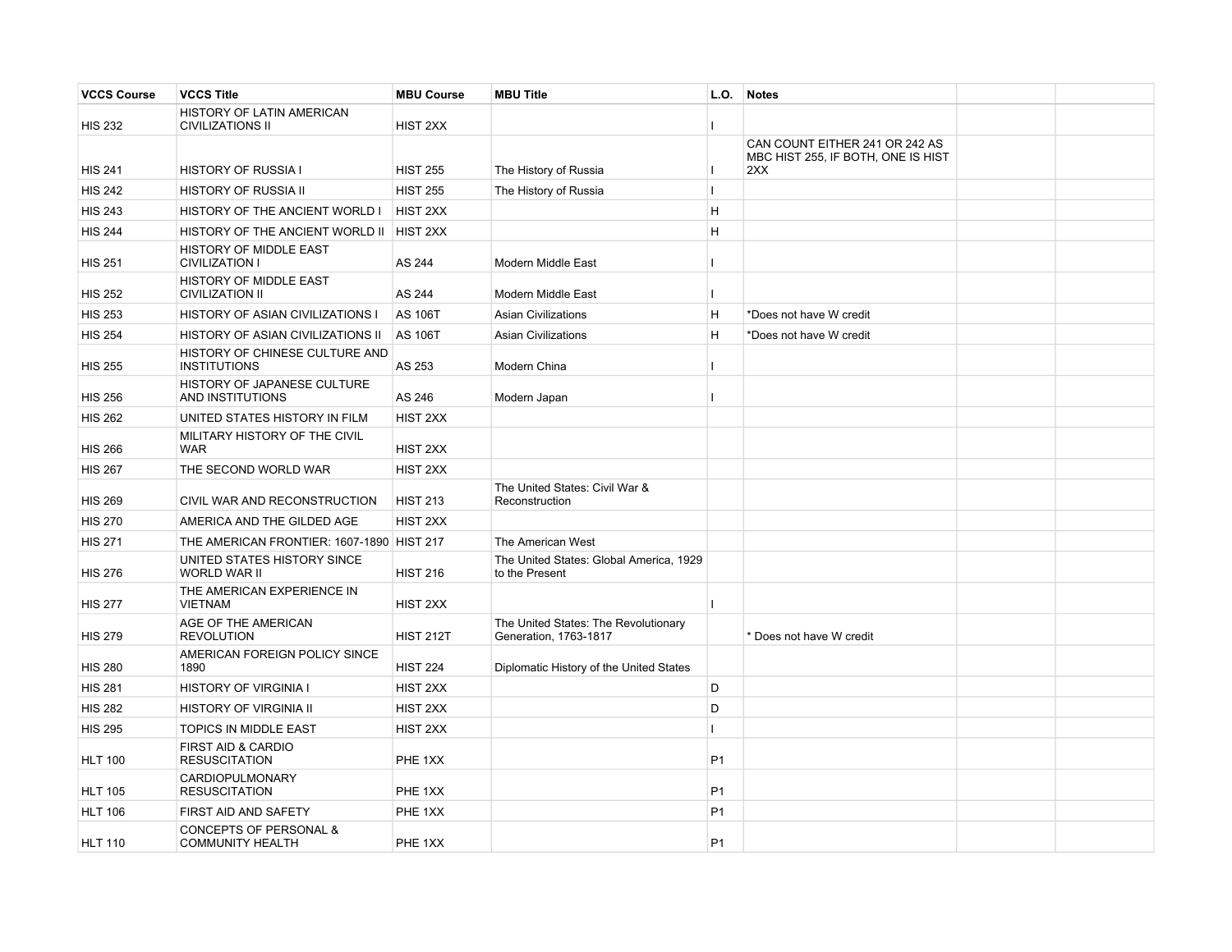| <b>VCCS Course</b> | <b>VCCS Title</b>                                     | <b>MBU Course</b> | <b>MBU Title</b>                                              | L.O.           | Notes                                                                |  |
|--------------------|-------------------------------------------------------|-------------------|---------------------------------------------------------------|----------------|----------------------------------------------------------------------|--|
| <b>HIS 232</b>     | HISTORY OF LATIN AMERICAN<br><b>CIVILIZATIONS II</b>  | HIST 2XX          |                                                               |                |                                                                      |  |
|                    |                                                       |                   |                                                               |                | CAN COUNT EITHER 241 OR 242 AS<br>MBC HIST 255, IF BOTH, ONE IS HIST |  |
| <b>HIS 241</b>     | <b>HISTORY OF RUSSIA I</b>                            | <b>HIST 255</b>   | The History of Russia                                         |                | 2XX                                                                  |  |
| <b>HIS 242</b>     | <b>HISTORY OF RUSSIA II</b>                           | <b>HIST 255</b>   | The History of Russia                                         | $\mathbf{I}$   |                                                                      |  |
| <b>HIS 243</b>     | HISTORY OF THE ANCIENT WORLD I                        | <b>HIST 2XX</b>   |                                                               | H              |                                                                      |  |
| <b>HIS 244</b>     | HISTORY OF THE ANCIENT WORLD II   HIST 2XX            |                   |                                                               | H              |                                                                      |  |
| <b>HIS 251</b>     | HISTORY OF MIDDLE EAST<br><b>CIVILIZATION I</b>       | AS 244            | Modern Middle East                                            | $\mathbf{I}$   |                                                                      |  |
| <b>HIS 252</b>     | HISTORY OF MIDDLE EAST<br><b>CIVILIZATION II</b>      | AS 244            | Modern Middle East                                            | I.             |                                                                      |  |
| <b>HIS 253</b>     | HISTORY OF ASIAN CIVILIZATIONS I                      | <b>AS 106T</b>    | <b>Asian Civilizations</b>                                    | H              | *Does not have W credit                                              |  |
| <b>HIS 254</b>     | HISTORY OF ASIAN CIVILIZATIONS II                     | <b>AS 106T</b>    | <b>Asian Civilizations</b>                                    | H              | *Does not have W credit                                              |  |
| <b>HIS 255</b>     | HISTORY OF CHINESE CULTURE AND<br><b>INSTITUTIONS</b> | AS 253            | Modern China                                                  | L              |                                                                      |  |
| <b>HIS 256</b>     | HISTORY OF JAPANESE CULTURE<br>AND INSTITUTIONS       | AS 246            | Modern Japan                                                  |                |                                                                      |  |
| <b>HIS 262</b>     | UNITED STATES HISTORY IN FILM                         | HIST 2XX          |                                                               |                |                                                                      |  |
| <b>HIS 266</b>     | MILITARY HISTORY OF THE CIVIL<br><b>WAR</b>           | HIST 2XX          |                                                               |                |                                                                      |  |
| <b>HIS 267</b>     | THE SECOND WORLD WAR                                  | HIST 2XX          |                                                               |                |                                                                      |  |
| <b>HIS 269</b>     | CIVIL WAR AND RECONSTRUCTION                          | <b>HIST 213</b>   | The United States: Civil War &<br>Reconstruction              |                |                                                                      |  |
| <b>HIS 270</b>     | AMERICA AND THE GILDED AGE                            | HIST 2XX          |                                                               |                |                                                                      |  |
| <b>HIS 271</b>     | THE AMERICAN FRONTIER: 1607-1890 HIST 217             |                   | The American West                                             |                |                                                                      |  |
| <b>HIS 276</b>     | UNITED STATES HISTORY SINCE<br>WORLD WAR II           | <b>HIST 216</b>   | The United States: Global America, 1929<br>to the Present     |                |                                                                      |  |
| <b>HIS 277</b>     | THE AMERICAN EXPERIENCE IN<br><b>VIETNAM</b>          | HIST 2XX          |                                                               |                |                                                                      |  |
| <b>HIS 279</b>     | AGE OF THE AMERICAN<br><b>REVOLUTION</b>              | <b>HIST 212T</b>  | The United States: The Revolutionary<br>Generation, 1763-1817 |                | * Does not have W credit                                             |  |
| <b>HIS 280</b>     | AMERICAN FOREIGN POLICY SINCE<br>1890                 | <b>HIST 224</b>   | Diplomatic History of the United States                       |                |                                                                      |  |
| <b>HIS 281</b>     | <b>HISTORY OF VIRGINIA I</b>                          | HIST 2XX          |                                                               | D              |                                                                      |  |
| <b>HIS 282</b>     | <b>HISTORY OF VIRGINIA II</b>                         | HIST 2XX          |                                                               | D              |                                                                      |  |
| <b>HIS 295</b>     | TOPICS IN MIDDLE EAST                                 | HIST 2XX          |                                                               |                |                                                                      |  |
| <b>HLT 100</b>     | FIRST AID & CARDIO<br><b>RESUSCITATION</b>            | PHE 1XX           |                                                               | <b>P1</b>      |                                                                      |  |
| <b>HLT 105</b>     | <b>CARDIOPULMONARY</b><br><b>RESUSCITATION</b>        | PHE 1XX           |                                                               | P <sub>1</sub> |                                                                      |  |
| <b>HLT 106</b>     | FIRST AID AND SAFETY                                  | PHE 1XX           |                                                               | <b>P1</b>      |                                                                      |  |
| <b>HLT 110</b>     | CONCEPTS OF PERSONAL &<br><b>COMMUNITY HEALTH</b>     | PHE 1XX           |                                                               | P <sub>1</sub> |                                                                      |  |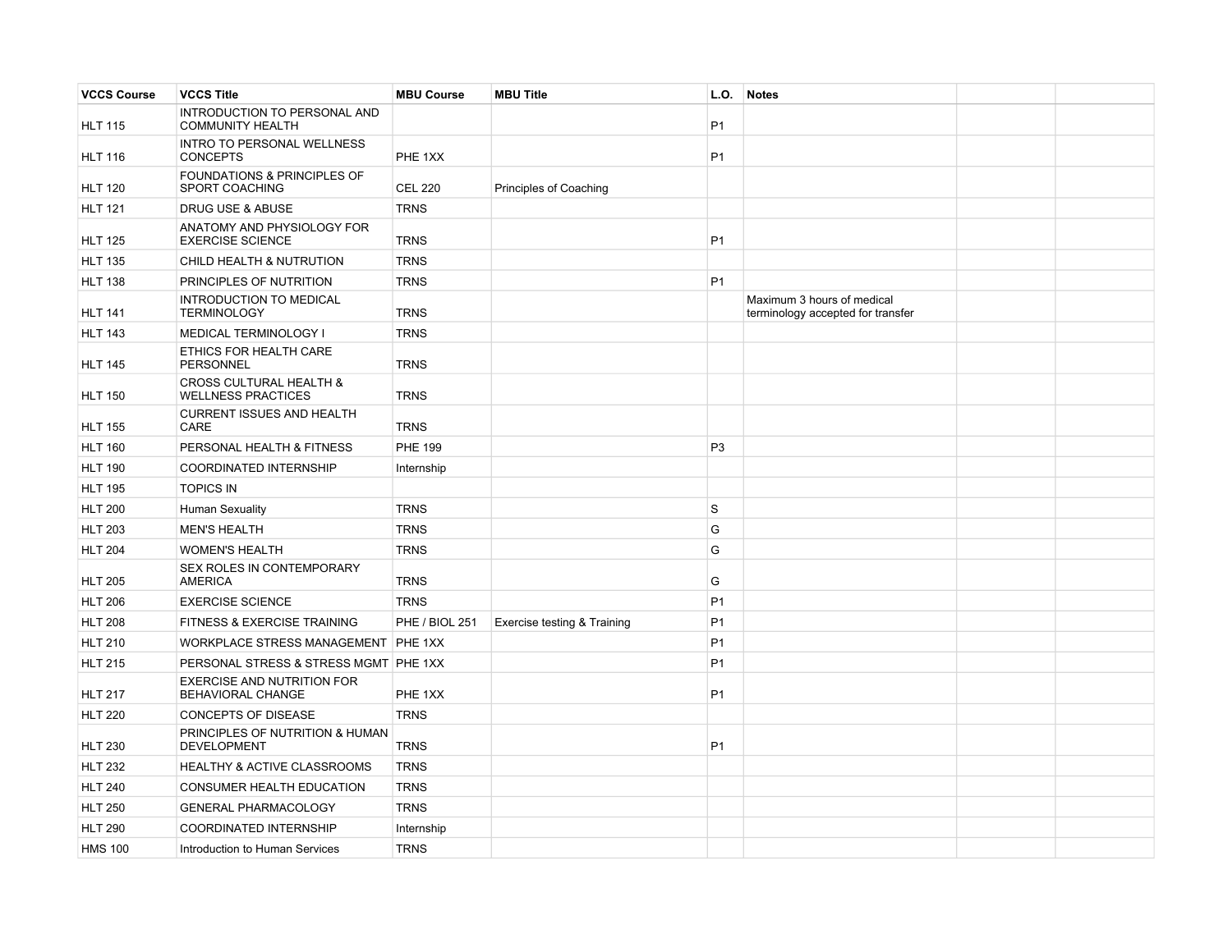| <b>VCCS Course</b> | <b>VCCS Title</b>                                               | <b>MBU Course</b>     | <b>MBU Title</b>              | L.O.           | <b>Notes</b>                                                    |  |
|--------------------|-----------------------------------------------------------------|-----------------------|-------------------------------|----------------|-----------------------------------------------------------------|--|
| <b>HLT 115</b>     | INTRODUCTION TO PERSONAL AND<br><b>COMMUNITY HEALTH</b>         |                       |                               | P <sub>1</sub> |                                                                 |  |
| <b>HLT 116</b>     | INTRO TO PERSONAL WELLNESS<br><b>CONCEPTS</b>                   | PHE 1XX               |                               | P <sub>1</sub> |                                                                 |  |
| <b>HLT 120</b>     | FOUNDATIONS & PRINCIPLES OF<br>SPORT COACHING                   | <b>CEL 220</b>        | <b>Principles of Coaching</b> |                |                                                                 |  |
| <b>HLT 121</b>     | DRUG USE & ABUSE                                                | <b>TRNS</b>           |                               |                |                                                                 |  |
| <b>HLT 125</b>     | ANATOMY AND PHYSIOLOGY FOR<br><b>EXERCISE SCIENCE</b>           | <b>TRNS</b>           |                               | P <sub>1</sub> |                                                                 |  |
| <b>HLT 135</b>     | CHILD HEALTH & NUTRUTION                                        | <b>TRNS</b>           |                               |                |                                                                 |  |
| <b>HLT 138</b>     | PRINCIPLES OF NUTRITION                                         | <b>TRNS</b>           |                               | P <sub>1</sub> |                                                                 |  |
| <b>HLT 141</b>     | INTRODUCTION TO MEDICAL<br><b>TERMINOLOGY</b>                   | <b>TRNS</b>           |                               |                | Maximum 3 hours of medical<br>terminology accepted for transfer |  |
| <b>HLT 143</b>     | MEDICAL TERMINOLOGY I                                           | <b>TRNS</b>           |                               |                |                                                                 |  |
| <b>HLT 145</b>     | ETHICS FOR HEALTH CARE<br><b>PERSONNEL</b>                      | <b>TRNS</b>           |                               |                |                                                                 |  |
| <b>HLT 150</b>     | <b>CROSS CULTURAL HEALTH &amp;</b><br><b>WELLNESS PRACTICES</b> | <b>TRNS</b>           |                               |                |                                                                 |  |
| <b>HLT 155</b>     | <b>CURRENT ISSUES AND HEALTH</b><br>CARE                        | <b>TRNS</b>           |                               |                |                                                                 |  |
| <b>HLT 160</b>     | PERSONAL HEALTH & FITNESS                                       | <b>PHE 199</b>        |                               | P <sub>3</sub> |                                                                 |  |
| <b>HLT 190</b>     | COORDINATED INTERNSHIP                                          | Internship            |                               |                |                                                                 |  |
| <b>HLT 195</b>     | <b>TOPICS IN</b>                                                |                       |                               |                |                                                                 |  |
| <b>HLT 200</b>     | <b>Human Sexuality</b>                                          | <b>TRNS</b>           |                               | S              |                                                                 |  |
| <b>HLT 203</b>     | <b>MEN'S HEALTH</b>                                             | <b>TRNS</b>           |                               | G              |                                                                 |  |
| <b>HLT 204</b>     | <b>WOMEN'S HEALTH</b>                                           | <b>TRNS</b>           |                               | G              |                                                                 |  |
| <b>HLT 205</b>     | SEX ROLES IN CONTEMPORARY<br><b>AMERICA</b>                     | <b>TRNS</b>           |                               | G              |                                                                 |  |
| <b>HLT 206</b>     | <b>EXERCISE SCIENCE</b>                                         | <b>TRNS</b>           |                               | P <sub>1</sub> |                                                                 |  |
| <b>HLT 208</b>     | FITNESS & EXERCISE TRAINING                                     | <b>PHE / BIOL 251</b> | Exercise testing & Training   | P <sub>1</sub> |                                                                 |  |
| <b>HLT 210</b>     | WORKPLACE STRESS MANAGEMENT PHE 1XX                             |                       |                               | P <sub>1</sub> |                                                                 |  |
| <b>HLT 215</b>     | PERSONAL STRESS & STRESS MGMT PHE 1XX                           |                       |                               | P <sub>1</sub> |                                                                 |  |
| <b>HLT 217</b>     | <b>EXERCISE AND NUTRITION FOR</b><br>BEHAVIORAL CHANGE          | PHE 1XX               |                               | P <sub>1</sub> |                                                                 |  |
| <b>HLT 220</b>     | <b>CONCEPTS OF DISEASE</b>                                      | <b>TRNS</b>           |                               |                |                                                                 |  |
| <b>HLT 230</b>     | PRINCIPLES OF NUTRITION & HUMAN<br><b>DEVELOPMENT</b>           | <b>TRNS</b>           |                               | P <sub>1</sub> |                                                                 |  |
| <b>HLT 232</b>     | <b>HEALTHY &amp; ACTIVE CLASSROOMS</b>                          | <b>TRNS</b>           |                               |                |                                                                 |  |
| <b>HLT 240</b>     | CONSUMER HEALTH EDUCATION                                       | <b>TRNS</b>           |                               |                |                                                                 |  |
| <b>HLT 250</b>     | <b>GENERAL PHARMACOLOGY</b>                                     | <b>TRNS</b>           |                               |                |                                                                 |  |
| <b>HLT 290</b>     | <b>COORDINATED INTERNSHIP</b>                                   | Internship            |                               |                |                                                                 |  |
| <b>HMS 100</b>     | Introduction to Human Services                                  | <b>TRNS</b>           |                               |                |                                                                 |  |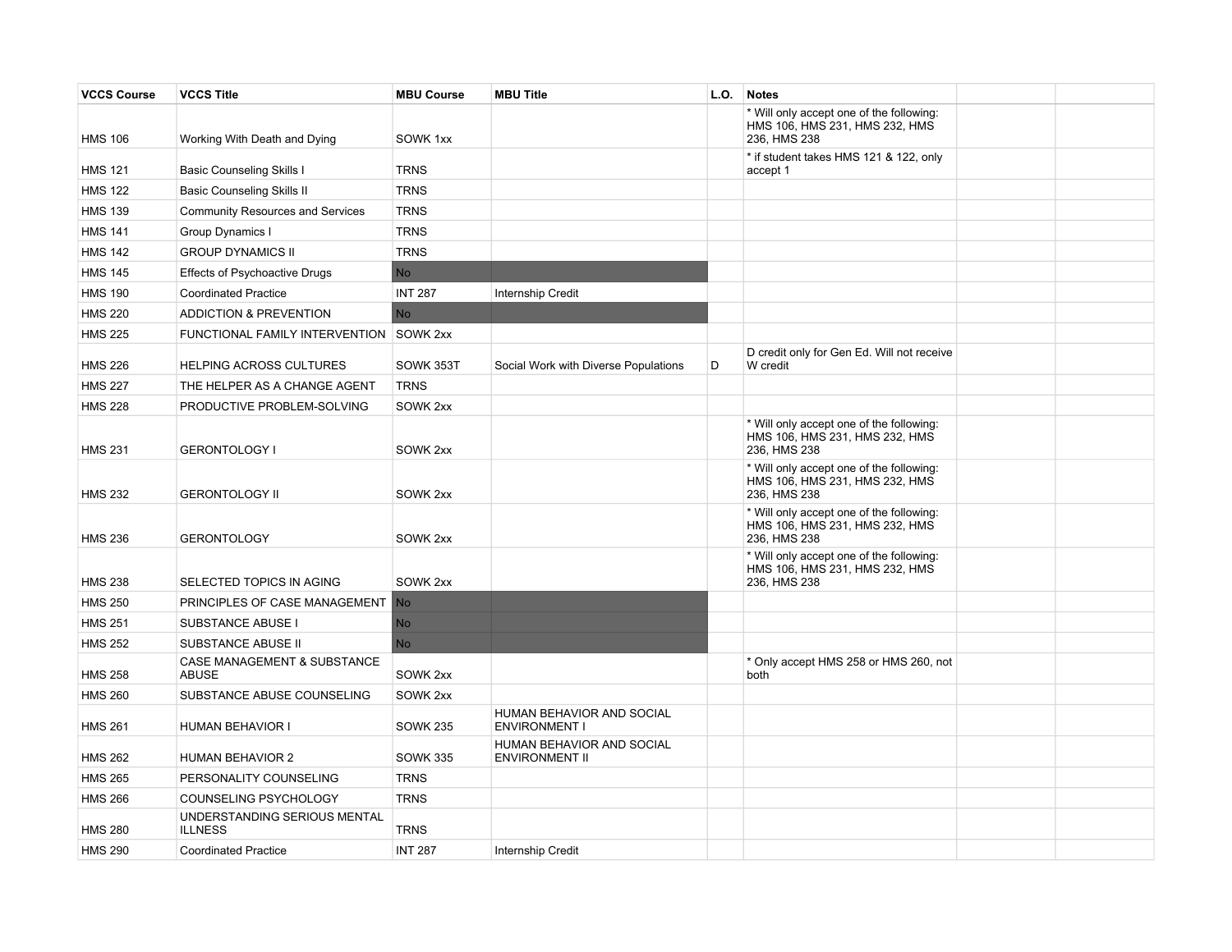| <b>VCCS Course</b> | <b>VCCS Title</b>                              | <b>MBU Course</b> | <b>MBU Title</b>                                          | L.O. | <b>Notes</b>                                                                               |  |
|--------------------|------------------------------------------------|-------------------|-----------------------------------------------------------|------|--------------------------------------------------------------------------------------------|--|
| <b>HMS 106</b>     | Working With Death and Dying                   | SOWK 1xx          |                                                           |      | * Will only accept one of the following:<br>HMS 106, HMS 231, HMS 232, HMS<br>236, HMS 238 |  |
| <b>HMS 121</b>     | <b>Basic Counseling Skills I</b>               | <b>TRNS</b>       |                                                           |      | * if student takes HMS 121 & 122, only<br>accept 1                                         |  |
| <b>HMS 122</b>     | <b>Basic Counseling Skills II</b>              | <b>TRNS</b>       |                                                           |      |                                                                                            |  |
| <b>HMS 139</b>     | Community Resources and Services               | <b>TRNS</b>       |                                                           |      |                                                                                            |  |
| <b>HMS 141</b>     | Group Dynamics I                               | <b>TRNS</b>       |                                                           |      |                                                                                            |  |
| <b>HMS 142</b>     | <b>GROUP DYNAMICS II</b>                       | <b>TRNS</b>       |                                                           |      |                                                                                            |  |
| <b>HMS 145</b>     | Effects of Psychoactive Drugs                  | <b>No</b>         |                                                           |      |                                                                                            |  |
| <b>HMS 190</b>     | <b>Coordinated Practice</b>                    | <b>INT 287</b>    | Internship Credit                                         |      |                                                                                            |  |
| <b>HMS 220</b>     | <b>ADDICTION &amp; PREVENTION</b>              | <b>No</b>         |                                                           |      |                                                                                            |  |
| <b>HMS 225</b>     | FUNCTIONAL FAMILY INTERVENTION SOWK 2xx        |                   |                                                           |      |                                                                                            |  |
| <b>HMS 226</b>     | <b>HELPING ACROSS CULTURES</b>                 | SOWK 353T         | Social Work with Diverse Populations                      | D    | D credit only for Gen Ed. Will not receive<br>W credit                                     |  |
| <b>HMS 227</b>     | THE HELPER AS A CHANGE AGENT                   | <b>TRNS</b>       |                                                           |      |                                                                                            |  |
| <b>HMS 228</b>     | PRODUCTIVE PROBLEM-SOLVING                     | SOWK 2xx          |                                                           |      |                                                                                            |  |
| <b>HMS 231</b>     | <b>GERONTOLOGY I</b>                           | SOWK 2xx          |                                                           |      | * Will only accept one of the following:<br>HMS 106, HMS 231, HMS 232, HMS<br>236, HMS 238 |  |
| <b>HMS 232</b>     | <b>GERONTOLOGY II</b>                          | SOWK 2xx          |                                                           |      | * Will only accept one of the following:<br>HMS 106, HMS 231, HMS 232, HMS<br>236, HMS 238 |  |
| <b>HMS 236</b>     | <b>GERONTOLOGY</b>                             | SOWK 2xx          |                                                           |      | * Will only accept one of the following:<br>HMS 106, HMS 231, HMS 232, HMS<br>236, HMS 238 |  |
| <b>HMS 238</b>     | SELECTED TOPICS IN AGING                       | SOWK 2xx          |                                                           |      | * Will only accept one of the following:<br>HMS 106, HMS 231, HMS 232, HMS<br>236, HMS 238 |  |
| <b>HMS 250</b>     | PRINCIPLES OF CASE MANAGEMENT                  | N <sub>o</sub>    |                                                           |      |                                                                                            |  |
| <b>HMS 251</b>     | SUBSTANCE ABUSE I                              | No                |                                                           |      |                                                                                            |  |
| <b>HMS 252</b>     | SUBSTANCE ABUSE II                             | N <sub>o</sub>    |                                                           |      |                                                                                            |  |
| <b>HMS 258</b>     | CASE MANAGEMENT & SUBSTANCE<br><b>ABUSE</b>    | SOWK 2xx          |                                                           |      | * Only accept HMS 258 or HMS 260, not<br>both                                              |  |
| <b>HMS 260</b>     | SUBSTANCE ABUSE COUNSELING                     | SOWK 2xx          |                                                           |      |                                                                                            |  |
| <b>HMS 261</b>     | <b>HUMAN BEHAVIOR I</b>                        | <b>SOWK 235</b>   | HUMAN BEHAVIOR AND SOCIAL<br><b>ENVIRONMENT I</b>         |      |                                                                                            |  |
| <b>HMS 262</b>     | <b>HUMAN BEHAVIOR 2</b>                        | <b>SOWK 335</b>   | <b>HUMAN BEHAVIOR AND SOCIAL</b><br><b>ENVIRONMENT II</b> |      |                                                                                            |  |
| <b>HMS 265</b>     | PERSONALITY COUNSELING                         | <b>TRNS</b>       |                                                           |      |                                                                                            |  |
| <b>HMS 266</b>     | COUNSELING PSYCHOLOGY                          | <b>TRNS</b>       |                                                           |      |                                                                                            |  |
| <b>HMS 280</b>     | UNDERSTANDING SERIOUS MENTAL<br><b>ILLNESS</b> | <b>TRNS</b>       |                                                           |      |                                                                                            |  |
| <b>HMS 290</b>     | <b>Coordinated Practice</b>                    | <b>INT 287</b>    | <b>Internship Credit</b>                                  |      |                                                                                            |  |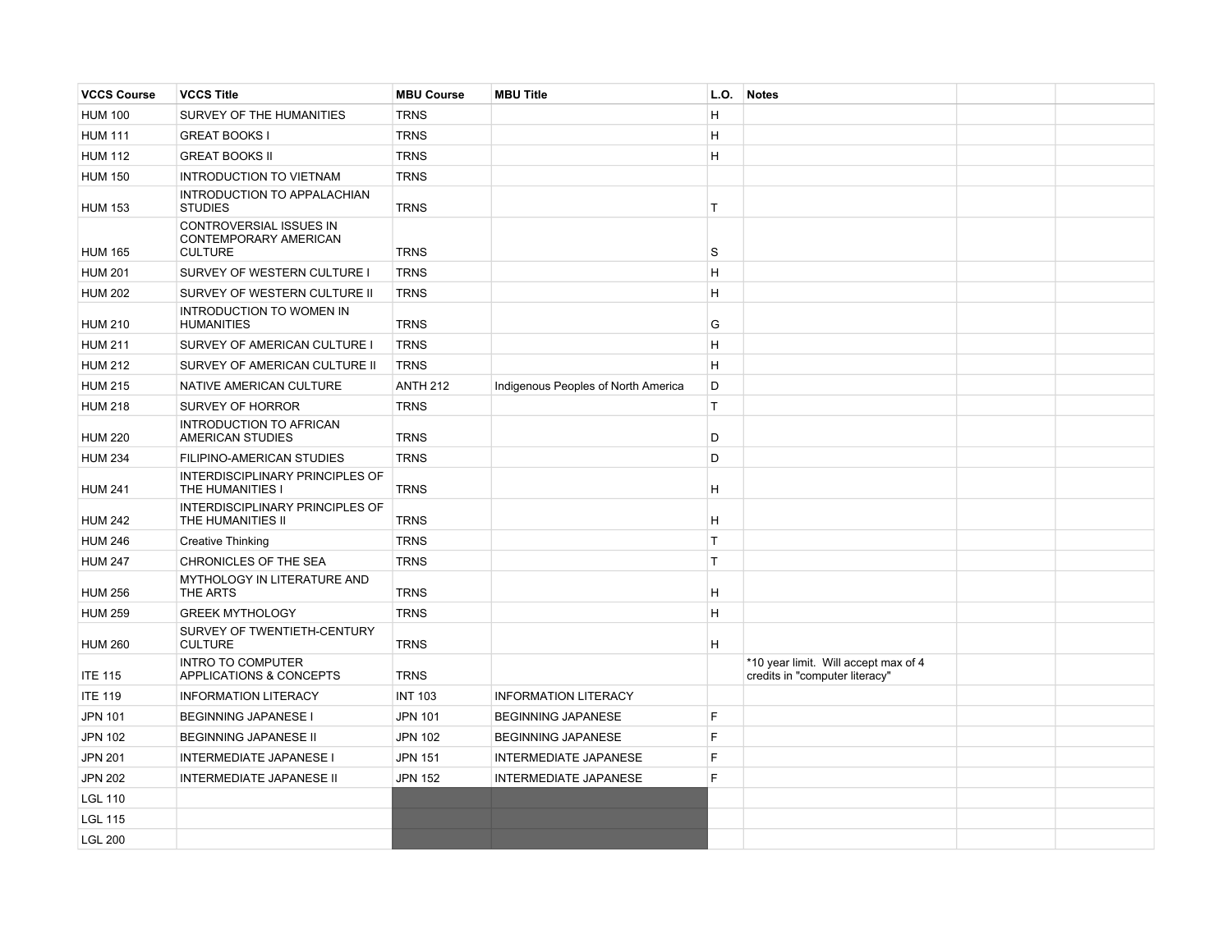| <b>VCCS Course</b> | <b>VCCS Title</b>                                                  | <b>MBU Course</b> | <b>MBU Title</b>                    | L.O. | <b>Notes</b>                                                           |  |
|--------------------|--------------------------------------------------------------------|-------------------|-------------------------------------|------|------------------------------------------------------------------------|--|
| <b>HUM 100</b>     | SURVEY OF THE HUMANITIES                                           | <b>TRNS</b>       |                                     | H    |                                                                        |  |
| <b>HUM 111</b>     | <b>GREAT BOOKS I</b>                                               | <b>TRNS</b>       |                                     | H    |                                                                        |  |
| <b>HUM 112</b>     | <b>GREAT BOOKS II</b>                                              | <b>TRNS</b>       |                                     | H    |                                                                        |  |
| <b>HUM 150</b>     | INTRODUCTION TO VIETNAM                                            | <b>TRNS</b>       |                                     |      |                                                                        |  |
| <b>HUM 153</b>     | INTRODUCTION TO APPALACHIAN<br><b>STUDIES</b>                      | <b>TRNS</b>       |                                     | T    |                                                                        |  |
| <b>HUM 165</b>     | CONTROVERSIAL ISSUES IN<br>CONTEMPORARY AMERICAN<br><b>CULTURE</b> | <b>TRNS</b>       |                                     | l S  |                                                                        |  |
| <b>HUM 201</b>     | SURVEY OF WESTERN CULTURE I                                        | <b>TRNS</b>       |                                     | H.   |                                                                        |  |
| <b>HUM 202</b>     | SURVEY OF WESTERN CULTURE II                                       | <b>TRNS</b>       |                                     | H.   |                                                                        |  |
| <b>HUM 210</b>     | <b>INTRODUCTION TO WOMEN IN</b><br><b>HUMANITIES</b>               | <b>TRNS</b>       |                                     | G    |                                                                        |  |
| <b>HUM 211</b>     | SURVEY OF AMERICAN CULTURE I                                       | <b>TRNS</b>       |                                     | H    |                                                                        |  |
| <b>HUM 212</b>     | SURVEY OF AMERICAN CULTURE II                                      | <b>TRNS</b>       |                                     | H    |                                                                        |  |
| <b>HUM 215</b>     | NATIVE AMERICAN CULTURE                                            | <b>ANTH 212</b>   | Indigenous Peoples of North America | D    |                                                                        |  |
| <b>HUM 218</b>     | <b>SURVEY OF HORROR</b>                                            | <b>TRNS</b>       |                                     | T    |                                                                        |  |
| <b>HUM 220</b>     | <b>INTRODUCTION TO AFRICAN</b><br><b>AMERICAN STUDIES</b>          | <b>TRNS</b>       |                                     | D    |                                                                        |  |
| <b>HUM 234</b>     | FILIPINO-AMERICAN STUDIES                                          | <b>TRNS</b>       |                                     | D    |                                                                        |  |
| <b>HUM 241</b>     | INTERDISCIPLINARY PRINCIPLES OF<br>THE HUMANITIES I                | <b>TRNS</b>       |                                     | H.   |                                                                        |  |
| <b>HUM 242</b>     | INTERDISCIPLINARY PRINCIPLES OF<br>THE HUMANITIES II               | <b>TRNS</b>       |                                     | H    |                                                                        |  |
| <b>HUM 246</b>     | <b>Creative Thinking</b>                                           | <b>TRNS</b>       |                                     | T.   |                                                                        |  |
| <b>HUM 247</b>     | CHRONICLES OF THE SEA                                              | <b>TRNS</b>       |                                     | T.   |                                                                        |  |
| <b>HUM 256</b>     | MYTHOLOGY IN LITERATURE AND<br>THE ARTS                            | <b>TRNS</b>       |                                     | H    |                                                                        |  |
| <b>HUM 259</b>     | <b>GREEK MYTHOLOGY</b>                                             | <b>TRNS</b>       |                                     | H    |                                                                        |  |
| <b>HUM 260</b>     | SURVEY OF TWENTIETH-CENTURY<br><b>CULTURE</b>                      | <b>TRNS</b>       |                                     | H.   |                                                                        |  |
| <b>ITE 115</b>     | <b>INTRO TO COMPUTER</b><br>APPLICATIONS & CONCEPTS                | <b>TRNS</b>       |                                     |      | *10 year limit. Will accept max of 4<br>credits in "computer literacy" |  |
| <b>ITE 119</b>     | <b>INFORMATION LITERACY</b>                                        | <b>INT 103</b>    | <b>INFORMATION LITERACY</b>         |      |                                                                        |  |
| JPN 101            | <b>BEGINNING JAPANESE I</b>                                        | <b>JPN 101</b>    | <b>BEGINNING JAPANESE</b>           | F    |                                                                        |  |
| <b>JPN 102</b>     | <b>BEGINNING JAPANESE II</b>                                       | <b>JPN 102</b>    | <b>BEGINNING JAPANESE</b>           | F.   |                                                                        |  |
| <b>JPN 201</b>     | <b>INTERMEDIATE JAPANESE I</b>                                     | <b>JPN 151</b>    | <b>INTERMEDIATE JAPANESE</b>        | F.   |                                                                        |  |
| <b>JPN 202</b>     | <b>INTERMEDIATE JAPANESE II</b>                                    | <b>JPN 152</b>    | <b>INTERMEDIATE JAPANESE</b>        | F.   |                                                                        |  |
| <b>LGL 110</b>     |                                                                    |                   |                                     |      |                                                                        |  |
| <b>LGL 115</b>     |                                                                    |                   |                                     |      |                                                                        |  |
| <b>LGL 200</b>     |                                                                    |                   |                                     |      |                                                                        |  |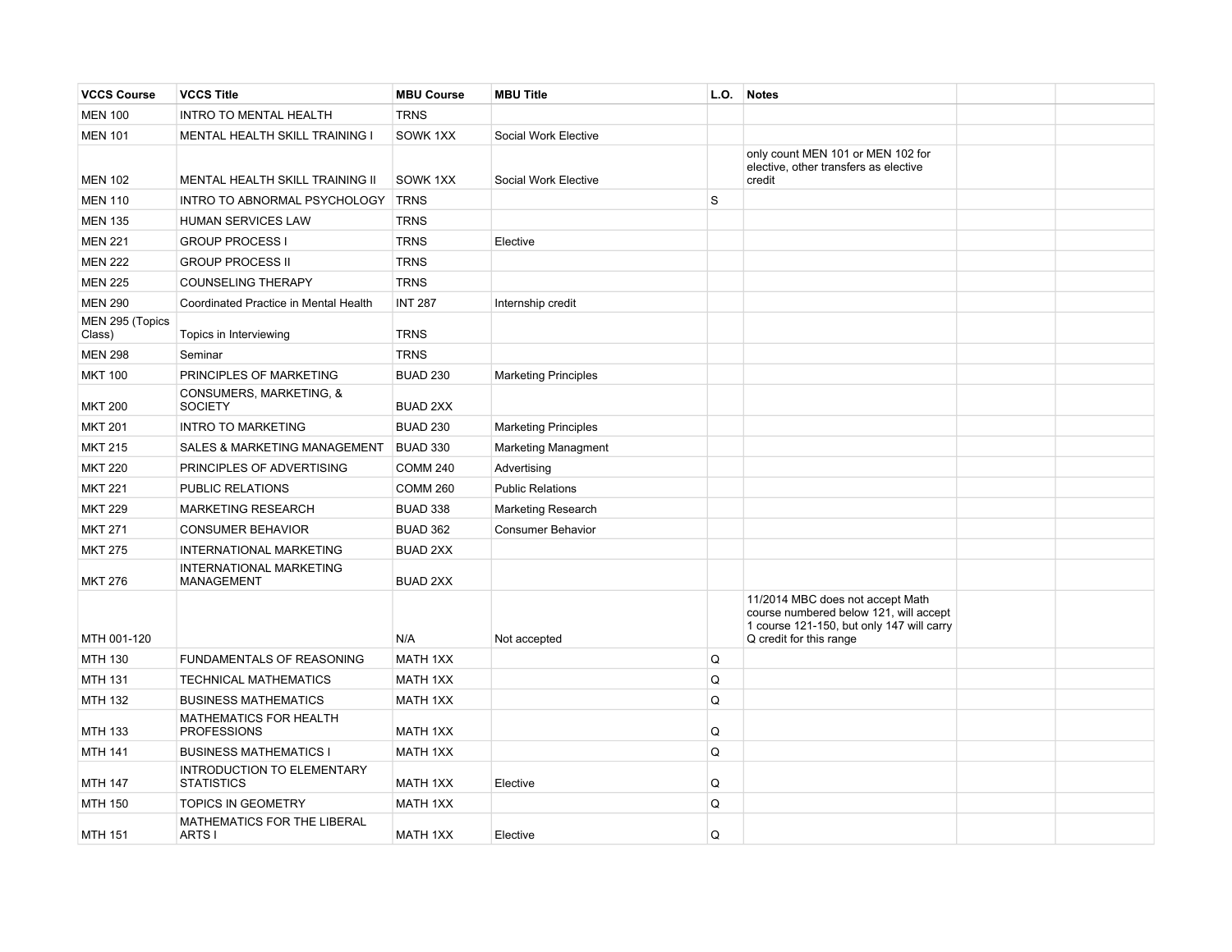| <b>VCCS Course</b>        | <b>VCCS Title</b>                                   | <b>MBU Course</b> | <b>MBU Title</b>            | L.O. | <b>Notes</b>                                                                                                                                       |  |
|---------------------------|-----------------------------------------------------|-------------------|-----------------------------|------|----------------------------------------------------------------------------------------------------------------------------------------------------|--|
| <b>MEN 100</b>            | <b>INTRO TO MENTAL HEALTH</b>                       | <b>TRNS</b>       |                             |      |                                                                                                                                                    |  |
| <b>MEN 101</b>            | MENTAL HEALTH SKILL TRAINING I                      | SOWK 1XX          | Social Work Elective        |      |                                                                                                                                                    |  |
| <b>MEN 102</b>            | MENTAL HEALTH SKILL TRAINING II                     | SOWK 1XX          | Social Work Elective        |      | only count MEN 101 or MEN 102 for<br>elective, other transfers as elective<br>credit                                                               |  |
| <b>MEN 110</b>            | INTRO TO ABNORMAL PSYCHOLOGY                        | <b>TRNS</b>       |                             | l S  |                                                                                                                                                    |  |
| <b>MEN 135</b>            | <b>HUMAN SERVICES LAW</b>                           | <b>TRNS</b>       |                             |      |                                                                                                                                                    |  |
| <b>MEN 221</b>            | <b>GROUP PROCESS I</b>                              | <b>TRNS</b>       | Elective                    |      |                                                                                                                                                    |  |
| <b>MEN 222</b>            | <b>GROUP PROCESS II</b>                             | <b>TRNS</b>       |                             |      |                                                                                                                                                    |  |
| <b>MEN 225</b>            | <b>COUNSELING THERAPY</b>                           | <b>TRNS</b>       |                             |      |                                                                                                                                                    |  |
| <b>MEN 290</b>            | Coordinated Practice in Mental Health               | <b>INT 287</b>    | Internship credit           |      |                                                                                                                                                    |  |
| MEN 295 (Topics<br>Class) | Topics in Interviewing                              | <b>TRNS</b>       |                             |      |                                                                                                                                                    |  |
| <b>MEN 298</b>            | Seminar                                             | <b>TRNS</b>       |                             |      |                                                                                                                                                    |  |
| <b>MKT 100</b>            | PRINCIPLES OF MARKETING                             | <b>BUAD 230</b>   | <b>Marketing Principles</b> |      |                                                                                                                                                    |  |
| <b>MKT 200</b>            | CONSUMERS, MARKETING, &<br><b>SOCIETY</b>           | <b>BUAD 2XX</b>   |                             |      |                                                                                                                                                    |  |
| <b>MKT 201</b>            | <b>INTRO TO MARKETING</b>                           | <b>BUAD 230</b>   | <b>Marketing Principles</b> |      |                                                                                                                                                    |  |
| <b>MKT 215</b>            | <b>SALES &amp; MARKETING MANAGEMENT</b>             | <b>BUAD 330</b>   | <b>Marketing Managment</b>  |      |                                                                                                                                                    |  |
| <b>MKT 220</b>            | PRINCIPLES OF ADVERTISING                           | <b>COMM 240</b>   | Advertising                 |      |                                                                                                                                                    |  |
| <b>MKT 221</b>            | PUBLIC RELATIONS                                    | <b>COMM 260</b>   | <b>Public Relations</b>     |      |                                                                                                                                                    |  |
| <b>MKT 229</b>            | <b>MARKETING RESEARCH</b>                           | <b>BUAD 338</b>   | <b>Marketing Research</b>   |      |                                                                                                                                                    |  |
| <b>MKT 271</b>            | <b>CONSUMER BEHAVIOR</b>                            | <b>BUAD 362</b>   | <b>Consumer Behavior</b>    |      |                                                                                                                                                    |  |
| <b>MKT 275</b>            | INTERNATIONAL MARKETING                             | <b>BUAD 2XX</b>   |                             |      |                                                                                                                                                    |  |
| <b>MKT 276</b>            | INTERNATIONAL MARKETING<br>MANAGEMENT               | <b>BUAD 2XX</b>   |                             |      |                                                                                                                                                    |  |
| MTH 001-120               |                                                     | N/A               | Not accepted                |      | 11/2014 MBC does not accept Math<br>course numbered below 121, will accept<br>1 course 121-150, but only 147 will carry<br>Q credit for this range |  |
| <b>MTH 130</b>            | FUNDAMENTALS OF REASONING                           | <b>MATH 1XX</b>   |                             | Q    |                                                                                                                                                    |  |
| MTH 131                   | <b>TECHNICAL MATHEMATICS</b>                        | MATH 1XX          |                             | Q    |                                                                                                                                                    |  |
| MTH 132                   | <b>BUSINESS MATHEMATICS</b>                         | MATH 1XX          |                             | Q    |                                                                                                                                                    |  |
| <b>MTH 133</b>            | <b>MATHEMATICS FOR HEALTH</b><br><b>PROFESSIONS</b> | <b>MATH 1XX</b>   |                             | Q    |                                                                                                                                                    |  |
| <b>MTH 141</b>            | <b>BUSINESS MATHEMATICS I</b>                       | <b>MATH 1XX</b>   |                             | Q    |                                                                                                                                                    |  |
| <b>MTH 147</b>            | INTRODUCTION TO ELEMENTARY<br><b>STATISTICS</b>     | <b>MATH 1XX</b>   | Elective                    | Q    |                                                                                                                                                    |  |
| <b>MTH 150</b>            | <b>TOPICS IN GEOMETRY</b>                           | <b>MATH 1XX</b>   |                             | Q    |                                                                                                                                                    |  |
| <b>MTH 151</b>            | MATHEMATICS FOR THE LIBERAL<br>ARTS I               | <b>MATH 1XX</b>   | Elective                    | Q    |                                                                                                                                                    |  |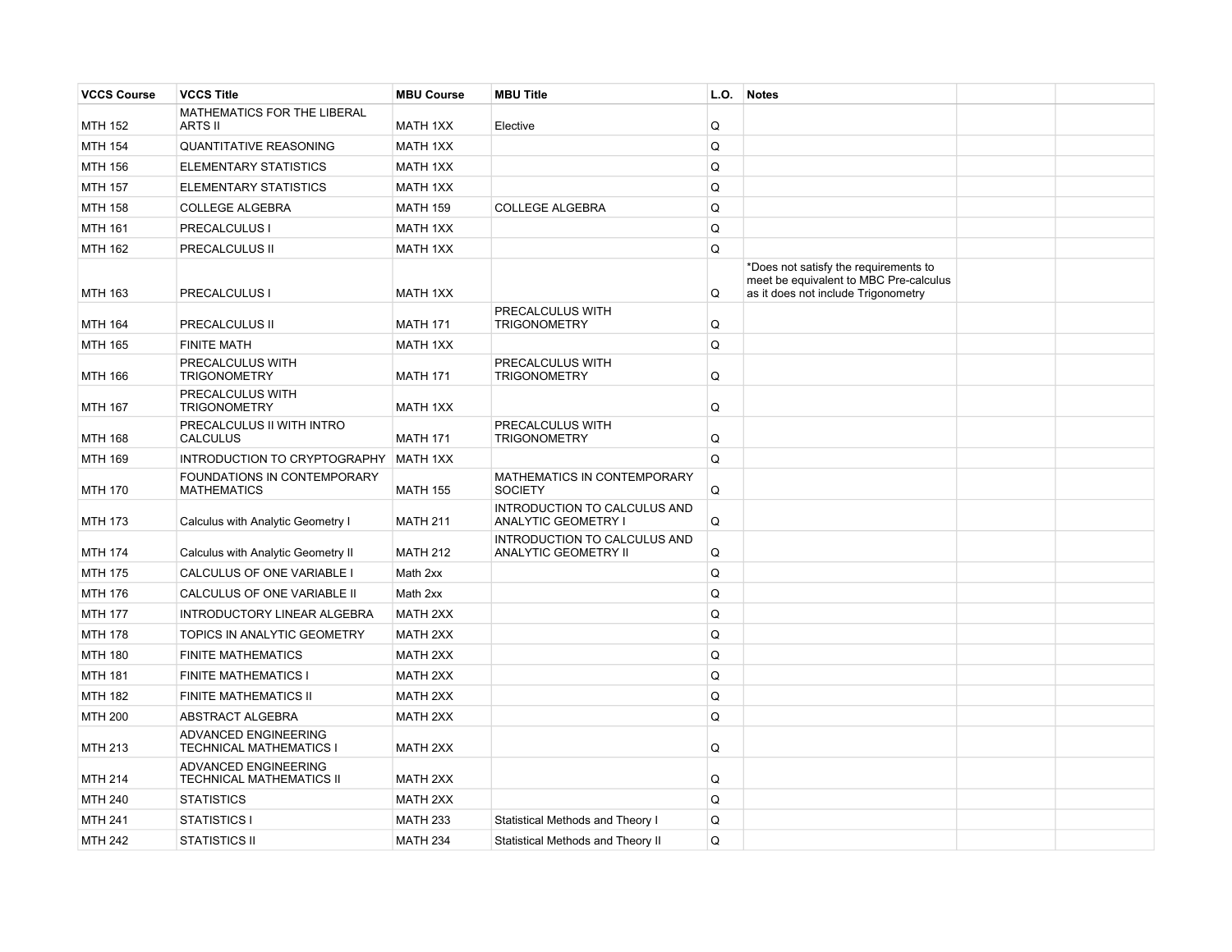| <b>VCCS Course</b> | <b>VCCS Title</b>                                       | <b>MBU Course</b> | <b>MBU Title</b>                                     | L.O. | <b>Notes</b>                                                                                                           |  |
|--------------------|---------------------------------------------------------|-------------------|------------------------------------------------------|------|------------------------------------------------------------------------------------------------------------------------|--|
| <b>MTH 152</b>     | MATHEMATICS FOR THE LIBERAL<br><b>ARTS II</b>           | <b>MATH 1XX</b>   | Elective                                             | Q    |                                                                                                                        |  |
| <b>MTH 154</b>     | <b>QUANTITATIVE REASONING</b>                           | <b>MATH 1XX</b>   |                                                      | Q    |                                                                                                                        |  |
| MTH 156            | ELEMENTARY STATISTICS                                   | MATH 1XX          |                                                      | Q    |                                                                                                                        |  |
| <b>MTH 157</b>     | <b>ELEMENTARY STATISTICS</b>                            | <b>MATH 1XX</b>   |                                                      | Q    |                                                                                                                        |  |
| <b>MTH 158</b>     | <b>COLLEGE ALGEBRA</b>                                  | <b>MATH 159</b>   | <b>COLLEGE ALGEBRA</b>                               | Q    |                                                                                                                        |  |
| <b>MTH 161</b>     | PRECALCULUS I                                           | <b>MATH 1XX</b>   |                                                      | Q    |                                                                                                                        |  |
| <b>MTH 162</b>     | PRECALCULUS II                                          | <b>MATH 1XX</b>   |                                                      | Q    |                                                                                                                        |  |
| <b>MTH 163</b>     | PRECALCULUS I                                           | <b>MATH 1XX</b>   |                                                      | Q    | *Does not satisfy the requirements to<br>meet be equivalent to MBC Pre-calculus<br>as it does not include Trigonometry |  |
| <b>MTH 164</b>     | PRECALCULUS II                                          | <b>MATH 171</b>   | PRECALCULUS WITH<br><b>TRIGONOMETRY</b>              | Q    |                                                                                                                        |  |
| <b>MTH 165</b>     | <b>FINITE MATH</b>                                      | <b>MATH 1XX</b>   |                                                      | Q    |                                                                                                                        |  |
| <b>MTH 166</b>     | PRECALCULUS WITH<br><b>TRIGONOMETRY</b>                 | <b>MATH 171</b>   | PRECALCULUS WITH<br><b>TRIGONOMETRY</b>              | Q    |                                                                                                                        |  |
| <b>MTH 167</b>     | PRECALCULUS WITH<br><b>TRIGONOMETRY</b>                 | <b>MATH 1XX</b>   |                                                      | Q    |                                                                                                                        |  |
| <b>MTH 168</b>     | PRECALCULUS II WITH INTRO<br><b>CALCULUS</b>            | <b>MATH 171</b>   | PRECALCULUS WITH<br><b>TRIGONOMETRY</b>              | Q    |                                                                                                                        |  |
| <b>MTH 169</b>     | INTRODUCTION TO CRYPTOGRAPHY                            | MATH 1XX          |                                                      | Q    |                                                                                                                        |  |
| <b>MTH 170</b>     | FOUNDATIONS IN CONTEMPORARY<br><b>MATHEMATICS</b>       | <b>MATH 155</b>   | MATHEMATICS IN CONTEMPORARY<br><b>SOCIETY</b>        | Q    |                                                                                                                        |  |
| <b>MTH 173</b>     | Calculus with Analytic Geometry I                       | <b>MATH 211</b>   | INTRODUCTION TO CALCULUS AND<br>ANALYTIC GEOMETRY I  | Q    |                                                                                                                        |  |
| <b>MTH 174</b>     | Calculus with Analytic Geometry II                      | <b>MATH 212</b>   | INTRODUCTION TO CALCULUS AND<br>ANALYTIC GEOMETRY II | Q    |                                                                                                                        |  |
| <b>MTH 175</b>     | CALCULUS OF ONE VARIABLE I                              | Math 2xx          |                                                      | Q    |                                                                                                                        |  |
| <b>MTH 176</b>     | CALCULUS OF ONE VARIABLE II                             | Math 2xx          |                                                      | Q    |                                                                                                                        |  |
| <b>MTH 177</b>     | INTRODUCTORY LINEAR ALGEBRA                             | <b>MATH 2XX</b>   |                                                      | Q    |                                                                                                                        |  |
| <b>MTH 178</b>     | TOPICS IN ANALYTIC GEOMETRY                             | <b>MATH 2XX</b>   |                                                      | Q    |                                                                                                                        |  |
| <b>MTH 180</b>     | <b>FINITE MATHEMATICS</b>                               | <b>MATH 2XX</b>   |                                                      | Q    |                                                                                                                        |  |
| <b>MTH 181</b>     | <b>FINITE MATHEMATICS I</b>                             | <b>MATH 2XX</b>   |                                                      | Q    |                                                                                                                        |  |
| <b>MTH 182</b>     | <b>FINITE MATHEMATICS II</b>                            | MATH 2XX          |                                                      | Q    |                                                                                                                        |  |
| <b>MTH 200</b>     | <b>ABSTRACT ALGEBRA</b>                                 | <b>MATH 2XX</b>   |                                                      | Q    |                                                                                                                        |  |
| MTH 213            | ADVANCED ENGINEERING<br><b>TECHNICAL MATHEMATICS I</b>  | <b>MATH 2XX</b>   |                                                      | Q    |                                                                                                                        |  |
| <b>MTH 214</b>     | <b>ADVANCED ENGINEERING</b><br>TECHNICAL MATHEMATICS II | MATH 2XX          |                                                      | Q    |                                                                                                                        |  |
| <b>MTH 240</b>     | <b>STATISTICS</b>                                       | <b>MATH 2XX</b>   |                                                      | Q    |                                                                                                                        |  |
| <b>MTH 241</b>     | STATISTICS I                                            | <b>MATH 233</b>   | Statistical Methods and Theory I                     | Q    |                                                                                                                        |  |
| <b>MTH 242</b>     | <b>STATISTICS II</b>                                    | <b>MATH 234</b>   | Statistical Methods and Theory II                    | Q    |                                                                                                                        |  |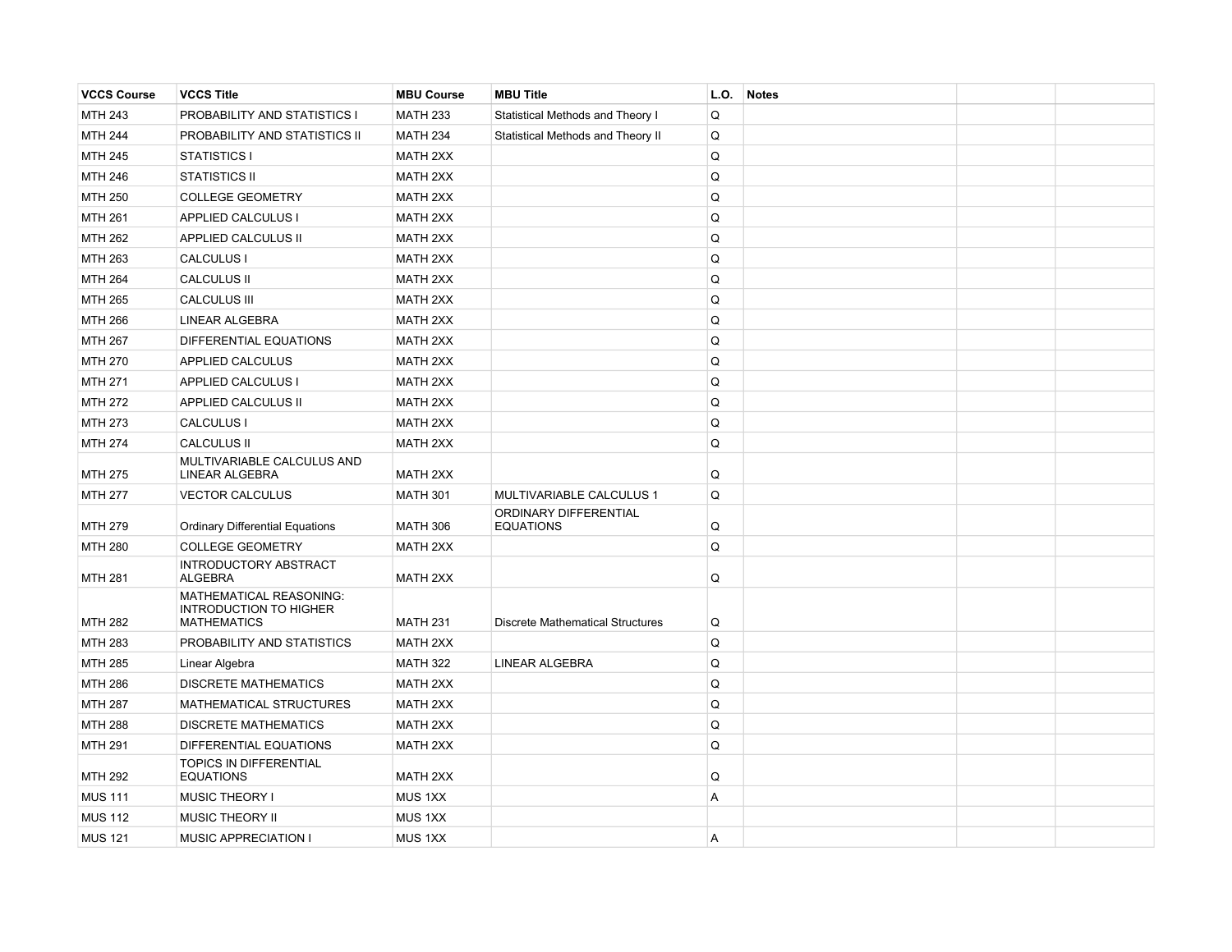| <b>VCCS Course</b> | <b>VCCS Title</b>                                                              | <b>MBU Course</b>  | <b>MBU Title</b>                          | L.O. | <b>Notes</b> |  |
|--------------------|--------------------------------------------------------------------------------|--------------------|-------------------------------------------|------|--------------|--|
| <b>MTH 243</b>     | PROBABILITY AND STATISTICS I                                                   | <b>MATH 233</b>    | Statistical Methods and Theory I          | Q    |              |  |
| <b>MTH 244</b>     | PROBABILITY AND STATISTICS II                                                  | <b>MATH 234</b>    | Statistical Methods and Theory II         | Q    |              |  |
| <b>MTH 245</b>     | <b>STATISTICS I</b>                                                            | <b>MATH 2XX</b>    |                                           | Q    |              |  |
| <b>MTH 246</b>     | <b>STATISTICS II</b>                                                           | <b>MATH 2XX</b>    |                                           | Q    |              |  |
| <b>MTH 250</b>     | <b>COLLEGE GEOMETRY</b>                                                        | <b>MATH 2XX</b>    |                                           | Q    |              |  |
| <b>MTH 261</b>     | APPLIED CALCULUS I                                                             | <b>MATH 2XX</b>    |                                           | Q    |              |  |
| <b>MTH 262</b>     | APPLIED CALCULUS II                                                            | <b>MATH 2XX</b>    |                                           | Q    |              |  |
| MTH 263            | <b>CALCULUS I</b>                                                              | MATH 2XX           |                                           | Q    |              |  |
| <b>MTH 264</b>     | <b>CALCULUS II</b>                                                             | <b>MATH 2XX</b>    |                                           | Q    |              |  |
| MTH 265            | <b>CALCULUS III</b>                                                            | <b>MATH 2XX</b>    |                                           | Q    |              |  |
| <b>MTH 266</b>     | LINEAR ALGEBRA                                                                 | <b>MATH 2XX</b>    |                                           | Q    |              |  |
| <b>MTH 267</b>     | DIFFERENTIAL EQUATIONS                                                         | <b>MATH 2XX</b>    |                                           | Q    |              |  |
| <b>MTH 270</b>     | APPLIED CALCULUS                                                               | <b>MATH 2XX</b>    |                                           | Q    |              |  |
| <b>MTH 271</b>     | <b>APPLIED CALCULUS I</b>                                                      | MATH 2XX           |                                           | Q    |              |  |
| <b>MTH 272</b>     | APPLIED CALCULUS II                                                            | MATH 2XX           |                                           | Q    |              |  |
| <b>MTH 273</b>     | <b>CALCULUS I</b>                                                              | MATH 2XX           |                                           | Q    |              |  |
| <b>MTH 274</b>     | <b>CALCULUS II</b>                                                             | MATH 2XX           |                                           | Q    |              |  |
| <b>MTH 275</b>     | MULTIVARIABLE CALCULUS AND<br><b>LINEAR ALGEBRA</b>                            | MATH 2XX           |                                           | Q    |              |  |
| <b>MTH 277</b>     | <b>VECTOR CALCULUS</b>                                                         | <b>MATH 301</b>    | MULTIVARIABLE CALCULUS 1                  | Q    |              |  |
| <b>MTH 279</b>     | <b>Ordinary Differential Equations</b>                                         | <b>MATH 306</b>    | ORDINARY DIFFERENTIAL<br><b>EQUATIONS</b> | Q    |              |  |
| <b>MTH 280</b>     | <b>COLLEGE GEOMETRY</b>                                                        | <b>MATH 2XX</b>    |                                           | Q    |              |  |
| <b>MTH 281</b>     | INTRODUCTORY ABSTRACT<br><b>ALGEBRA</b>                                        | <b>MATH 2XX</b>    |                                           | Q    |              |  |
| <b>MTH 282</b>     | MATHEMATICAL REASONING:<br><b>INTRODUCTION TO HIGHER</b><br><b>MATHEMATICS</b> | <b>MATH 231</b>    | <b>Discrete Mathematical Structures</b>   | Q    |              |  |
| <b>MTH 283</b>     | PROBABILITY AND STATISTICS                                                     | <b>MATH 2XX</b>    |                                           | Q    |              |  |
| <b>MTH 285</b>     | Linear Algebra                                                                 | <b>MATH 322</b>    | <b>LINEAR ALGEBRA</b>                     | Q    |              |  |
| <b>MTH 286</b>     | <b>DISCRETE MATHEMATICS</b>                                                    | MATH 2XX           |                                           | Q    |              |  |
| <b>MTH 287</b>     | MATHEMATICAL STRUCTURES                                                        | <b>MATH 2XX</b>    |                                           | Q    |              |  |
| <b>MTH 288</b>     | <b>DISCRETE MATHEMATICS</b>                                                    | MATH 2XX           |                                           | Q    |              |  |
| <b>MTH 291</b>     | DIFFERENTIAL EQUATIONS                                                         | MATH 2XX           |                                           | Q    |              |  |
| <b>MTH 292</b>     | <b>TOPICS IN DIFFERENTIAL</b><br><b>EQUATIONS</b>                              | MATH 2XX           |                                           | Q    |              |  |
| <b>MUS 111</b>     | MUSIC THEORY I                                                                 | MUS 1XX            |                                           | A    |              |  |
| <b>MUS 112</b>     | MUSIC THEORY II                                                                | MUS 1XX            |                                           |      |              |  |
| <b>MUS 121</b>     | MUSIC APPRECIATION I                                                           | MUS <sub>1XX</sub> |                                           | A    |              |  |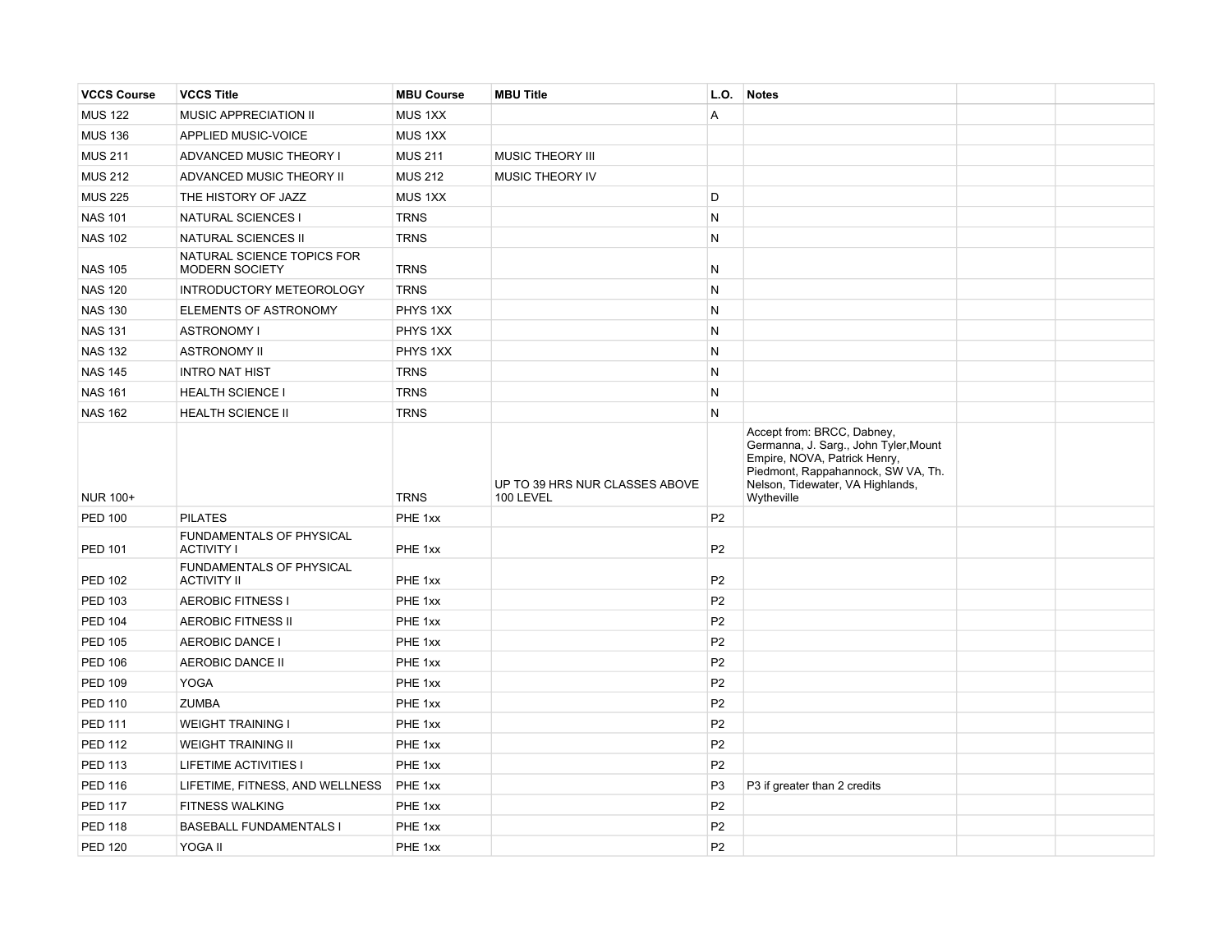| <b>VCCS Course</b> | <b>VCCS Title</b>                                   | <b>MBU Course</b>  | <b>MBU Title</b>                            | L.O.           | <b>Notes</b>                                                                                                                                                                                |  |
|--------------------|-----------------------------------------------------|--------------------|---------------------------------------------|----------------|---------------------------------------------------------------------------------------------------------------------------------------------------------------------------------------------|--|
| <b>MUS 122</b>     | MUSIC APPRECIATION II                               | MUS <sub>1XX</sub> |                                             | A              |                                                                                                                                                                                             |  |
| <b>MUS 136</b>     | APPLIED MUSIC-VOICE                                 | MUS <sub>1XX</sub> |                                             |                |                                                                                                                                                                                             |  |
| <b>MUS 211</b>     | ADVANCED MUSIC THEORY I                             | <b>MUS 211</b>     | MUSIC THEORY III                            |                |                                                                                                                                                                                             |  |
| <b>MUS 212</b>     | ADVANCED MUSIC THEORY II                            | <b>MUS 212</b>     | MUSIC THEORY IV                             |                |                                                                                                                                                                                             |  |
| <b>MUS 225</b>     | THE HISTORY OF JAZZ                                 | MUS 1XX            |                                             | D              |                                                                                                                                                                                             |  |
| <b>NAS 101</b>     | NATURAL SCIENCES I                                  | <b>TRNS</b>        |                                             | N              |                                                                                                                                                                                             |  |
| <b>NAS 102</b>     | <b>NATURAL SCIENCES II</b>                          | <b>TRNS</b>        |                                             | N              |                                                                                                                                                                                             |  |
| <b>NAS 105</b>     | NATURAL SCIENCE TOPICS FOR<br><b>MODERN SOCIETY</b> | <b>TRNS</b>        |                                             | N              |                                                                                                                                                                                             |  |
| <b>NAS 120</b>     | INTRODUCTORY METEOROLOGY                            | <b>TRNS</b>        |                                             | N              |                                                                                                                                                                                             |  |
| <b>NAS 130</b>     | ELEMENTS OF ASTRONOMY                               | PHYS 1XX           |                                             | N              |                                                                                                                                                                                             |  |
| <b>NAS 131</b>     | <b>ASTRONOMY I</b>                                  | PHYS 1XX           |                                             | N              |                                                                                                                                                                                             |  |
| <b>NAS 132</b>     | <b>ASTRONOMY II</b>                                 | PHYS 1XX           |                                             | N              |                                                                                                                                                                                             |  |
| <b>NAS 145</b>     | <b>INTRO NAT HIST</b>                               | <b>TRNS</b>        |                                             | N              |                                                                                                                                                                                             |  |
| <b>NAS 161</b>     | <b>HEALTH SCIENCE I</b>                             | <b>TRNS</b>        |                                             | N              |                                                                                                                                                                                             |  |
| <b>NAS 162</b>     | <b>HEALTH SCIENCE II</b>                            | <b>TRNS</b>        |                                             | N              |                                                                                                                                                                                             |  |
| <b>NUR 100+</b>    |                                                     | <b>TRNS</b>        | UP TO 39 HRS NUR CLASSES ABOVE<br>100 LEVEL |                | Accept from: BRCC, Dabney,<br>Germanna, J. Sarg., John Tyler, Mount<br>Empire, NOVA, Patrick Henry,<br>Piedmont, Rappahannock, SW VA, Th.<br>Nelson, Tidewater, VA Highlands,<br>Wytheville |  |
| <b>PED 100</b>     | <b>PILATES</b>                                      | PHE 1xx            |                                             | P <sub>2</sub> |                                                                                                                                                                                             |  |
| <b>PED 101</b>     | FUNDAMENTALS OF PHYSICAL<br><b>ACTIVITY I</b>       | PHE 1xx            |                                             | P <sub>2</sub> |                                                                                                                                                                                             |  |
| <b>PED 102</b>     | FUNDAMENTALS OF PHYSICAL<br><b>ACTIVITY II</b>      | PHE 1xx            |                                             | P <sub>2</sub> |                                                                                                                                                                                             |  |
| PED 103            | <b>AEROBIC FITNESS I</b>                            | PHE 1xx            |                                             | P <sub>2</sub> |                                                                                                                                                                                             |  |
| <b>PED 104</b>     | <b>AEROBIC FITNESS II</b>                           | PHE 1xx            |                                             | P <sub>2</sub> |                                                                                                                                                                                             |  |
| <b>PED 105</b>     | <b>AEROBIC DANCE I</b>                              | PHE 1xx            |                                             | P <sub>2</sub> |                                                                                                                                                                                             |  |
| <b>PED 106</b>     | <b>AEROBIC DANCE II</b>                             | PHE 1xx            |                                             | P <sub>2</sub> |                                                                                                                                                                                             |  |
| <b>PED 109</b>     | <b>YOGA</b>                                         | PHE 1xx            |                                             | P <sub>2</sub> |                                                                                                                                                                                             |  |
| <b>PED 110</b>     | <b>ZUMBA</b>                                        | PHE 1xx            |                                             | P <sub>2</sub> |                                                                                                                                                                                             |  |
| <b>PED 111</b>     | <b>WEIGHT TRAINING I</b>                            | PHE 1xx            |                                             | P <sub>2</sub> |                                                                                                                                                                                             |  |
| <b>PED 112</b>     | <b>WEIGHT TRAINING II</b>                           | PHE 1xx            |                                             | P <sub>2</sub> |                                                                                                                                                                                             |  |
| <b>PED 113</b>     | <b>LIFETIME ACTIVITIES I</b>                        | PHE 1xx            |                                             | P <sub>2</sub> |                                                                                                                                                                                             |  |
| <b>PED 116</b>     | LIFETIME, FITNESS, AND WELLNESS                     | PHE 1xx            |                                             | P <sub>3</sub> | P3 if greater than 2 credits                                                                                                                                                                |  |
| <b>PED 117</b>     | <b>FITNESS WALKING</b>                              | PHE 1xx            |                                             | P <sub>2</sub> |                                                                                                                                                                                             |  |
| <b>PED 118</b>     | <b>BASEBALL FUNDAMENTALS I</b>                      | PHE 1xx            |                                             | P <sub>2</sub> |                                                                                                                                                                                             |  |
| <b>PED 120</b>     | YOGA II                                             | PHE 1xx            |                                             | P <sub>2</sub> |                                                                                                                                                                                             |  |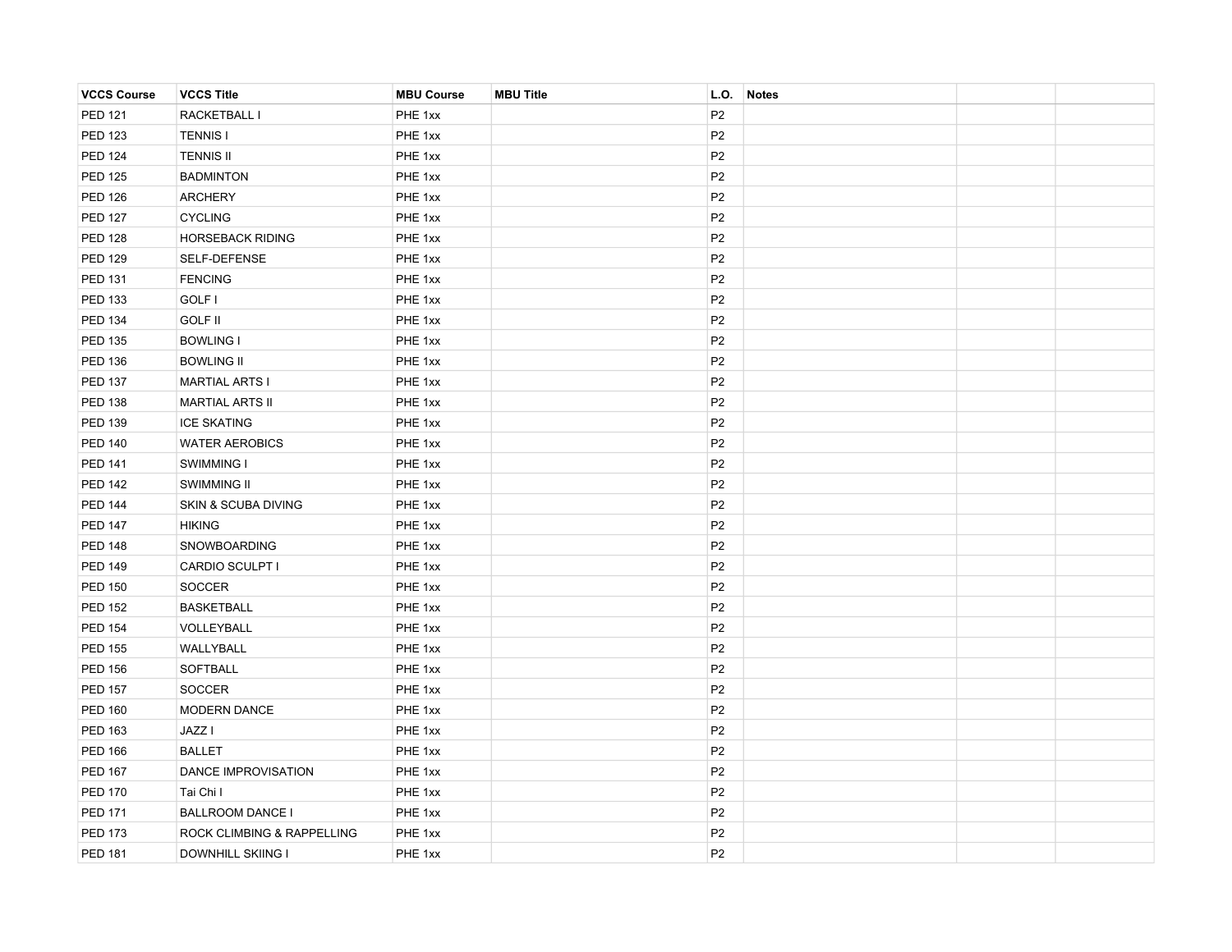| <b>VCCS Course</b> | <b>VCCS Title</b>          | <b>MBU Course</b> | <b>MBU Title</b> | L.O.           | <b>Notes</b> |  |
|--------------------|----------------------------|-------------------|------------------|----------------|--------------|--|
| <b>PED 121</b>     | RACKETBALL I               | PHE 1xx           |                  | P <sub>2</sub> |              |  |
| <b>PED 123</b>     | <b>TENNIS I</b>            | PHE 1xx           |                  | P <sub>2</sub> |              |  |
| <b>PED 124</b>     | <b>TENNIS II</b>           | PHE 1xx           |                  | P <sub>2</sub> |              |  |
| <b>PED 125</b>     | <b>BADMINTON</b>           | PHE 1xx           |                  | P <sub>2</sub> |              |  |
| <b>PED 126</b>     | <b>ARCHERY</b>             | PHE 1xx           |                  | P <sub>2</sub> |              |  |
| <b>PED 127</b>     | <b>CYCLING</b>             | PHE 1xx           |                  | P <sub>2</sub> |              |  |
| <b>PED 128</b>     | <b>HORSEBACK RIDING</b>    | PHE 1xx           |                  | P <sub>2</sub> |              |  |
| <b>PED 129</b>     | SELF-DEFENSE               | PHE 1xx           |                  | P <sub>2</sub> |              |  |
| PED 131            | <b>FENCING</b>             | PHE 1xx           |                  | P <sub>2</sub> |              |  |
| PED 133            | GOLF I                     | PHE 1xx           |                  | P <sub>2</sub> |              |  |
| <b>PED 134</b>     | <b>GOLF II</b>             | PHE 1xx           |                  | P <sub>2</sub> |              |  |
| <b>PED 135</b>     | <b>BOWLING I</b>           | PHE 1xx           |                  | P <sub>2</sub> |              |  |
| <b>PED 136</b>     | <b>BOWLING II</b>          | PHE 1xx           |                  | P <sub>2</sub> |              |  |
| <b>PED 137</b>     | <b>MARTIAL ARTS I</b>      | PHE 1xx           |                  | P <sub>2</sub> |              |  |
| <b>PED 138</b>     | <b>MARTIAL ARTS II</b>     | PHE 1xx           |                  | P <sub>2</sub> |              |  |
| <b>PED 139</b>     | <b>ICE SKATING</b>         | PHE 1xx           |                  | P <sub>2</sub> |              |  |
| <b>PED 140</b>     | <b>WATER AEROBICS</b>      | PHE 1xx           |                  | P <sub>2</sub> |              |  |
| <b>PED 141</b>     | SWIMMING I                 | PHE 1xx           |                  | P <sub>2</sub> |              |  |
| <b>PED 142</b>     | SWIMMING II                | PHE 1xx           |                  | P <sub>2</sub> |              |  |
| <b>PED 144</b>     | SKIN & SCUBA DIVING        | PHE 1xx           |                  | P <sub>2</sub> |              |  |
| <b>PED 147</b>     | <b>HIKING</b>              | PHE 1xx           |                  | P <sub>2</sub> |              |  |
| <b>PED 148</b>     | SNOWBOARDING               | PHE 1xx           |                  | P <sub>2</sub> |              |  |
| <b>PED 149</b>     | CARDIO SCULPT I            | PHE 1xx           |                  | P <sub>2</sub> |              |  |
| <b>PED 150</b>     | <b>SOCCER</b>              | PHE 1xx           |                  | P <sub>2</sub> |              |  |
| <b>PED 152</b>     | <b>BASKETBALL</b>          | PHE 1xx           |                  | P <sub>2</sub> |              |  |
| <b>PED 154</b>     | VOLLEYBALL                 | PHE 1xx           |                  | P <sub>2</sub> |              |  |
| <b>PED 155</b>     | WALLYBALL                  | PHE 1xx           |                  | P <sub>2</sub> |              |  |
| <b>PED 156</b>     | SOFTBALL                   | PHE 1xx           |                  | P <sub>2</sub> |              |  |
| <b>PED 157</b>     | <b>SOCCER</b>              | PHE 1xx           |                  | P <sub>2</sub> |              |  |
| <b>PED 160</b>     | <b>MODERN DANCE</b>        | PHE 1xx           |                  | P <sub>2</sub> |              |  |
| <b>PED 163</b>     | JAZZ I                     | PHE 1xx           |                  | P <sub>2</sub> |              |  |
| <b>PED 166</b>     | <b>BALLET</b>              | PHE 1xx           |                  | P <sub>2</sub> |              |  |
| <b>PED 167</b>     | DANCE IMPROVISATION        | PHE 1xx           |                  | P <sub>2</sub> |              |  |
| <b>PED 170</b>     | Tai Chi I                  | PHE 1xx           |                  | P <sub>2</sub> |              |  |
| <b>PED 171</b>     | <b>BALLROOM DANCE I</b>    | PHE 1xx           |                  | P <sub>2</sub> |              |  |
| <b>PED 173</b>     | ROCK CLIMBING & RAPPELLING | PHE 1xx           |                  | P <sub>2</sub> |              |  |
| <b>PED 181</b>     | <b>DOWNHILL SKIING I</b>   | PHE 1xx           |                  | P <sub>2</sub> |              |  |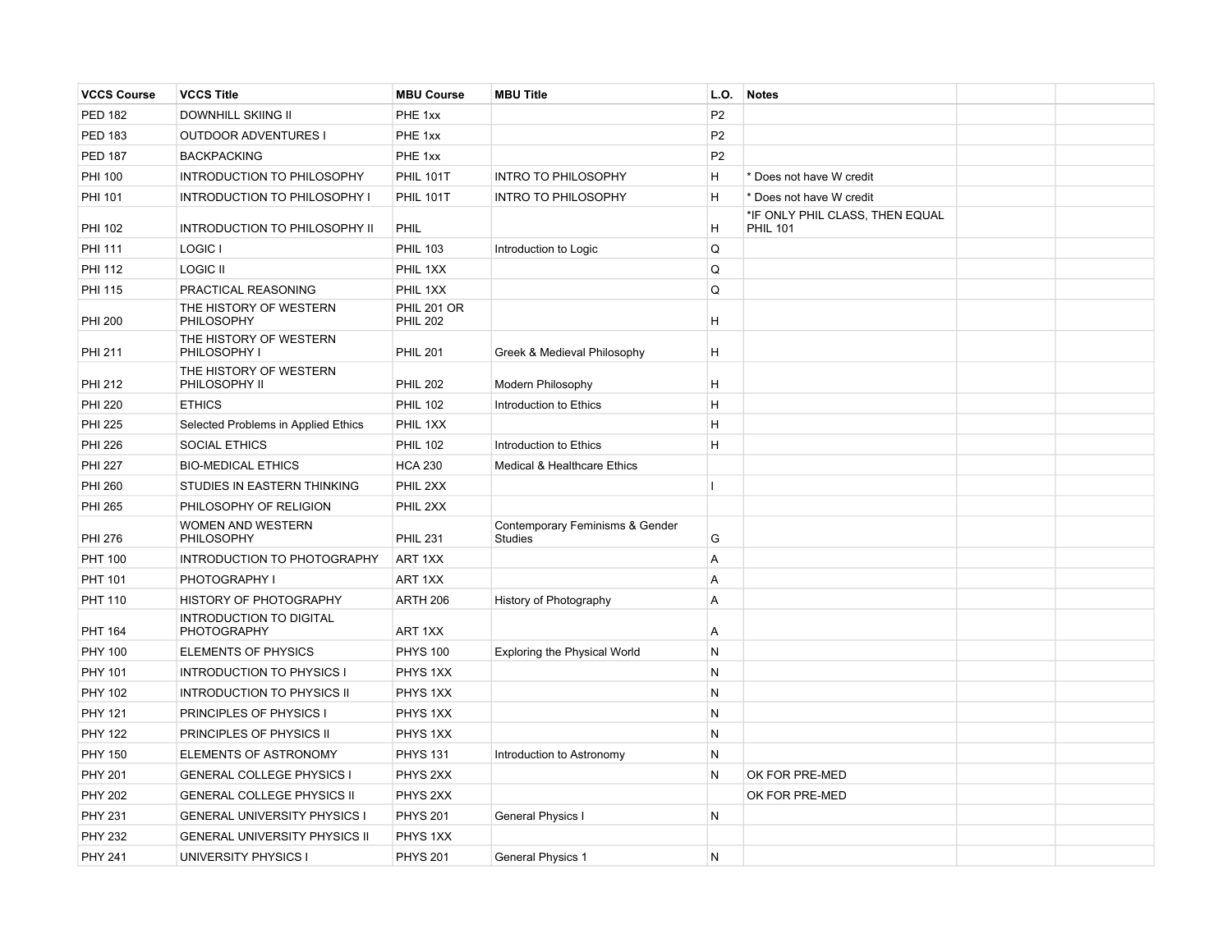| <b>VCCS Course</b> | <b>VCCS Title</b>                             | <b>MBU Course</b>                     | <b>MBU Title</b>                                  | L.O.           | <b>Notes</b>                                       |  |
|--------------------|-----------------------------------------------|---------------------------------------|---------------------------------------------------|----------------|----------------------------------------------------|--|
| <b>PED 182</b>     | DOWNHILL SKIING II                            | PHE 1xx                               |                                                   | P <sub>2</sub> |                                                    |  |
| <b>PED 183</b>     | <b>OUTDOOR ADVENTURES I</b>                   | PHE 1xx                               |                                                   | P <sub>2</sub> |                                                    |  |
| <b>PED 187</b>     | <b>BACKPACKING</b>                            | PHE 1xx                               |                                                   | P <sub>2</sub> |                                                    |  |
| <b>PHI 100</b>     | INTRODUCTION TO PHILOSOPHY                    | <b>PHIL 101T</b>                      | <b>INTRO TO PHILOSOPHY</b>                        | H              | * Does not have W credit                           |  |
| <b>PHI 101</b>     | INTRODUCTION TO PHILOSOPHY I                  | <b>PHIL 101T</b>                      | <b>INTRO TO PHILOSOPHY</b>                        | Η              | * Does not have W credit                           |  |
| PHI 102            | <b>INTRODUCTION TO PHILOSOPHY II</b>          | PHIL                                  |                                                   | H              | *IF ONLY PHIL CLASS, THEN EQUAL<br><b>PHIL 101</b> |  |
| <b>PHI 111</b>     | LOGIC I                                       | <b>PHIL 103</b>                       | Introduction to Logic                             | Q              |                                                    |  |
| <b>PHI 112</b>     | <b>LOGIC II</b>                               | PHIL 1XX                              |                                                   | Q              |                                                    |  |
| <b>PHI 115</b>     | PRACTICAL REASONING                           | PHIL 1XX                              |                                                   | Q              |                                                    |  |
| <b>PHI 200</b>     | THE HISTORY OF WESTERN<br>PHILOSOPHY          | <b>PHIL 201 OR</b><br><b>PHIL 202</b> |                                                   | Η              |                                                    |  |
| <b>PHI 211</b>     | THE HISTORY OF WESTERN<br>PHILOSOPHY I        | <b>PHIL 201</b>                       | Greek & Medieval Philosophy                       | H              |                                                    |  |
| PHI 212            | THE HISTORY OF WESTERN<br>PHILOSOPHY II       | <b>PHIL 202</b>                       | Modern Philosophy                                 | Η              |                                                    |  |
| <b>PHI 220</b>     | <b>ETHICS</b>                                 | <b>PHIL 102</b>                       | Introduction to Ethics                            | H              |                                                    |  |
| <b>PHI 225</b>     | Selected Problems in Applied Ethics           | PHIL 1XX                              |                                                   | H              |                                                    |  |
| <b>PHI 226</b>     | <b>SOCIAL ETHICS</b>                          | <b>PHIL 102</b>                       | Introduction to Ethics                            | H              |                                                    |  |
| <b>PHI 227</b>     | <b>BIO-MEDICAL ETHICS</b>                     | <b>HCA 230</b>                        | Medical & Healthcare Ethics                       |                |                                                    |  |
| <b>PHI 260</b>     | STUDIES IN EASTERN THINKING                   | PHIL 2XX                              |                                                   |                |                                                    |  |
| <b>PHI 265</b>     | PHILOSOPHY OF RELIGION                        | PHIL 2XX                              |                                                   |                |                                                    |  |
| <b>PHI 276</b>     | WOMEN AND WESTERN<br><b>PHILOSOPHY</b>        | <b>PHIL 231</b>                       | Contemporary Feminisms & Gender<br><b>Studies</b> | G              |                                                    |  |
| <b>PHT 100</b>     | INTRODUCTION TO PHOTOGRAPHY                   | ART 1XX                               |                                                   | A              |                                                    |  |
| <b>PHT 101</b>     | PHOTOGRAPHY I                                 | ART 1XX                               |                                                   | A              |                                                    |  |
| <b>PHT 110</b>     | HISTORY OF PHOTOGRAPHY                        | <b>ARTH 206</b>                       | History of Photography                            | Α              |                                                    |  |
| <b>PHT 164</b>     | <b>INTRODUCTION TO DIGITAL</b><br>PHOTOGRAPHY | ART 1XX                               |                                                   | $\overline{A}$ |                                                    |  |
| <b>PHY 100</b>     | <b>ELEMENTS OF PHYSICS</b>                    | <b>PHYS 100</b>                       | <b>Exploring the Physical World</b>               | N              |                                                    |  |
| PHY 101            | <b>INTRODUCTION TO PHYSICS I</b>              | PHYS 1XX                              |                                                   | N              |                                                    |  |
| PHY 102            | <b>INTRODUCTION TO PHYSICS II</b>             | PHYS 1XX                              |                                                   | N              |                                                    |  |
| <b>PHY 121</b>     | PRINCIPLES OF PHYSICS I                       | PHYS 1XX                              |                                                   | N              |                                                    |  |
| <b>PHY 122</b>     | PRINCIPLES OF PHYSICS II                      | PHYS 1XX                              |                                                   | N              |                                                    |  |
| <b>PHY 150</b>     | ELEMENTS OF ASTRONOMY                         | <b>PHYS 131</b>                       | Introduction to Astronomy                         | N              |                                                    |  |
| <b>PHY 201</b>     | <b>GENERAL COLLEGE PHYSICS I</b>              | PHYS 2XX                              |                                                   | N              | OK FOR PRE-MED                                     |  |
| <b>PHY 202</b>     | <b>GENERAL COLLEGE PHYSICS II</b>             | PHYS 2XX                              |                                                   |                | OK FOR PRE-MED                                     |  |
| <b>PHY 231</b>     | <b>GENERAL UNIVERSITY PHYSICS I</b>           | <b>PHYS 201</b>                       | General Physics I                                 | N              |                                                    |  |
| <b>PHY 232</b>     | <b>GENERAL UNIVERSITY PHYSICS II</b>          | PHYS 1XX                              |                                                   |                |                                                    |  |
| <b>PHY 241</b>     | UNIVERSITY PHYSICS I                          | <b>PHYS 201</b>                       | <b>General Physics 1</b>                          | N              |                                                    |  |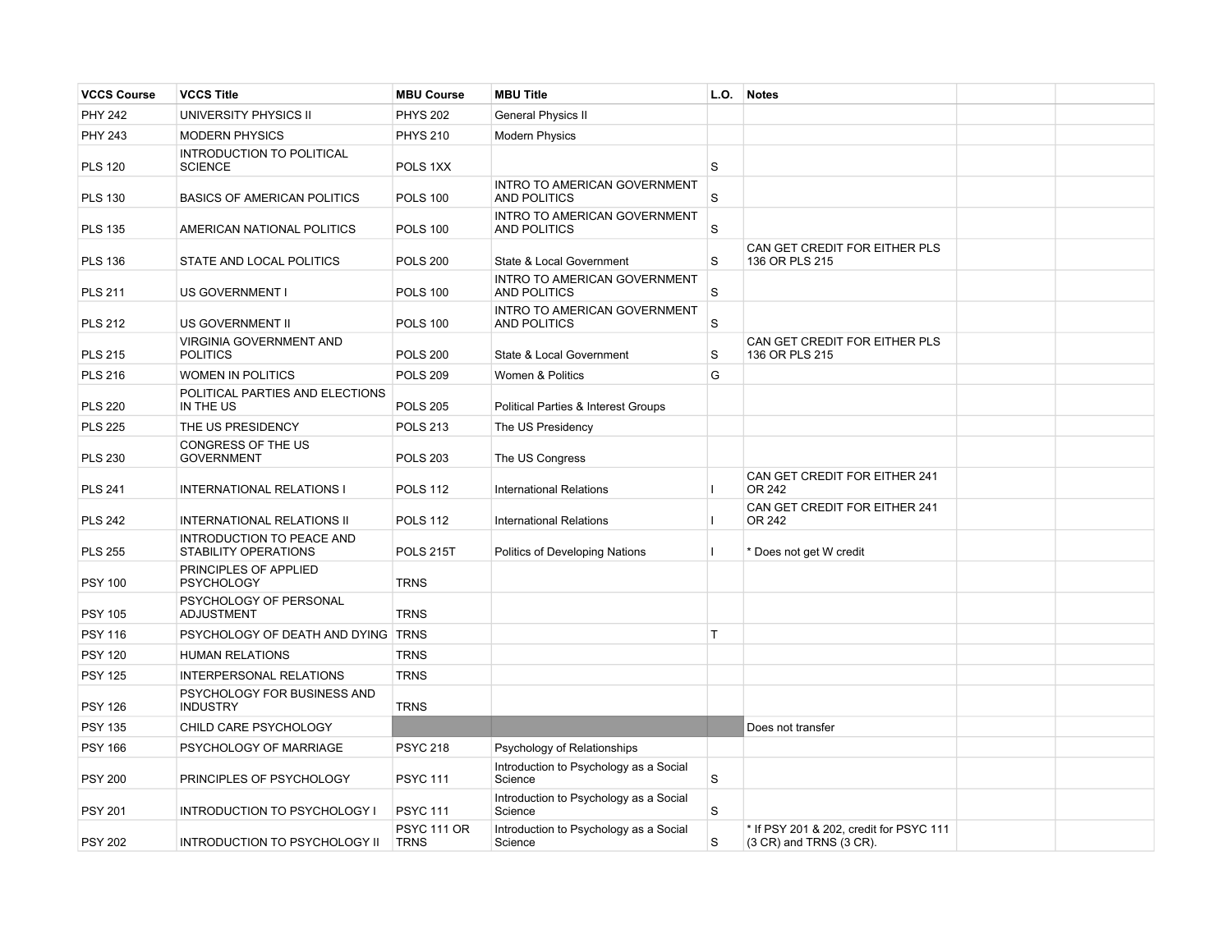| <b>VCCS Course</b> | <b>VCCS Title</b>                                  | <b>MBU Course</b>                 | <b>MBU Title</b>                                           | L.O.    | <b>Notes</b>                                                       |  |
|--------------------|----------------------------------------------------|-----------------------------------|------------------------------------------------------------|---------|--------------------------------------------------------------------|--|
| <b>PHY 242</b>     | UNIVERSITY PHYSICS II                              | <b>PHYS 202</b>                   | <b>General Physics II</b>                                  |         |                                                                    |  |
| <b>PHY 243</b>     | <b>MODERN PHYSICS</b>                              | <b>PHYS 210</b>                   | <b>Modern Physics</b>                                      |         |                                                                    |  |
| <b>PLS 120</b>     | <b>INTRODUCTION TO POLITICAL</b><br><b>SCIENCE</b> | POLS 1XX                          |                                                            | S       |                                                                    |  |
| <b>PLS 130</b>     | <b>BASICS OF AMERICAN POLITICS</b>                 | <b>POLS 100</b>                   | <b>INTRO TO AMERICAN GOVERNMENT</b><br><b>AND POLITICS</b> | S       |                                                                    |  |
| <b>PLS 135</b>     | AMERICAN NATIONAL POLITICS                         | <b>POLS 100</b>                   | INTRO TO AMERICAN GOVERNMENT<br><b>AND POLITICS</b>        | S       |                                                                    |  |
| <b>PLS 136</b>     | STATE AND LOCAL POLITICS                           | <b>POLS 200</b>                   | State & Local Government                                   | $\rm s$ | CAN GET CREDIT FOR EITHER PLS<br>136 OR PLS 215                    |  |
| <b>PLS 211</b>     | US GOVERNMENT I                                    | <b>POLS 100</b>                   | <b>INTRO TO AMERICAN GOVERNMENT</b><br><b>AND POLITICS</b> | $\rm s$ |                                                                    |  |
| <b>PLS 212</b>     | US GOVERNMENT II                                   | <b>POLS 100</b>                   | INTRO TO AMERICAN GOVERNMENT<br><b>AND POLITICS</b>        | S       |                                                                    |  |
| <b>PLS 215</b>     | VIRGINIA GOVERNMENT AND<br><b>POLITICS</b>         | <b>POLS 200</b>                   | State & Local Government                                   | S       | CAN GET CREDIT FOR EITHER PLS<br>136 OR PLS 215                    |  |
| <b>PLS 216</b>     | <b>WOMEN IN POLITICS</b>                           | <b>POLS 209</b>                   | Women & Politics                                           | G       |                                                                    |  |
| <b>PLS 220</b>     | POLITICAL PARTIES AND ELECTIONS<br>IN THE US       | <b>POLS 205</b>                   | Political Parties & Interest Groups                        |         |                                                                    |  |
| <b>PLS 225</b>     | THE US PRESIDENCY                                  | <b>POLS 213</b>                   | The US Presidency                                          |         |                                                                    |  |
| <b>PLS 230</b>     | CONGRESS OF THE US<br><b>GOVERNMENT</b>            | <b>POLS 203</b>                   | The US Congress                                            |         |                                                                    |  |
| <b>PLS 241</b>     | <b>INTERNATIONAL RELATIONS I</b>                   | <b>POLS 112</b>                   | <b>International Relations</b>                             |         | CAN GET CREDIT FOR EITHER 241<br>OR 242                            |  |
| <b>PLS 242</b>     | <b>INTERNATIONAL RELATIONS II</b>                  | <b>POLS 112</b>                   | <b>International Relations</b>                             | Ш       | CAN GET CREDIT FOR EITHER 241<br>OR 242                            |  |
| <b>PLS 255</b>     | INTRODUCTION TO PEACE AND<br>STABILITY OPERATIONS  | <b>POLS 215T</b>                  | Politics of Developing Nations                             | Т       | * Does not get W credit                                            |  |
| <b>PSY 100</b>     | PRINCIPLES OF APPLIED<br><b>PSYCHOLOGY</b>         | <b>TRNS</b>                       |                                                            |         |                                                                    |  |
| <b>PSY 105</b>     | PSYCHOLOGY OF PERSONAL<br><b>ADJUSTMENT</b>        | <b>TRNS</b>                       |                                                            |         |                                                                    |  |
| <b>PSY 116</b>     | PSYCHOLOGY OF DEATH AND DYING TRNS                 |                                   |                                                            | T       |                                                                    |  |
| <b>PSY 120</b>     | <b>HUMAN RELATIONS</b>                             | <b>TRNS</b>                       |                                                            |         |                                                                    |  |
| <b>PSY 125</b>     | <b>INTERPERSONAL RELATIONS</b>                     | <b>TRNS</b>                       |                                                            |         |                                                                    |  |
| <b>PSY 126</b>     | PSYCHOLOGY FOR BUSINESS AND<br><b>INDUSTRY</b>     | <b>TRNS</b>                       |                                                            |         |                                                                    |  |
| <b>PSY 135</b>     | CHILD CARE PSYCHOLOGY                              |                                   |                                                            |         | Does not transfer                                                  |  |
| <b>PSY 166</b>     | PSYCHOLOGY OF MARRIAGE                             | <b>PSYC 218</b>                   | Psychology of Relationships                                |         |                                                                    |  |
| <b>PSY 200</b>     | PRINCIPLES OF PSYCHOLOGY                           | <b>PSYC 111</b>                   | Introduction to Psychology as a Social<br>Science          | S       |                                                                    |  |
| <b>PSY 201</b>     | <b>INTRODUCTION TO PSYCHOLOGY I</b>                | <b>PSYC 111</b>                   | Introduction to Psychology as a Social<br>Science          | S       |                                                                    |  |
| <b>PSY 202</b>     | <b>INTRODUCTION TO PSYCHOLOGY II</b>               | <b>PSYC 111 OR</b><br><b>TRNS</b> | Introduction to Psychology as a Social<br>Science          | S       | * If PSY 201 & 202, credit for PSYC 111<br>(3 CR) and TRNS (3 CR). |  |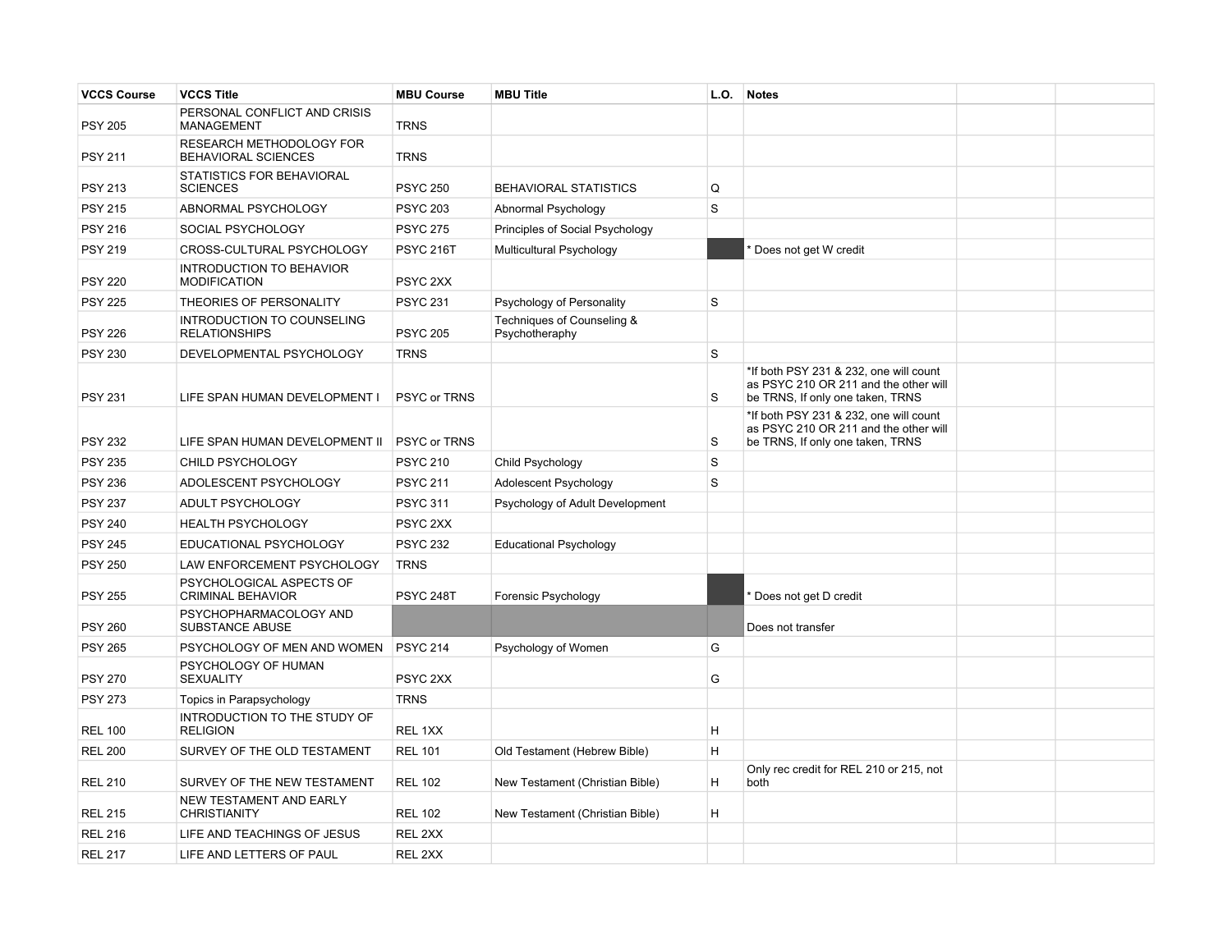| <b>VCCS Course</b> | <b>VCCS Title</b>                                         | <b>MBU Course</b>   | <b>MBU Title</b>                             | L.O. | Notes                                                                                                               |  |
|--------------------|-----------------------------------------------------------|---------------------|----------------------------------------------|------|---------------------------------------------------------------------------------------------------------------------|--|
| <b>PSY 205</b>     | PERSONAL CONFLICT AND CRISIS<br><b>MANAGEMENT</b>         | <b>TRNS</b>         |                                              |      |                                                                                                                     |  |
| <b>PSY 211</b>     | RESEARCH METHODOLOGY FOR<br>BEHAVIORAL SCIENCES           | <b>TRNS</b>         |                                              |      |                                                                                                                     |  |
| <b>PSY 213</b>     | STATISTICS FOR BEHAVIORAL<br><b>SCIENCES</b>              | <b>PSYC 250</b>     | <b>BEHAVIORAL STATISTICS</b>                 | Q    |                                                                                                                     |  |
| <b>PSY 215</b>     | ABNORMAL PSYCHOLOGY                                       | <b>PSYC 203</b>     | Abnormal Psychology                          | S    |                                                                                                                     |  |
| <b>PSY 216</b>     | SOCIAL PSYCHOLOGY                                         | <b>PSYC 275</b>     | Principles of Social Psychology              |      |                                                                                                                     |  |
| <b>PSY 219</b>     | CROSS-CULTURAL PSYCHOLOGY                                 | <b>PSYC 216T</b>    | Multicultural Psychology                     |      | Does not get W credit                                                                                               |  |
| <b>PSY 220</b>     | INTRODUCTION TO BEHAVIOR<br><b>MODIFICATION</b>           | PSYC 2XX            |                                              |      |                                                                                                                     |  |
| <b>PSY 225</b>     | THEORIES OF PERSONALITY                                   | <b>PSYC 231</b>     | Psychology of Personality                    | S    |                                                                                                                     |  |
| <b>PSY 226</b>     | <b>INTRODUCTION TO COUNSELING</b><br><b>RELATIONSHIPS</b> | <b>PSYC 205</b>     | Techniques of Counseling &<br>Psychotheraphy |      |                                                                                                                     |  |
| <b>PSY 230</b>     | DEVELOPMENTAL PSYCHOLOGY                                  | <b>TRNS</b>         |                                              | S    |                                                                                                                     |  |
| <b>PSY 231</b>     | LIFE SPAN HUMAN DEVELOPMENT I                             | <b>PSYC or TRNS</b> |                                              | S    | *If both PSY 231 & 232, one will count<br>as PSYC 210 OR 211 and the other will<br>be TRNS, If only one taken, TRNS |  |
| <b>PSY 232</b>     | LIFE SPAN HUMAN DEVELOPMENT II                            | <b>PSYC or TRNS</b> |                                              | S    | *If both PSY 231 & 232, one will count<br>as PSYC 210 OR 211 and the other will<br>be TRNS, If only one taken, TRNS |  |
| <b>PSY 235</b>     | CHILD PSYCHOLOGY                                          | <b>PSYC 210</b>     | Child Psychology                             | S    |                                                                                                                     |  |
| <b>PSY 236</b>     | ADOLESCENT PSYCHOLOGY                                     | <b>PSYC 211</b>     | Adolescent Psychology                        | S    |                                                                                                                     |  |
| <b>PSY 237</b>     | ADULT PSYCHOLOGY                                          | <b>PSYC 311</b>     | Psychology of Adult Development              |      |                                                                                                                     |  |
| <b>PSY 240</b>     | <b>HEALTH PSYCHOLOGY</b>                                  | PSYC 2XX            |                                              |      |                                                                                                                     |  |
| <b>PSY 245</b>     | EDUCATIONAL PSYCHOLOGY                                    | <b>PSYC 232</b>     | <b>Educational Psychology</b>                |      |                                                                                                                     |  |
| <b>PSY 250</b>     | LAW ENFORCEMENT PSYCHOLOGY                                | <b>TRNS</b>         |                                              |      |                                                                                                                     |  |
| <b>PSY 255</b>     | PSYCHOLOGICAL ASPECTS OF<br><b>CRIMINAL BEHAVIOR</b>      | <b>PSYC 248T</b>    | Forensic Psychology                          |      | Does not get D credit                                                                                               |  |
| <b>PSY 260</b>     | PSYCHOPHARMACOLOGY AND<br><b>SUBSTANCE ABUSE</b>          |                     |                                              |      | Does not transfer                                                                                                   |  |
| <b>PSY 265</b>     | PSYCHOLOGY OF MEN AND WOMEN                               | <b>PSYC 214</b>     | Psychology of Women                          | G    |                                                                                                                     |  |
| <b>PSY 270</b>     | PSYCHOLOGY OF HUMAN<br><b>SEXUALITY</b>                   | PSYC <sub>2XX</sub> |                                              | G    |                                                                                                                     |  |
| <b>PSY 273</b>     | Topics in Parapsychology                                  | <b>TRNS</b>         |                                              |      |                                                                                                                     |  |
| <b>REL 100</b>     | INTRODUCTION TO THE STUDY OF<br><b>RELIGION</b>           | REL 1XX             |                                              | H    |                                                                                                                     |  |
| <b>REL 200</b>     | SURVEY OF THE OLD TESTAMENT                               | <b>REL 101</b>      | Old Testament (Hebrew Bible)                 | H    |                                                                                                                     |  |
| <b>REL 210</b>     | SURVEY OF THE NEW TESTAMENT                               | <b>REL 102</b>      | New Testament (Christian Bible)              | H    | Only rec credit for REL 210 or 215, not<br>both                                                                     |  |
| <b>REL 215</b>     | NEW TESTAMENT AND EARLY<br><b>CHRISTIANITY</b>            | <b>REL 102</b>      | New Testament (Christian Bible)              | H    |                                                                                                                     |  |
| <b>REL 216</b>     | LIFE AND TEACHINGS OF JESUS                               | REL 2XX             |                                              |      |                                                                                                                     |  |
| <b>REL 217</b>     | LIFE AND LETTERS OF PAUL                                  | REL 2XX             |                                              |      |                                                                                                                     |  |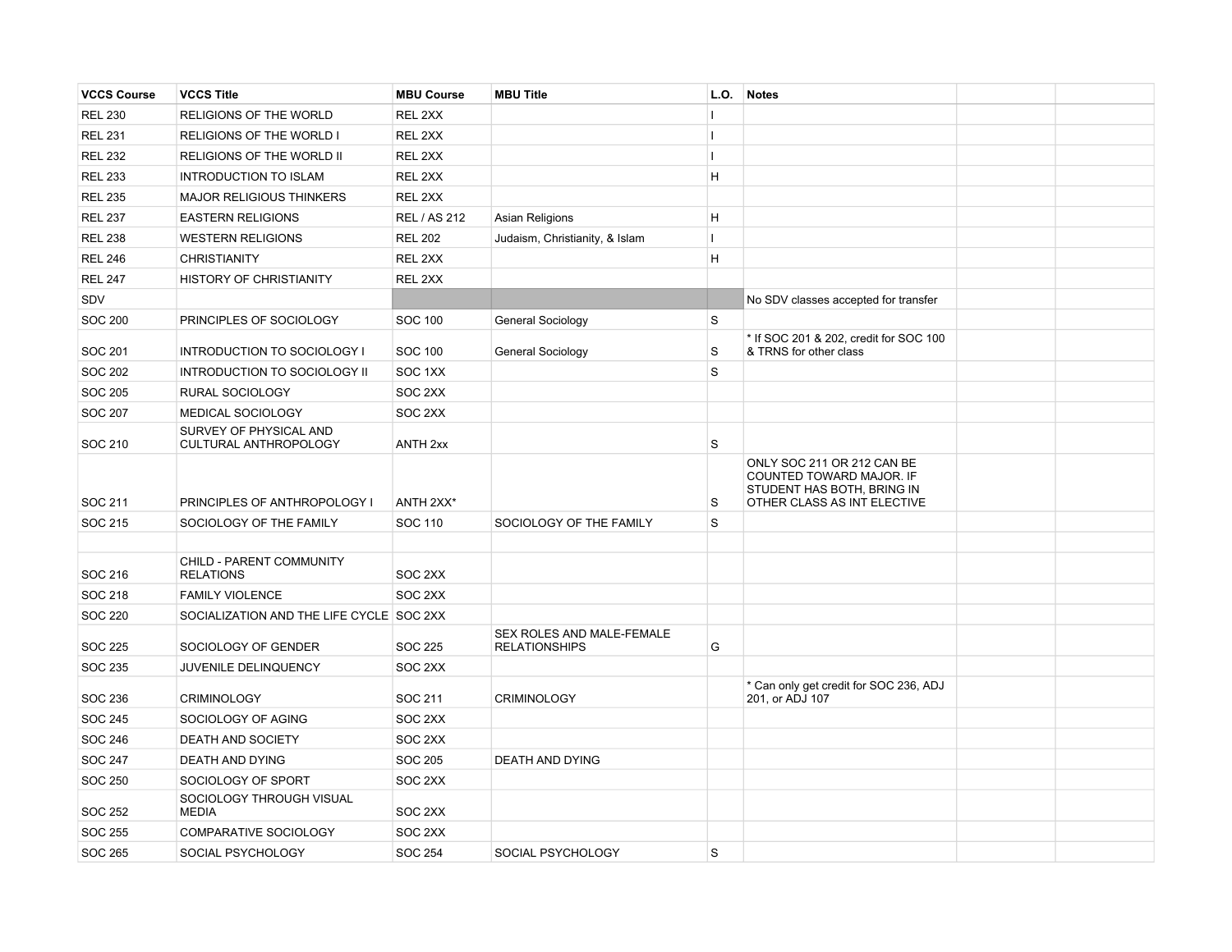| <b>VCCS Course</b> | <b>VCCS Title</b>                            | <b>MBU Course</b>   | <b>MBU Title</b>                                  | L.O.         | <b>Notes</b>                                                                                                        |  |
|--------------------|----------------------------------------------|---------------------|---------------------------------------------------|--------------|---------------------------------------------------------------------------------------------------------------------|--|
| <b>REL 230</b>     | RELIGIONS OF THE WORLD                       | REL 2XX             |                                                   | т            |                                                                                                                     |  |
| <b>REL 231</b>     | RELIGIONS OF THE WORLD I                     | REL 2XX             |                                                   | $\mathbf{I}$ |                                                                                                                     |  |
| <b>REL 232</b>     | RELIGIONS OF THE WORLD II                    | REL 2XX             |                                                   | $\mathbf{I}$ |                                                                                                                     |  |
| <b>REL 233</b>     | <b>INTRODUCTION TO ISLAM</b>                 | REL 2XX             |                                                   | H            |                                                                                                                     |  |
| <b>REL 235</b>     | <b>MAJOR RELIGIOUS THINKERS</b>              | REL 2XX             |                                                   |              |                                                                                                                     |  |
| <b>REL 237</b>     | <b>EASTERN RELIGIONS</b>                     | REL / AS 212        | Asian Religions                                   | H            |                                                                                                                     |  |
| <b>REL 238</b>     | <b>WESTERN RELIGIONS</b>                     | <b>REL 202</b>      | Judaism, Christianity, & Islam                    | $\mathbf{I}$ |                                                                                                                     |  |
| <b>REL 246</b>     | <b>CHRISTIANITY</b>                          | REL 2XX             |                                                   | H            |                                                                                                                     |  |
| <b>REL 247</b>     | HISTORY OF CHRISTIANITY                      | REL 2XX             |                                                   |              |                                                                                                                     |  |
| SDV                |                                              |                     |                                                   |              | No SDV classes accepted for transfer                                                                                |  |
| <b>SOC 200</b>     | PRINCIPLES OF SOCIOLOGY                      | <b>SOC 100</b>      | General Sociology                                 | S            |                                                                                                                     |  |
|                    |                                              |                     |                                                   |              | * If SOC 201 & 202, credit for SOC 100                                                                              |  |
| <b>SOC 201</b>     | INTRODUCTION TO SOCIOLOGY I                  | <b>SOC 100</b>      | General Sociology                                 | S            | & TRNS for other class                                                                                              |  |
| <b>SOC 202</b>     | INTRODUCTION TO SOCIOLOGY II                 | SOC 1XX             |                                                   | S            |                                                                                                                     |  |
| <b>SOC 205</b>     | RURAL SOCIOLOGY                              | SOC 2XX             |                                                   |              |                                                                                                                     |  |
| <b>SOC 207</b>     | MEDICAL SOCIOLOGY<br>SURVEY OF PHYSICAL AND  | SOC 2XX             |                                                   |              |                                                                                                                     |  |
| SOC 210            | CULTURAL ANTHROPOLOGY                        | ANTH <sub>2xx</sub> |                                                   | S            |                                                                                                                     |  |
| SOC 211            | PRINCIPLES OF ANTHROPOLOGY I                 | ANTH 2XX*           |                                                   | S            | ONLY SOC 211 OR 212 CAN BE<br>COUNTED TOWARD MAJOR. IF<br>STUDENT HAS BOTH, BRING IN<br>OTHER CLASS AS INT ELECTIVE |  |
| SOC 215            | SOCIOLOGY OF THE FAMILY                      | SOC 110             | SOCIOLOGY OF THE FAMILY                           | $\mathbf S$  |                                                                                                                     |  |
|                    |                                              |                     |                                                   |              |                                                                                                                     |  |
| SOC 216            | CHILD - PARENT COMMUNITY<br><b>RELATIONS</b> | SOC 2XX             |                                                   |              |                                                                                                                     |  |
| SOC 218            | <b>FAMILY VIOLENCE</b>                       | SOC 2XX             |                                                   |              |                                                                                                                     |  |
| <b>SOC 220</b>     | SOCIALIZATION AND THE LIFE CYCLE SOC 2XX     |                     |                                                   |              |                                                                                                                     |  |
| <b>SOC 225</b>     | SOCIOLOGY OF GENDER                          | SOC 225             | SEX ROLES AND MALE-FEMALE<br><b>RELATIONSHIPS</b> | G            |                                                                                                                     |  |
| SOC 235            | JUVENILE DELINQUENCY                         | SOC 2XX             |                                                   |              |                                                                                                                     |  |
| SOC 236            | <b>CRIMINOLOGY</b>                           | SOC 211             | <b>CRIMINOLOGY</b>                                |              | * Can only get credit for SOC 236, ADJ<br>201, or ADJ 107                                                           |  |
| SOC 245            | SOCIOLOGY OF AGING                           | SOC 2XX             |                                                   |              |                                                                                                                     |  |
| SOC 246            | <b>DEATH AND SOCIETY</b>                     | SOC 2XX             |                                                   |              |                                                                                                                     |  |
| SOC 247            | <b>DEATH AND DYING</b>                       | SOC 205             | <b>DEATH AND DYING</b>                            |              |                                                                                                                     |  |
| <b>SOC 250</b>     | SOCIOLOGY OF SPORT                           | SOC 2XX             |                                                   |              |                                                                                                                     |  |
| <b>SOC 252</b>     | SOCIOLOGY THROUGH VISUAL<br><b>MEDIA</b>     | SOC 2XX             |                                                   |              |                                                                                                                     |  |
| <b>SOC 255</b>     | COMPARATIVE SOCIOLOGY                        | SOC 2XX             |                                                   |              |                                                                                                                     |  |
| <b>SOC 265</b>     | SOCIAL PSYCHOLOGY                            | <b>SOC 254</b>      | SOCIAL PSYCHOLOGY                                 | S            |                                                                                                                     |  |